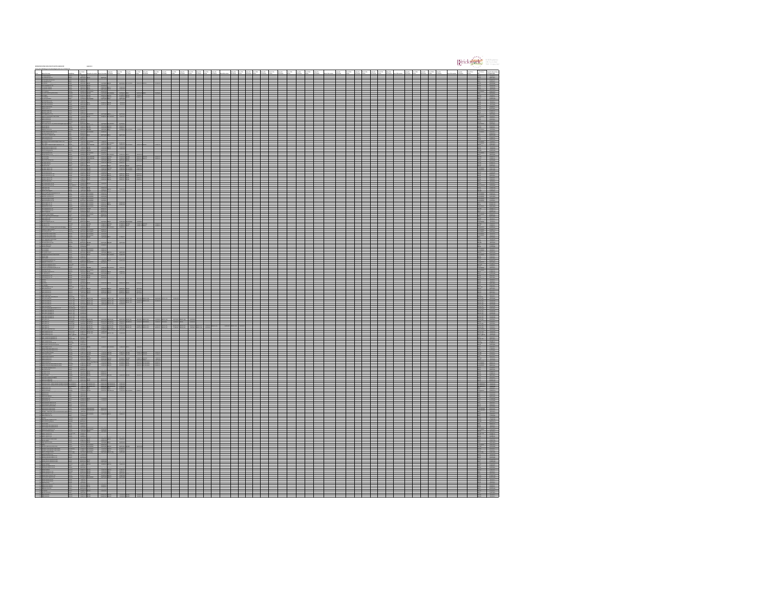|  |  |  | F. |   |        |  |  |  |  |  |  |  |  |  |  | <b>THE REAL</b> |
|--|--|--|----|---|--------|--|--|--|--|--|--|--|--|--|--|-----------------|
|  |  |  |    |   |        |  |  |  |  |  |  |  |  |  |  |                 |
|  |  |  |    |   |        |  |  |  |  |  |  |  |  |  |  |                 |
|  |  |  |    |   |        |  |  |  |  |  |  |  |  |  |  |                 |
|  |  |  |    |   |        |  |  |  |  |  |  |  |  |  |  |                 |
|  |  |  |    |   |        |  |  |  |  |  |  |  |  |  |  |                 |
|  |  |  |    |   |        |  |  |  |  |  |  |  |  |  |  |                 |
|  |  |  |    |   |        |  |  |  |  |  |  |  |  |  |  |                 |
|  |  |  |    |   |        |  |  |  |  |  |  |  |  |  |  |                 |
|  |  |  |    |   |        |  |  |  |  |  |  |  |  |  |  |                 |
|  |  |  |    |   |        |  |  |  |  |  |  |  |  |  |  |                 |
|  |  |  |    |   |        |  |  |  |  |  |  |  |  |  |  |                 |
|  |  |  |    |   |        |  |  |  |  |  |  |  |  |  |  |                 |
|  |  |  |    |   |        |  |  |  |  |  |  |  |  |  |  |                 |
|  |  |  |    |   |        |  |  |  |  |  |  |  |  |  |  |                 |
|  |  |  | ⊨  |   |        |  |  |  |  |  |  |  |  |  |  |                 |
|  |  |  | ╒  |   |        |  |  |  |  |  |  |  |  |  |  |                 |
|  |  |  |    |   |        |  |  |  |  |  |  |  |  |  |  |                 |
|  |  |  |    |   |        |  |  |  |  |  |  |  |  |  |  |                 |
|  |  |  | 華  |   |        |  |  |  |  |  |  |  |  |  |  |                 |
|  |  |  |    |   |        |  |  |  |  |  |  |  |  |  |  |                 |
|  |  |  |    |   |        |  |  |  |  |  |  |  |  |  |  |                 |
|  |  |  |    |   |        |  |  |  |  |  |  |  |  |  |  | HHHHHHH         |
|  |  |  |    |   |        |  |  |  |  |  |  |  |  |  |  |                 |
|  |  |  |    |   |        |  |  |  |  |  |  |  |  |  |  |                 |
|  |  |  |    |   |        |  |  |  |  |  |  |  |  |  |  |                 |
|  |  |  |    |   |        |  |  |  |  |  |  |  |  |  |  |                 |
|  |  |  |    |   |        |  |  |  |  |  |  |  |  |  |  |                 |
|  |  |  |    |   |        |  |  |  |  |  |  |  |  |  |  |                 |
|  |  |  |    |   |        |  |  |  |  |  |  |  |  |  |  |                 |
|  |  |  |    |   |        |  |  |  |  |  |  |  |  |  |  |                 |
|  |  |  |    |   |        |  |  |  |  |  |  |  |  |  |  |                 |
|  |  |  |    |   |        |  |  |  |  |  |  |  |  |  |  |                 |
|  |  |  |    |   |        |  |  |  |  |  |  |  |  |  |  | ≡               |
|  |  |  |    |   |        |  |  |  |  |  |  |  |  |  |  |                 |
|  |  |  |    |   |        |  |  |  |  |  |  |  |  |  |  |                 |
|  |  |  |    |   |        |  |  |  |  |  |  |  |  |  |  |                 |
|  |  |  |    |   |        |  |  |  |  |  |  |  |  |  |  |                 |
|  |  |  |    | Ī |        |  |  |  |  |  |  |  |  |  |  |                 |
|  |  |  |    |   |        |  |  |  |  |  |  |  |  |  |  |                 |
|  |  |  |    |   |        |  |  |  |  |  |  |  |  |  |  |                 |
|  |  |  |    |   |        |  |  |  |  |  |  |  |  |  |  |                 |
|  |  |  |    |   |        |  |  |  |  |  |  |  |  |  |  |                 |
|  |  |  |    |   |        |  |  |  |  |  |  |  |  |  |  |                 |
|  |  |  |    |   |        |  |  |  |  |  |  |  |  |  |  |                 |
|  |  |  |    |   |        |  |  |  |  |  |  |  |  |  |  |                 |
|  |  |  |    |   |        |  |  |  |  |  |  |  |  |  |  |                 |
|  |  |  |    |   |        |  |  |  |  |  |  |  |  |  |  |                 |
|  |  |  |    |   |        |  |  |  |  |  |  |  |  |  |  |                 |
|  |  |  |    |   |        |  |  |  |  |  |  |  |  |  |  |                 |
|  |  |  |    |   |        |  |  |  |  |  |  |  |  |  |  |                 |
|  |  |  |    |   |        |  |  |  |  |  |  |  |  |  |  |                 |
|  |  |  |    |   |        |  |  |  |  |  |  |  |  |  |  |                 |
|  |  |  |    |   |        |  |  |  |  |  |  |  |  |  |  |                 |
|  |  |  |    |   |        |  |  |  |  |  |  |  |  |  |  |                 |
|  |  |  |    |   |        |  |  |  |  |  |  |  |  |  |  |                 |
|  |  |  | ė  |   | Ŧ      |  |  |  |  |  |  |  |  |  |  |                 |
|  |  |  |    |   |        |  |  |  |  |  |  |  |  |  |  |                 |
|  |  |  |    |   |        |  |  |  |  |  |  |  |  |  |  |                 |
|  |  |  |    |   |        |  |  |  |  |  |  |  |  |  |  |                 |
|  |  |  |    |   |        |  |  |  |  |  |  |  |  |  |  |                 |
|  |  |  |    |   |        |  |  |  |  |  |  |  |  |  |  |                 |
|  |  |  |    |   |        |  |  |  |  |  |  |  |  |  |  |                 |
|  |  |  |    |   |        |  |  |  |  |  |  |  |  |  |  |                 |
|  |  |  |    |   |        |  |  |  |  |  |  |  |  |  |  |                 |
|  |  |  |    |   |        |  |  |  |  |  |  |  |  |  |  |                 |
|  |  |  |    |   |        |  |  |  |  |  |  |  |  |  |  |                 |
|  |  |  |    |   |        |  |  |  |  |  |  |  |  |  |  |                 |
|  |  |  |    |   |        |  |  |  |  |  |  |  |  |  |  |                 |
|  |  |  |    |   |        |  |  |  |  |  |  |  |  |  |  |                 |
|  |  |  |    |   |        |  |  |  |  |  |  |  |  |  |  |                 |
|  |  |  |    |   |        |  |  |  |  |  |  |  |  |  |  |                 |
|  |  |  |    |   |        |  |  |  |  |  |  |  |  |  |  |                 |
|  |  |  |    |   |        |  |  |  |  |  |  |  |  |  |  |                 |
|  |  |  |    |   |        |  |  |  |  |  |  |  |  |  |  |                 |
|  |  |  |    |   |        |  |  |  |  |  |  |  |  |  |  |                 |
|  |  |  |    |   |        |  |  |  |  |  |  |  |  |  |  |                 |
|  |  |  |    |   |        |  |  |  |  |  |  |  |  |  |  |                 |
|  |  |  |    |   |        |  |  |  |  |  |  |  |  |  |  |                 |
|  |  |  |    |   |        |  |  |  |  |  |  |  |  |  |  |                 |
|  |  |  |    |   |        |  |  |  |  |  |  |  |  |  |  |                 |
|  |  |  |    |   |        |  |  |  |  |  |  |  |  |  |  |                 |
|  |  |  |    |   |        |  |  |  |  |  |  |  |  |  |  |                 |
|  |  |  |    |   |        |  |  |  |  |  |  |  |  |  |  |                 |
|  |  |  |    |   |        |  |  |  |  |  |  |  |  |  |  |                 |
|  |  |  |    |   |        |  |  |  |  |  |  |  |  |  |  |                 |
|  |  |  |    |   |        |  |  |  |  |  |  |  |  |  |  |                 |
|  |  |  |    |   |        |  |  |  |  |  |  |  |  |  |  |                 |
|  |  |  |    |   |        |  |  |  |  |  |  |  |  |  |  |                 |
|  |  |  |    |   |        |  |  |  |  |  |  |  |  |  |  |                 |
|  |  |  |    |   |        |  |  |  |  |  |  |  |  |  |  |                 |
|  |  |  |    |   |        |  |  |  |  |  |  |  |  |  |  |                 |
|  |  |  |    |   |        |  |  |  |  |  |  |  |  |  |  |                 |
|  |  |  |    |   |        |  |  |  |  |  |  |  |  |  |  |                 |
|  |  |  |    |   |        |  |  |  |  |  |  |  |  |  |  |                 |
|  |  |  |    | I | i<br>I |  |  |  |  |  |  |  |  |  |  |                 |
|  |  |  |    |   |        |  |  |  |  |  |  |  |  |  |  |                 |

**Ratings Outstanding**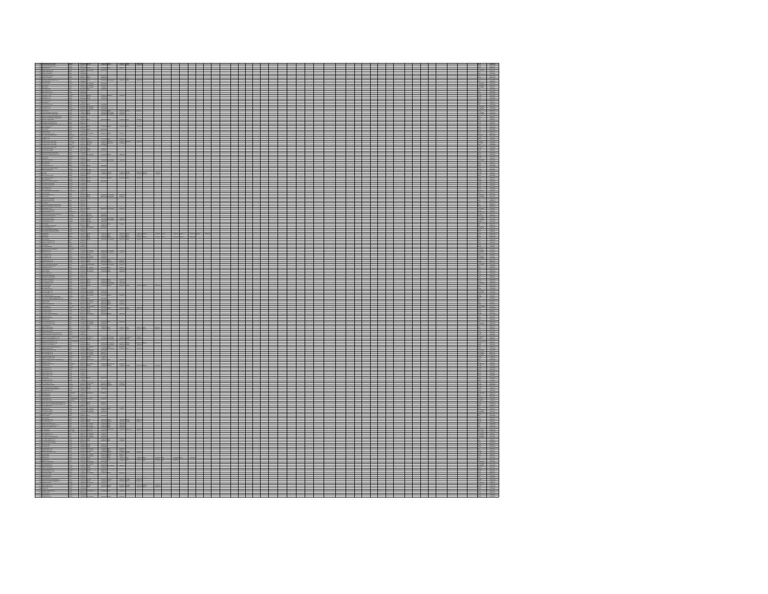|  |  |          |  | $\equiv$ |  |  |  |  |  |  |  |  |  |  |  |  |
|--|--|----------|--|----------|--|--|--|--|--|--|--|--|--|--|--|--|
|  |  |          |  |          |  |  |  |  |  |  |  |  |  |  |  |  |
|  |  |          |  |          |  |  |  |  |  |  |  |  |  |  |  |  |
|  |  |          |  |          |  |  |  |  |  |  |  |  |  |  |  |  |
|  |  |          |  |          |  |  |  |  |  |  |  |  |  |  |  |  |
|  |  |          |  |          |  |  |  |  |  |  |  |  |  |  |  |  |
|  |  |          |  |          |  |  |  |  |  |  |  |  |  |  |  |  |
|  |  |          |  |          |  |  |  |  |  |  |  |  |  |  |  |  |
|  |  |          |  |          |  |  |  |  |  |  |  |  |  |  |  |  |
|  |  |          |  |          |  |  |  |  |  |  |  |  |  |  |  |  |
|  |  |          |  |          |  |  |  |  |  |  |  |  |  |  |  |  |
|  |  |          |  |          |  |  |  |  |  |  |  |  |  |  |  |  |
|  |  |          |  |          |  |  |  |  |  |  |  |  |  |  |  |  |
|  |  |          |  |          |  |  |  |  |  |  |  |  |  |  |  |  |
|  |  |          |  |          |  |  |  |  |  |  |  |  |  |  |  |  |
|  |  |          |  |          |  |  |  |  |  |  |  |  |  |  |  |  |
|  |  |          |  |          |  |  |  |  |  |  |  |  |  |  |  |  |
|  |  |          |  |          |  |  |  |  |  |  |  |  |  |  |  |  |
|  |  |          |  |          |  |  |  |  |  |  |  |  |  |  |  |  |
|  |  |          |  |          |  |  |  |  |  |  |  |  |  |  |  |  |
|  |  |          |  |          |  |  |  |  |  |  |  |  |  |  |  |  |
|  |  |          |  |          |  |  |  |  |  |  |  |  |  |  |  |  |
|  |  |          |  |          |  |  |  |  |  |  |  |  |  |  |  |  |
|  |  |          |  |          |  |  |  |  |  |  |  |  |  |  |  |  |
|  |  |          |  |          |  |  |  |  |  |  |  |  |  |  |  |  |
|  |  |          |  |          |  |  |  |  |  |  |  |  |  |  |  |  |
|  |  |          |  |          |  |  |  |  |  |  |  |  |  |  |  |  |
|  |  |          |  |          |  |  |  |  |  |  |  |  |  |  |  |  |
|  |  |          |  |          |  |  |  |  |  |  |  |  |  |  |  |  |
|  |  |          |  |          |  |  |  |  |  |  |  |  |  |  |  |  |
|  |  |          |  |          |  |  |  |  |  |  |  |  |  |  |  |  |
|  |  |          |  |          |  |  |  |  |  |  |  |  |  |  |  |  |
|  |  |          |  |          |  |  |  |  |  |  |  |  |  |  |  |  |
|  |  |          |  |          |  |  |  |  |  |  |  |  |  |  |  |  |
|  |  |          |  |          |  |  |  |  |  |  |  |  |  |  |  |  |
|  |  |          |  |          |  |  |  |  |  |  |  |  |  |  |  |  |
|  |  |          |  |          |  |  |  |  |  |  |  |  |  |  |  |  |
|  |  |          |  |          |  |  |  |  |  |  |  |  |  |  |  |  |
|  |  |          |  |          |  |  |  |  |  |  |  |  |  |  |  |  |
|  |  |          |  |          |  |  |  |  |  |  |  |  |  |  |  |  |
|  |  |          |  |          |  |  |  |  |  |  |  |  |  |  |  |  |
|  |  |          |  |          |  |  |  |  |  |  |  |  |  |  |  |  |
|  |  |          |  |          |  |  |  |  |  |  |  |  |  |  |  |  |
|  |  |          |  |          |  |  |  |  |  |  |  |  |  |  |  |  |
|  |  |          |  |          |  |  |  |  |  |  |  |  |  |  |  |  |
|  |  |          |  |          |  |  |  |  |  |  |  |  |  |  |  |  |
|  |  |          |  |          |  |  |  |  |  |  |  |  |  |  |  |  |
|  |  |          |  |          |  |  |  |  |  |  |  |  |  |  |  |  |
|  |  |          |  |          |  |  |  |  |  |  |  |  |  |  |  |  |
|  |  |          |  |          |  |  |  |  |  |  |  |  |  |  |  |  |
|  |  |          |  |          |  |  |  |  |  |  |  |  |  |  |  |  |
|  |  |          |  |          |  |  |  |  |  |  |  |  |  |  |  |  |
|  |  |          |  |          |  |  |  |  |  |  |  |  |  |  |  |  |
|  |  |          |  |          |  |  |  |  |  |  |  |  |  |  |  |  |
|  |  |          |  |          |  |  |  |  |  |  |  |  |  |  |  |  |
|  |  |          |  |          |  |  |  |  |  |  |  |  |  |  |  |  |
|  |  |          |  |          |  |  |  |  |  |  |  |  |  |  |  |  |
|  |  |          |  |          |  |  |  |  |  |  |  |  |  |  |  |  |
|  |  | $\equiv$ |  |          |  |  |  |  |  |  |  |  |  |  |  |  |
|  |  |          |  |          |  |  |  |  |  |  |  |  |  |  |  |  |
|  |  |          |  |          |  |  |  |  |  |  |  |  |  |  |  |  |
|  |  |          |  |          |  |  |  |  |  |  |  |  |  |  |  |  |
|  |  |          |  |          |  |  |  |  |  |  |  |  |  |  |  |  |
|  |  |          |  |          |  |  |  |  |  |  |  |  |  |  |  |  |
|  |  |          |  |          |  |  |  |  |  |  |  |  |  |  |  |  |
|  |  |          |  |          |  |  |  |  |  |  |  |  |  |  |  |  |
|  |  |          |  |          |  |  |  |  |  |  |  |  |  |  |  |  |
|  |  |          |  |          |  |  |  |  |  |  |  |  |  |  |  |  |
|  |  |          |  |          |  |  |  |  |  |  |  |  |  |  |  |  |
|  |  |          |  |          |  |  |  |  |  |  |  |  |  |  |  |  |
|  |  |          |  |          |  |  |  |  |  |  |  |  |  |  |  |  |
|  |  |          |  |          |  |  |  |  |  |  |  |  |  |  |  |  |
|  |  |          |  |          |  |  |  |  |  |  |  |  |  |  |  |  |
|  |  |          |  |          |  |  |  |  |  |  |  |  |  |  |  |  |
|  |  |          |  |          |  |  |  |  |  |  |  |  |  |  |  |  |
|  |  |          |  |          |  |  |  |  |  |  |  |  |  |  |  |  |
|  |  |          |  |          |  |  |  |  |  |  |  |  |  |  |  |  |
|  |  |          |  |          |  |  |  |  |  |  |  |  |  |  |  |  |
|  |  |          |  |          |  |  |  |  |  |  |  |  |  |  |  |  |
|  |  |          |  |          |  |  |  |  |  |  |  |  |  |  |  |  |
|  |  |          |  |          |  |  |  |  |  |  |  |  |  |  |  |  |
|  |  |          |  |          |  |  |  |  |  |  |  |  |  |  |  |  |
|  |  |          |  |          |  |  |  |  |  |  |  |  |  |  |  |  |
|  |  |          |  |          |  |  |  |  |  |  |  |  |  |  |  |  |
|  |  |          |  |          |  |  |  |  |  |  |  |  |  |  |  |  |
|  |  |          |  |          |  |  |  |  |  |  |  |  |  |  |  |  |
|  |  |          |  |          |  |  |  |  |  |  |  |  |  |  |  |  |
|  |  |          |  |          |  |  |  |  |  |  |  |  |  |  |  |  |
|  |  |          |  |          |  |  |  |  |  |  |  |  |  |  |  |  |
|  |  |          |  |          |  |  |  |  |  |  |  |  |  |  |  |  |
|  |  |          |  |          |  |  |  |  |  |  |  |  |  |  |  |  |
|  |  |          |  |          |  |  |  |  |  |  |  |  |  |  |  |  |
|  |  |          |  |          |  |  |  |  |  |  |  |  |  |  |  |  |
|  |  |          |  |          |  |  |  |  |  |  |  |  |  |  |  |  |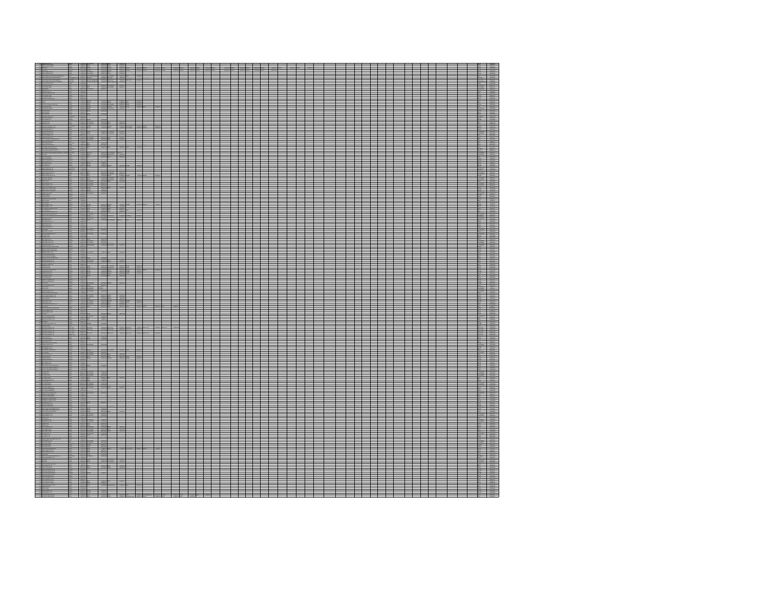|  |  |  |  |  |  |  | == |  |  |  |  |  |
|--|--|--|--|--|--|--|----|--|--|--|--|--|
|  |  |  |  |  |  |  |    |  |  |  |  |  |
|  |  |  |  |  |  |  |    |  |  |  |  |  |
|  |  |  |  |  |  |  |    |  |  |  |  |  |
|  |  |  |  |  |  |  |    |  |  |  |  |  |
|  |  |  |  |  |  |  |    |  |  |  |  |  |
|  |  |  |  |  |  |  |    |  |  |  |  |  |
|  |  |  |  |  |  |  |    |  |  |  |  |  |
|  |  |  |  |  |  |  |    |  |  |  |  |  |
|  |  |  |  |  |  |  |    |  |  |  |  |  |
|  |  |  |  |  |  |  |    |  |  |  |  |  |
|  |  |  |  |  |  |  |    |  |  |  |  |  |
|  |  |  |  |  |  |  |    |  |  |  |  |  |
|  |  |  |  |  |  |  |    |  |  |  |  |  |
|  |  |  |  |  |  |  |    |  |  |  |  |  |
|  |  |  |  |  |  |  |    |  |  |  |  |  |
|  |  |  |  |  |  |  |    |  |  |  |  |  |
|  |  |  |  |  |  |  |    |  |  |  |  |  |
|  |  |  |  |  |  |  |    |  |  |  |  |  |
|  |  |  |  |  |  |  |    |  |  |  |  |  |
|  |  |  |  |  |  |  |    |  |  |  |  |  |
|  |  |  |  |  |  |  |    |  |  |  |  |  |
|  |  |  |  |  |  |  |    |  |  |  |  |  |
|  |  |  |  |  |  |  |    |  |  |  |  |  |
|  |  |  |  |  |  |  |    |  |  |  |  |  |
|  |  |  |  |  |  |  |    |  |  |  |  |  |
|  |  |  |  |  |  |  |    |  |  |  |  |  |
|  |  |  |  |  |  |  |    |  |  |  |  |  |
|  |  |  |  |  |  |  |    |  |  |  |  |  |
|  |  |  |  |  |  |  |    |  |  |  |  |  |
|  |  |  |  |  |  |  |    |  |  |  |  |  |
|  |  |  |  |  |  |  |    |  |  |  |  |  |
|  |  |  |  |  |  |  |    |  |  |  |  |  |
|  |  |  |  |  |  |  |    |  |  |  |  |  |
|  |  |  |  |  |  |  |    |  |  |  |  |  |
|  |  |  |  |  |  |  |    |  |  |  |  |  |
|  |  |  |  |  |  |  |    |  |  |  |  |  |
|  |  |  |  |  |  |  |    |  |  |  |  |  |
|  |  |  |  |  |  |  |    |  |  |  |  |  |
|  |  |  |  |  |  |  |    |  |  |  |  |  |
|  |  |  |  |  |  |  |    |  |  |  |  |  |
|  |  |  |  |  |  |  |    |  |  |  |  |  |
|  |  |  |  |  |  |  |    |  |  |  |  |  |
|  |  |  |  |  |  |  |    |  |  |  |  |  |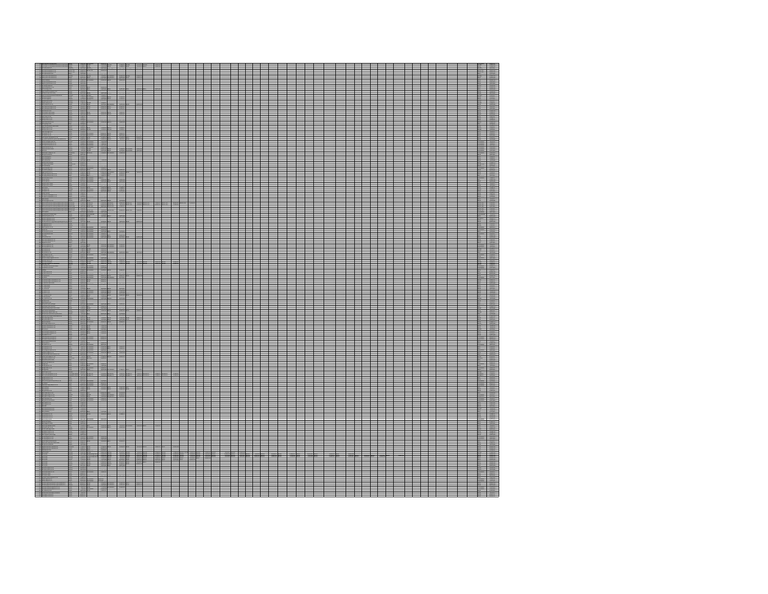| H |   |  |               |  |  |  |  |  |  |    |  |  |   |  |
|---|---|--|---------------|--|--|--|--|--|--|----|--|--|---|--|
|   |   |  |               |  |  |  |  |  |  |    |  |  | ≣ |  |
|   |   |  |               |  |  |  |  |  |  |    |  |  |   |  |
|   |   |  |               |  |  |  |  |  |  |    |  |  |   |  |
|   |   |  |               |  |  |  |  |  |  |    |  |  |   |  |
|   |   |  |               |  |  |  |  |  |  |    |  |  |   |  |
|   |   |  |               |  |  |  |  |  |  |    |  |  |   |  |
|   |   |  |               |  |  |  |  |  |  |    |  |  |   |  |
|   |   |  |               |  |  |  |  |  |  |    |  |  |   |  |
|   |   |  |               |  |  |  |  |  |  |    |  |  |   |  |
|   |   |  |               |  |  |  |  |  |  |    |  |  |   |  |
|   |   |  |               |  |  |  |  |  |  |    |  |  |   |  |
|   |   |  |               |  |  |  |  |  |  |    |  |  |   |  |
|   |   |  |               |  |  |  |  |  |  |    |  |  |   |  |
|   |   |  |               |  |  |  |  |  |  |    |  |  |   |  |
|   |   |  |               |  |  |  |  |  |  |    |  |  |   |  |
|   |   |  |               |  |  |  |  |  |  |    |  |  |   |  |
|   |   |  |               |  |  |  |  |  |  |    |  |  |   |  |
|   |   |  |               |  |  |  |  |  |  |    |  |  |   |  |
|   |   |  |               |  |  |  |  |  |  |    |  |  |   |  |
|   |   |  |               |  |  |  |  |  |  |    |  |  |   |  |
|   |   |  |               |  |  |  |  |  |  |    |  |  |   |  |
|   |   |  |               |  |  |  |  |  |  |    |  |  |   |  |
|   |   |  |               |  |  |  |  |  |  |    |  |  |   |  |
|   |   |  |               |  |  |  |  |  |  |    |  |  |   |  |
|   |   |  |               |  |  |  |  |  |  |    |  |  |   |  |
|   |   |  |               |  |  |  |  |  |  |    |  |  |   |  |
|   |   |  |               |  |  |  |  |  |  |    |  |  |   |  |
|   | N |  | $\frac{1}{2}$ |  |  |  |  |  |  |    |  |  |   |  |
|   |   |  |               |  |  |  |  |  |  |    |  |  |   |  |
|   |   |  |               |  |  |  |  |  |  |    |  |  |   |  |
|   |   |  |               |  |  |  |  |  |  |    |  |  |   |  |
|   |   |  |               |  |  |  |  |  |  |    |  |  |   |  |
|   |   |  |               |  |  |  |  |  |  |    |  |  |   |  |
|   |   |  |               |  |  |  |  |  |  | —— |  |  |   |  |
|   |   |  |               |  |  |  |  |  |  |    |  |  |   |  |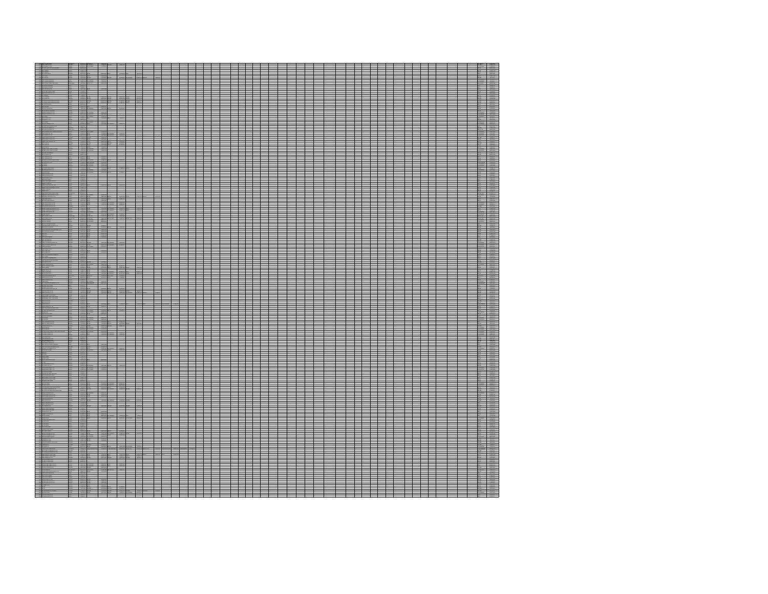| ═ | -22 |  |  |  |  |  |  |  |
|---|-----|--|--|--|--|--|--|--|
|   |     |  |  |  |  |  |  |  |
|   |     |  |  |  |  |  |  |  |
|   |     |  |  |  |  |  |  |  |
|   |     |  |  |  |  |  |  |  |
|   |     |  |  |  |  |  |  |  |
|   |     |  |  |  |  |  |  |  |
|   |     |  |  |  |  |  |  |  |
|   |     |  |  |  |  |  |  |  |
| Ħ |     |  |  |  |  |  |  |  |
|   |     |  |  |  |  |  |  |  |
|   |     |  |  |  |  |  |  |  |
|   |     |  |  |  |  |  |  |  |
|   |     |  |  |  |  |  |  |  |
|   |     |  |  |  |  |  |  |  |
|   |     |  |  |  |  |  |  |  |
|   |     |  |  |  |  |  |  |  |
|   |     |  |  |  |  |  |  |  |
|   |     |  |  |  |  |  |  |  |
|   |     |  |  |  |  |  |  |  |
|   |     |  |  |  |  |  |  |  |
|   |     |  |  |  |  |  |  |  |
|   |     |  |  |  |  |  |  |  |
|   |     |  |  |  |  |  |  |  |
|   |     |  |  |  |  |  |  |  |
|   |     |  |  |  |  |  |  |  |
|   |     |  |  |  |  |  |  |  |
|   |     |  |  |  |  |  |  |  |
|   |     |  |  |  |  |  |  |  |
|   |     |  |  |  |  |  |  |  |
|   |     |  |  |  |  |  |  |  |
|   |     |  |  |  |  |  |  |  |
|   |     |  |  |  |  |  |  |  |
|   |     |  |  |  |  |  |  |  |
|   |     |  |  |  |  |  |  |  |
|   |     |  |  |  |  |  |  |  |
|   |     |  |  |  |  |  |  |  |
|   |     |  |  |  |  |  |  |  |
|   |     |  |  |  |  |  |  |  |
|   |     |  |  |  |  |  |  |  |
|   |     |  |  |  |  |  |  |  |
|   |     |  |  |  |  |  |  |  |
|   |     |  |  |  |  |  |  |  |
|   |     |  |  |  |  |  |  |  |
|   |     |  |  |  |  |  |  |  |
|   |     |  |  |  |  |  |  |  |
|   |     |  |  |  |  |  |  |  |
|   |     |  |  |  |  |  |  |  |
|   |     |  |  |  |  |  |  |  |
|   |     |  |  |  |  |  |  |  |
|   |     |  |  |  |  |  |  |  |
|   |     |  |  |  |  |  |  |  |
|   |     |  |  |  |  |  |  |  |
|   |     |  |  |  |  |  |  |  |
|   |     |  |  |  |  |  |  |  |
|   |     |  |  |  |  |  |  |  |
|   |     |  |  |  |  |  |  |  |
|   |     |  |  |  |  |  |  |  |
|   |     |  |  |  |  |  |  |  |
|   |     |  |  |  |  |  |  |  |
|   |     |  |  |  |  |  |  |  |
|   |     |  |  |  |  |  |  |  |
|   |     |  |  |  |  |  |  |  |
|   |     |  |  |  |  |  |  |  |
|   |     |  |  |  |  |  |  |  |
|   |     |  |  |  |  |  |  |  |
|   |     |  |  |  |  |  |  |  |
|   |     |  |  |  |  |  |  |  |
|   |     |  |  |  |  |  |  |  |
|   |     |  |  |  |  |  |  |  |
|   |     |  |  |  |  |  |  |  |
|   |     |  |  |  |  |  |  |  |
|   |     |  |  |  |  |  |  |  |
|   |     |  |  |  |  |  |  |  |
|   |     |  |  |  |  |  |  |  |
|   |     |  |  |  |  |  |  |  |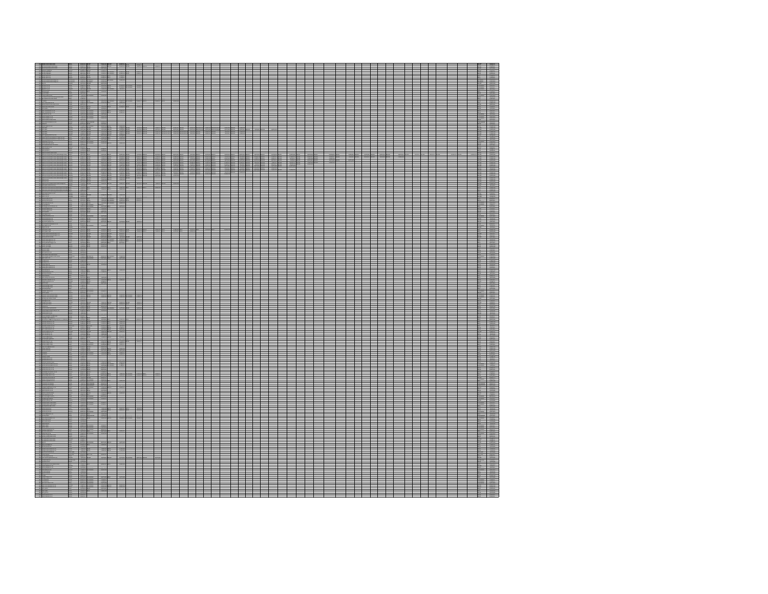|   | <b>Burney Box</b><br>Burney Box<br>Burney Box<br>≕ | ۳ |        |   |  |   |  |  |  |    |  |  |  |
|---|----------------------------------------------------|---|--------|---|--|---|--|--|--|----|--|--|--|
|   |                                                    |   |        |   |  |   |  |  |  |    |  |  |  |
|   |                                                    |   |        |   |  |   |  |  |  |    |  |  |  |
|   |                                                    | ╺ | –<br>╼ | — |  | ▀ |  |  |  |    |  |  |  |
|   |                                                    |   |        |   |  |   |  |  |  |    |  |  |  |
| 蘯 |                                                    |   |        |   |  |   |  |  |  |    |  |  |  |
|   |                                                    |   |        |   |  |   |  |  |  |    |  |  |  |
|   |                                                    |   |        |   |  |   |  |  |  |    |  |  |  |
|   |                                                    |   |        |   |  |   |  |  |  |    |  |  |  |
|   |                                                    |   |        |   |  |   |  |  |  |    |  |  |  |
|   | $\frac{1}{2}$                                      |   |        |   |  |   |  |  |  |    |  |  |  |
|   | æ                                                  |   |        |   |  |   |  |  |  |    |  |  |  |
|   |                                                    | Ц |        |   |  |   |  |  |  |    |  |  |  |
|   |                                                    |   |        |   |  |   |  |  |  |    |  |  |  |
|   |                                                    |   |        |   |  |   |  |  |  |    |  |  |  |
|   |                                                    |   |        |   |  |   |  |  |  |    |  |  |  |
|   |                                                    |   |        |   |  |   |  |  |  |    |  |  |  |
| W |                                                    |   |        |   |  |   |  |  |  |    |  |  |  |
| K |                                                    |   |        |   |  |   |  |  |  | ÷. |  |  |  |
|   |                                                    |   |        |   |  |   |  |  |  |    |  |  |  |
|   |                                                    |   |        |   |  |   |  |  |  |    |  |  |  |
|   |                                                    |   |        |   |  |   |  |  |  |    |  |  |  |
|   |                                                    |   |        |   |  |   |  |  |  |    |  |  |  |
|   |                                                    |   |        |   |  |   |  |  |  |    |  |  |  |
|   |                                                    |   |        |   |  |   |  |  |  |    |  |  |  |
|   |                                                    |   |        |   |  |   |  |  |  |    |  |  |  |
|   |                                                    |   |        |   |  |   |  |  |  |    |  |  |  |
|   |                                                    |   |        |   |  |   |  |  |  |    |  |  |  |
|   |                                                    |   |        |   |  |   |  |  |  |    |  |  |  |
|   |                                                    |   |        |   |  |   |  |  |  |    |  |  |  |
|   |                                                    |   |        |   |  |   |  |  |  |    |  |  |  |
|   |                                                    |   |        |   |  |   |  |  |  |    |  |  |  |
|   |                                                    |   |        |   |  |   |  |  |  |    |  |  |  |
|   |                                                    |   |        |   |  |   |  |  |  |    |  |  |  |
|   |                                                    |   |        |   |  |   |  |  |  |    |  |  |  |
|   |                                                    |   |        |   |  |   |  |  |  |    |  |  |  |
|   |                                                    |   |        |   |  |   |  |  |  |    |  |  |  |
|   |                                                    |   |        |   |  |   |  |  |  |    |  |  |  |
|   |                                                    |   |        |   |  |   |  |  |  |    |  |  |  |
|   |                                                    |   |        |   |  |   |  |  |  |    |  |  |  |
|   |                                                    |   |        |   |  |   |  |  |  |    |  |  |  |
|   |                                                    |   |        |   |  |   |  |  |  |    |  |  |  |
|   |                                                    |   |        |   |  |   |  |  |  |    |  |  |  |
|   |                                                    |   |        |   |  |   |  |  |  |    |  |  |  |
|   |                                                    |   |        |   |  |   |  |  |  |    |  |  |  |
|   |                                                    |   |        |   |  |   |  |  |  |    |  |  |  |
|   |                                                    |   |        |   |  |   |  |  |  |    |  |  |  |
|   |                                                    |   |        |   |  |   |  |  |  |    |  |  |  |
|   |                                                    |   |        |   |  |   |  |  |  |    |  |  |  |
|   |                                                    |   |        |   |  |   |  |  |  |    |  |  |  |
|   |                                                    |   |        |   |  |   |  |  |  |    |  |  |  |
|   |                                                    |   |        |   |  |   |  |  |  |    |  |  |  |
|   |                                                    |   |        |   |  |   |  |  |  |    |  |  |  |
|   |                                                    |   |        |   |  |   |  |  |  |    |  |  |  |
|   |                                                    |   |        |   |  |   |  |  |  |    |  |  |  |
|   |                                                    |   |        |   |  |   |  |  |  |    |  |  |  |
|   |                                                    |   |        |   |  |   |  |  |  |    |  |  |  |
|   |                                                    |   |        |   |  |   |  |  |  |    |  |  |  |
|   |                                                    |   |        |   |  |   |  |  |  |    |  |  |  |
|   |                                                    |   |        |   |  |   |  |  |  |    |  |  |  |
|   |                                                    |   |        |   |  |   |  |  |  |    |  |  |  |
| N |                                                    |   |        |   |  |   |  |  |  |    |  |  |  |
|   |                                                    |   |        |   |  |   |  |  |  |    |  |  |  |
|   |                                                    |   |        |   |  |   |  |  |  |    |  |  |  |
|   |                                                    |   |        |   |  |   |  |  |  |    |  |  |  |
|   |                                                    |   |        |   |  |   |  |  |  |    |  |  |  |
|   |                                                    |   |        |   |  |   |  |  |  |    |  |  |  |
|   |                                                    |   |        |   |  |   |  |  |  |    |  |  |  |
|   |                                                    |   |        |   |  |   |  |  |  |    |  |  |  |
|   |                                                    |   |        |   |  |   |  |  |  |    |  |  |  |
|   |                                                    |   |        |   |  |   |  |  |  |    |  |  |  |
|   |                                                    |   |        |   |  |   |  |  |  |    |  |  |  |
|   |                                                    |   |        |   |  |   |  |  |  |    |  |  |  |
|   |                                                    |   |        |   |  |   |  |  |  |    |  |  |  |
|   |                                                    |   |        |   |  |   |  |  |  |    |  |  |  |
|   |                                                    |   |        |   |  |   |  |  |  |    |  |  |  |
|   |                                                    |   |        |   |  |   |  |  |  |    |  |  |  |
|   |                                                    |   |        |   |  |   |  |  |  |    |  |  |  |
|   |                                                    |   |        |   |  |   |  |  |  |    |  |  |  |
|   |                                                    |   |        |   |  |   |  |  |  |    |  |  |  |
|   |                                                    |   |        |   |  |   |  |  |  |    |  |  |  |
|   |                                                    |   |        |   |  |   |  |  |  |    |  |  |  |
|   |                                                    |   |        |   |  |   |  |  |  |    |  |  |  |
|   |                                                    |   |        |   |  |   |  |  |  |    |  |  |  |
|   |                                                    |   |        |   |  |   |  |  |  |    |  |  |  |
|   |                                                    |   |        |   |  |   |  |  |  |    |  |  |  |
|   |                                                    |   |        |   |  |   |  |  |  |    |  |  |  |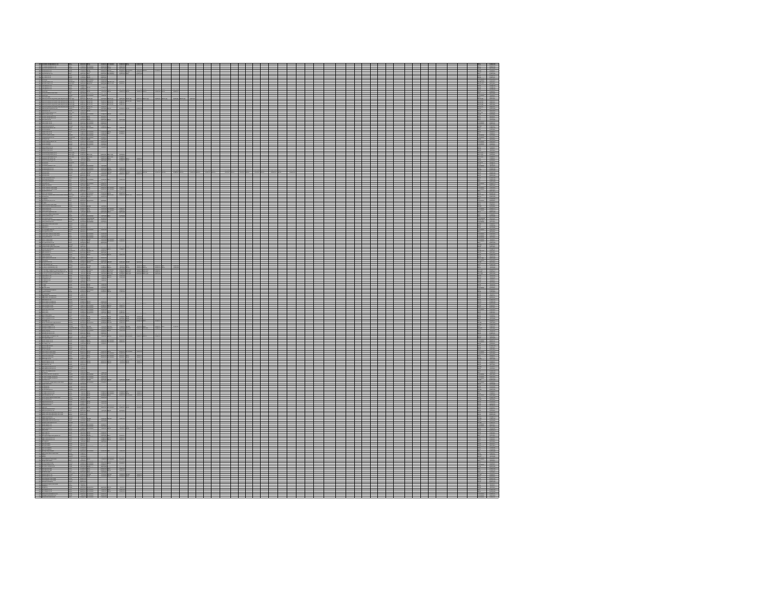| 鱷        |  | <b>Series</b>            | $\overline{\phantom{a}}$ |  |  |  |  |  |  |  |  |  |  |
|----------|--|--------------------------|--------------------------|--|--|--|--|--|--|--|--|--|--|
|          |  |                          |                          |  |  |  |  |  |  |  |  |  |  |
|          |  |                          |                          |  |  |  |  |  |  |  |  |  |  |
|          |  |                          |                          |  |  |  |  |  |  |  |  |  |  |
|          |  |                          |                          |  |  |  |  |  |  |  |  |  |  |
|          |  |                          |                          |  |  |  |  |  |  |  |  |  |  |
|          |  |                          |                          |  |  |  |  |  |  |  |  |  |  |
|          |  |                          |                          |  |  |  |  |  |  |  |  |  |  |
|          |  |                          |                          |  |  |  |  |  |  |  |  |  |  |
|          |  |                          |                          |  |  |  |  |  |  |  |  |  |  |
|          |  |                          |                          |  |  |  |  |  |  |  |  |  |  |
|          |  |                          |                          |  |  |  |  |  |  |  |  |  |  |
|          |  |                          |                          |  |  |  |  |  |  |  |  |  |  |
|          |  |                          |                          |  |  |  |  |  |  |  |  |  |  |
|          |  |                          |                          |  |  |  |  |  |  |  |  |  |  |
|          |  |                          |                          |  |  |  |  |  |  |  |  |  |  |
|          |  |                          |                          |  |  |  |  |  |  |  |  |  |  |
|          |  |                          |                          |  |  |  |  |  |  |  |  |  |  |
|          |  |                          |                          |  |  |  |  |  |  |  |  |  |  |
|          |  |                          |                          |  |  |  |  |  |  |  |  |  |  |
|          |  |                          |                          |  |  |  |  |  |  |  |  |  |  |
| Ξ        |  |                          |                          |  |  |  |  |  |  |  |  |  |  |
|          |  |                          |                          |  |  |  |  |  |  |  |  |  |  |
|          |  |                          |                          |  |  |  |  |  |  |  |  |  |  |
|          |  |                          |                          |  |  |  |  |  |  |  |  |  |  |
|          |  |                          |                          |  |  |  |  |  |  |  |  |  |  |
|          |  |                          |                          |  |  |  |  |  |  |  |  |  |  |
|          |  |                          |                          |  |  |  |  |  |  |  |  |  |  |
|          |  |                          |                          |  |  |  |  |  |  |  |  |  |  |
|          |  | ╕                        |                          |  |  |  |  |  |  |  |  |  |  |
|          |  |                          |                          |  |  |  |  |  |  |  |  |  |  |
|          |  |                          |                          |  |  |  |  |  |  |  |  |  |  |
|          |  |                          |                          |  |  |  |  |  |  |  |  |  |  |
|          |  |                          |                          |  |  |  |  |  |  |  |  |  |  |
|          |  |                          |                          |  |  |  |  |  |  |  |  |  |  |
|          |  |                          |                          |  |  |  |  |  |  |  |  |  |  |
|          |  |                          |                          |  |  |  |  |  |  |  |  |  |  |
|          |  |                          |                          |  |  |  |  |  |  |  |  |  |  |
|          |  |                          |                          |  |  |  |  |  |  |  |  |  |  |
|          |  |                          |                          |  |  |  |  |  |  |  |  |  |  |
|          |  |                          |                          |  |  |  |  |  |  |  |  |  |  |
|          |  |                          |                          |  |  |  |  |  |  |  |  |  |  |
|          |  |                          |                          |  |  |  |  |  |  |  |  |  |  |
|          |  |                          |                          |  |  |  |  |  |  |  |  |  |  |
|          |  |                          |                          |  |  |  |  |  |  |  |  |  |  |
|          |  |                          |                          |  |  |  |  |  |  |  |  |  |  |
|          |  |                          |                          |  |  |  |  |  |  |  |  |  |  |
|          |  |                          |                          |  |  |  |  |  |  |  |  |  |  |
|          |  |                          |                          |  |  |  |  |  |  |  |  |  |  |
|          |  |                          |                          |  |  |  |  |  |  |  |  |  |  |
|          |  |                          |                          |  |  |  |  |  |  |  |  |  |  |
|          |  |                          |                          |  |  |  |  |  |  |  |  |  |  |
|          |  |                          |                          |  |  |  |  |  |  |  |  |  |  |
|          |  |                          |                          |  |  |  |  |  |  |  |  |  |  |
| $\equiv$ |  | $\overline{\phantom{0}}$ | $\blacksquare$           |  |  |  |  |  |  |  |  |  |  |
|          |  |                          |                          |  |  |  |  |  |  |  |  |  |  |
|          |  |                          |                          |  |  |  |  |  |  |  |  |  |  |
|          |  |                          |                          |  |  |  |  |  |  |  |  |  |  |
|          |  |                          |                          |  |  |  |  |  |  |  |  |  |  |
|          |  |                          |                          |  |  |  |  |  |  |  |  |  |  |
|          |  |                          |                          |  |  |  |  |  |  |  |  |  |  |
|          |  |                          |                          |  |  |  |  |  |  |  |  |  |  |
|          |  |                          |                          |  |  |  |  |  |  |  |  |  |  |
|          |  |                          |                          |  |  |  |  |  |  |  |  |  |  |
|          |  |                          |                          |  |  |  |  |  |  |  |  |  |  |
|          |  |                          |                          |  |  |  |  |  |  |  |  |  |  |
|          |  |                          |                          |  |  |  |  |  |  |  |  |  |  |
|          |  |                          |                          |  |  |  |  |  |  |  |  |  |  |
|          |  |                          |                          |  |  |  |  |  |  |  |  |  |  |
|          |  |                          |                          |  |  |  |  |  |  |  |  |  |  |
|          |  |                          |                          |  |  |  |  |  |  |  |  |  |  |
|          |  |                          |                          |  |  |  |  |  |  |  |  |  |  |
|          |  |                          |                          |  |  |  |  |  |  |  |  |  |  |
|          |  |                          |                          |  |  |  |  |  |  |  |  |  |  |
|          |  |                          |                          |  |  |  |  |  |  |  |  |  |  |
|          |  |                          |                          |  |  |  |  |  |  |  |  |  |  |
|          |  |                          |                          |  |  |  |  |  |  |  |  |  |  |
|          |  |                          |                          |  |  |  |  |  |  |  |  |  |  |
|          |  |                          |                          |  |  |  |  |  |  |  |  |  |  |
|          |  |                          |                          |  |  |  |  |  |  |  |  |  |  |
|          |  |                          |                          |  |  |  |  |  |  |  |  |  |  |
|          |  |                          |                          |  |  |  |  |  |  |  |  |  |  |
|          |  |                          |                          |  |  |  |  |  |  |  |  |  |  |
|          |  |                          |                          |  |  |  |  |  |  |  |  |  |  |
|          |  |                          |                          |  |  |  |  |  |  |  |  |  |  |
|          |  |                          |                          |  |  |  |  |  |  |  |  |  |  |
|          |  |                          |                          |  |  |  |  |  |  |  |  |  |  |
|          |  |                          |                          |  |  |  |  |  |  |  |  |  |  |
|          |  |                          |                          |  |  |  |  |  |  |  |  |  |  |
|          |  |                          |                          |  |  |  |  |  |  |  |  |  |  |
|          |  |                          |                          |  |  |  |  |  |  |  |  |  |  |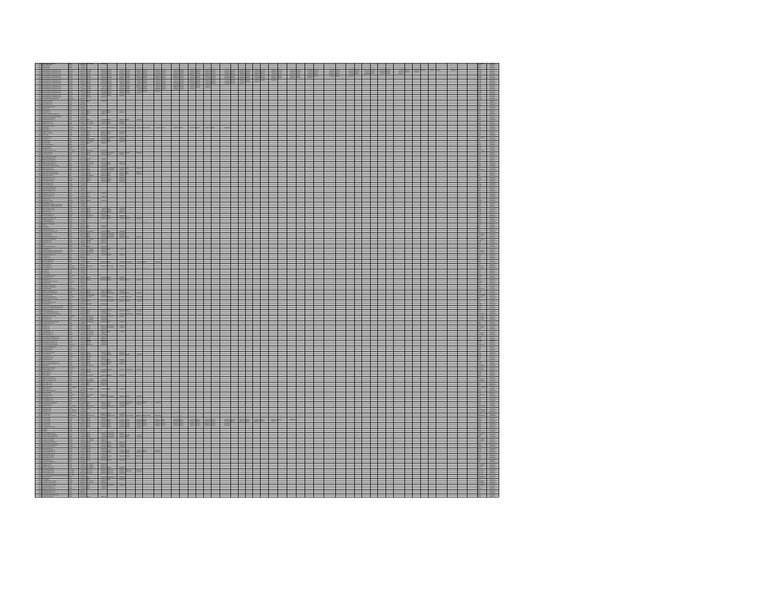| ≕                                   |  |  |  |  |  |
|-------------------------------------|--|--|--|--|--|
|                                     |  |  |  |  |  |
|                                     |  |  |  |  |  |
|                                     |  |  |  |  |  |
|                                     |  |  |  |  |  |
|                                     |  |  |  |  |  |
|                                     |  |  |  |  |  |
|                                     |  |  |  |  |  |
|                                     |  |  |  |  |  |
|                                     |  |  |  |  |  |
| <b>ING</b>                          |  |  |  |  |  |
|                                     |  |  |  |  |  |
|                                     |  |  |  |  |  |
| Milandari<br>Pilandari<br>Pilandari |  |  |  |  |  |
|                                     |  |  |  |  |  |
| $rac{1}{1500}$                      |  |  |  |  |  |
|                                     |  |  |  |  |  |
|                                     |  |  |  |  |  |
|                                     |  |  |  |  |  |
|                                     |  |  |  |  |  |
|                                     |  |  |  |  |  |
|                                     |  |  |  |  |  |
|                                     |  |  |  |  |  |
| $\frac{1}{2}$                       |  |  |  |  |  |
|                                     |  |  |  |  |  |
|                                     |  |  |  |  |  |
|                                     |  |  |  |  |  |
|                                     |  |  |  |  |  |
|                                     |  |  |  |  |  |
|                                     |  |  |  |  |  |
|                                     |  |  |  |  |  |
|                                     |  |  |  |  |  |
|                                     |  |  |  |  |  |
|                                     |  |  |  |  |  |
|                                     |  |  |  |  |  |
|                                     |  |  |  |  |  |
|                                     |  |  |  |  |  |
|                                     |  |  |  |  |  |
|                                     |  |  |  |  |  |
|                                     |  |  |  |  |  |
|                                     |  |  |  |  |  |
|                                     |  |  |  |  |  |
|                                     |  |  |  |  |  |
|                                     |  |  |  |  |  |
|                                     |  |  |  |  |  |
|                                     |  |  |  |  |  |
|                                     |  |  |  |  |  |
|                                     |  |  |  |  |  |
|                                     |  |  |  |  |  |
|                                     |  |  |  |  |  |
|                                     |  |  |  |  |  |
|                                     |  |  |  |  |  |
|                                     |  |  |  |  |  |
|                                     |  |  |  |  |  |
|                                     |  |  |  |  |  |
|                                     |  |  |  |  |  |
|                                     |  |  |  |  |  |
|                                     |  |  |  |  |  |
|                                     |  |  |  |  |  |
|                                     |  |  |  |  |  |
|                                     |  |  |  |  |  |
|                                     |  |  |  |  |  |
|                                     |  |  |  |  |  |
|                                     |  |  |  |  |  |
|                                     |  |  |  |  |  |
|                                     |  |  |  |  |  |
|                                     |  |  |  |  |  |
|                                     |  |  |  |  |  |
|                                     |  |  |  |  |  |
|                                     |  |  |  |  |  |
|                                     |  |  |  |  |  |
|                                     |  |  |  |  |  |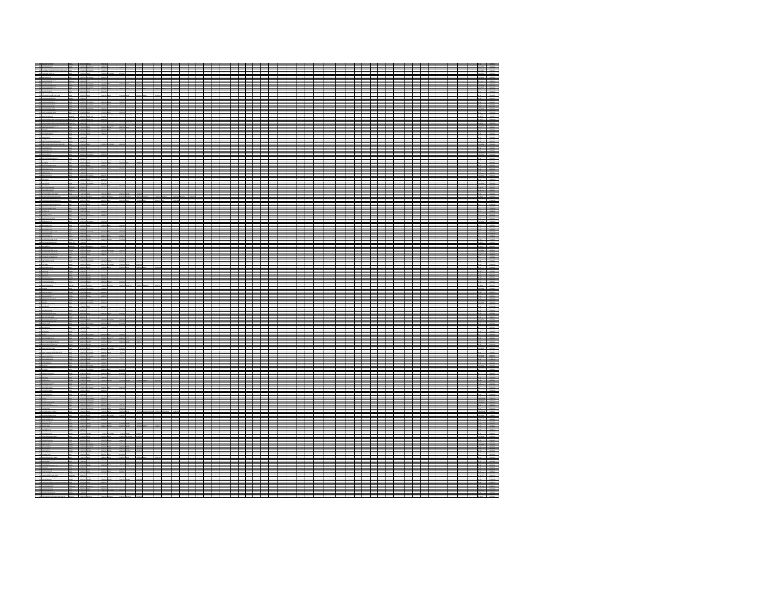| ÷<br>÷         |                                            |                               |                          |   |               |
|----------------|--------------------------------------------|-------------------------------|--------------------------|---|---------------|
|                |                                            | e e                           | $\overline{\phantom{0}}$ |   |               |
|                |                                            |                               |                          |   |               |
|                |                                            |                               |                          |   |               |
|                |                                            |                               |                          |   |               |
|                |                                            |                               |                          |   |               |
|                |                                            |                               |                          |   |               |
| ---            |                                            |                               |                          |   |               |
| Ħ              | ▆<br>Ш                                     | щ                             |                          | H |               |
|                |                                            |                               |                          |   |               |
|                |                                            |                               |                          |   |               |
|                |                                            |                               |                          |   |               |
|                |                                            |                               |                          |   |               |
|                |                                            |                               |                          |   |               |
| $\sim$         |                                            |                               |                          |   | -             |
|                |                                            |                               |                          |   |               |
|                |                                            |                               |                          |   |               |
|                |                                            |                               |                          |   |               |
|                |                                            |                               |                          |   |               |
|                |                                            |                               |                          |   |               |
|                |                                            |                               |                          |   |               |
|                | J<br>⊨                                     |                               |                          |   |               |
|                |                                            |                               |                          |   | ÷             |
|                |                                            |                               |                          |   | €             |
|                |                                            |                               |                          |   |               |
|                |                                            |                               |                          |   |               |
|                |                                            |                               |                          |   |               |
|                |                                            |                               |                          |   |               |
|                |                                            |                               |                          |   |               |
| <b>William</b> |                                            |                               |                          |   | $\frac{1}{2}$ |
|                |                                            |                               |                          |   |               |
|                |                                            |                               |                          |   | ≊             |
|                |                                            |                               |                          |   |               |
|                |                                            |                               |                          |   |               |
|                |                                            |                               |                          |   |               |
| $-$            | — 1<br>__<br>—<br>$\overline{\phantom{a}}$ | —<br>$\overline{\phantom{a}}$ |                          |   | $ -$          |
| <b>ANGER</b>   | <b>ANARY</b>                               |                               |                          |   |               |
|                |                                            |                               |                          |   |               |
|                |                                            |                               |                          |   |               |
|                |                                            |                               |                          |   |               |
|                |                                            |                               |                          |   |               |
|                |                                            |                               |                          |   |               |
|                |                                            |                               |                          |   |               |
| ═              | —                                          |                               |                          |   | $\sim$        |
|                |                                            |                               |                          |   |               |
|                | ╛                                          |                               | ▆<br>⊐                   |   |               |
|                |                                            |                               |                          |   |               |
|                |                                            |                               |                          |   |               |
|                |                                            |                               |                          |   |               |
|                |                                            |                               |                          |   |               |
|                |                                            |                               |                          |   |               |
| $\equiv$       |                                            |                               |                          |   | $\frac{1}{2}$ |
| 體體             | ▆                                          |                               |                          |   |               |
|                |                                            |                               |                          |   |               |
|                |                                            |                               |                          |   |               |
|                |                                            |                               |                          |   |               |
|                |                                            |                               |                          |   |               |
|                |                                            |                               |                          |   |               |
|                |                                            |                               |                          |   |               |
|                |                                            |                               |                          |   |               |
|                |                                            |                               |                          |   |               |
|                |                                            |                               |                          |   |               |
|                |                                            |                               |                          |   |               |
|                |                                            |                               |                          |   |               |
|                |                                            |                               |                          |   |               |
|                |                                            |                               |                          |   |               |
|                |                                            |                               |                          |   |               |
|                |                                            |                               |                          |   |               |
|                |                                            |                               |                          |   |               |
|                |                                            |                               |                          |   |               |
|                |                                            |                               |                          |   |               |
|                |                                            |                               |                          |   |               |
|                |                                            |                               |                          |   |               |
|                |                                            |                               |                          |   |               |
|                |                                            |                               |                          |   |               |
|                |                                            |                               |                          |   |               |
|                |                                            |                               |                          |   |               |
|                |                                            |                               |                          |   |               |
|                |                                            |                               |                          |   | ₩             |
|                |                                            |                               |                          |   |               |
|                |                                            |                               |                          |   |               |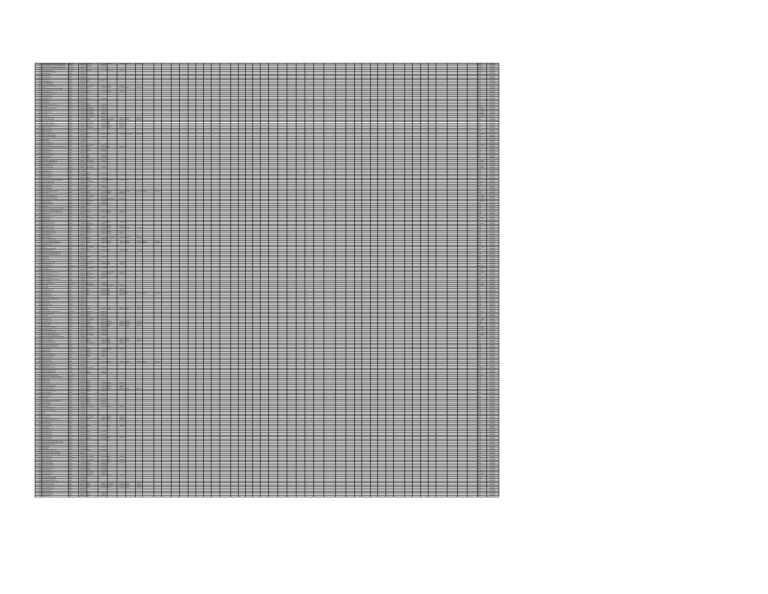|                     | l<br>═                   | =      |  |  |  |  |
|---------------------|--------------------------|--------|--|--|--|--|
|                     |                          |        |  |  |  |  |
|                     |                          |        |  |  |  |  |
|                     |                          |        |  |  |  |  |
|                     |                          |        |  |  |  |  |
|                     |                          |        |  |  |  |  |
|                     |                          |        |  |  |  |  |
|                     |                          |        |  |  |  |  |
| ÷                   |                          |        |  |  |  |  |
|                     |                          |        |  |  |  |  |
|                     |                          |        |  |  |  |  |
|                     |                          |        |  |  |  |  |
|                     |                          |        |  |  |  |  |
| --<br>--            | $\overline{\phantom{0}}$ | –<br>— |  |  |  |  |
|                     |                          |        |  |  |  |  |
|                     |                          |        |  |  |  |  |
|                     |                          |        |  |  |  |  |
|                     |                          |        |  |  |  |  |
|                     |                          |        |  |  |  |  |
|                     |                          |        |  |  |  |  |
|                     |                          |        |  |  |  |  |
|                     |                          |        |  |  |  |  |
| ₿                   |                          |        |  |  |  |  |
|                     |                          |        |  |  |  |  |
|                     |                          |        |  |  |  |  |
|                     |                          |        |  |  |  |  |
|                     |                          |        |  |  |  |  |
|                     |                          |        |  |  |  |  |
|                     |                          |        |  |  |  |  |
|                     |                          |        |  |  |  |  |
| W                   |                          |        |  |  |  |  |
|                     |                          |        |  |  |  |  |
|                     |                          |        |  |  |  |  |
|                     |                          |        |  |  |  |  |
|                     |                          |        |  |  |  |  |
|                     |                          |        |  |  |  |  |
|                     |                          |        |  |  |  |  |
| $\sim$ $\sim$<br>__ | --<br>___                | __     |  |  |  |  |
|                     |                          |        |  |  |  |  |
|                     |                          |        |  |  |  |  |
|                     |                          |        |  |  |  |  |
|                     |                          |        |  |  |  |  |
|                     |                          |        |  |  |  |  |
|                     |                          |        |  |  |  |  |
|                     |                          |        |  |  |  |  |
|                     |                          |        |  |  |  |  |
|                     |                          |        |  |  |  |  |
|                     |                          |        |  |  |  |  |
| 標                   |                          |        |  |  |  |  |
|                     |                          |        |  |  |  |  |
|                     |                          |        |  |  |  |  |
|                     |                          |        |  |  |  |  |
|                     |                          |        |  |  |  |  |
|                     |                          |        |  |  |  |  |
| ═                   |                          |        |  |  |  |  |
|                     |                          |        |  |  |  |  |
|                     |                          |        |  |  |  |  |
|                     |                          |        |  |  |  |  |
|                     |                          |        |  |  |  |  |
|                     |                          |        |  |  |  |  |
|                     |                          |        |  |  |  |  |
|                     |                          |        |  |  |  |  |
|                     |                          |        |  |  |  |  |
|                     |                          |        |  |  |  |  |
|                     |                          |        |  |  |  |  |
|                     |                          |        |  |  |  |  |
|                     |                          |        |  |  |  |  |
|                     |                          |        |  |  |  |  |
|                     |                          |        |  |  |  |  |
|                     |                          |        |  |  |  |  |
|                     |                          |        |  |  |  |  |
| W                   |                          |        |  |  |  |  |
|                     |                          |        |  |  |  |  |
|                     |                          |        |  |  |  |  |
|                     |                          |        |  |  |  |  |
|                     |                          |        |  |  |  |  |
|                     |                          |        |  |  |  |  |
|                     |                          |        |  |  |  |  |
|                     |                          |        |  |  |  |  |
|                     |                          |        |  |  |  |  |
|                     |                          |        |  |  |  |  |
|                     |                          |        |  |  |  |  |
|                     |                          |        |  |  |  |  |
|                     |                          |        |  |  |  |  |
|                     |                          |        |  |  |  |  |
| I                   |                          |        |  |  |  |  |
|                     |                          |        |  |  |  |  |
| ▆<br>$\sim$         |                          |        |  |  |  |  |
|                     |                          |        |  |  |  |  |
|                     |                          |        |  |  |  |  |
|                     |                          |        |  |  |  |  |
|                     |                          |        |  |  |  |  |
|                     |                          |        |  |  |  |  |
|                     |                          |        |  |  |  |  |
|                     |                          |        |  |  |  |  |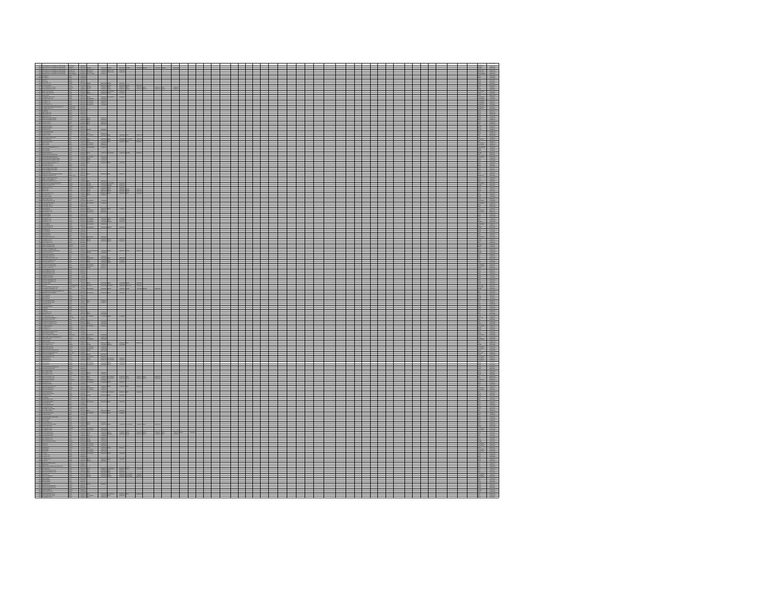|   |                |  | $\sim$ |  |  |  | Ξ |  |  |  |                  |
|---|----------------|--|--------|--|--|--|---|--|--|--|------------------|
|   |                |  |        |  |  |  |   |  |  |  |                  |
|   |                |  |        |  |  |  |   |  |  |  |                  |
|   |                |  |        |  |  |  |   |  |  |  |                  |
|   |                |  |        |  |  |  |   |  |  |  |                  |
|   |                |  |        |  |  |  |   |  |  |  |                  |
|   |                |  |        |  |  |  |   |  |  |  |                  |
|   | 1200101        |  |        |  |  |  |   |  |  |  | $\frac{1}{1564}$ |
|   |                |  |        |  |  |  |   |  |  |  |                  |
|   |                |  |        |  |  |  |   |  |  |  |                  |
|   |                |  |        |  |  |  |   |  |  |  |                  |
|   |                |  |        |  |  |  |   |  |  |  |                  |
|   |                |  |        |  |  |  |   |  |  |  |                  |
| 而 | <b>ASSAULT</b> |  |        |  |  |  |   |  |  |  |                  |
|   |                |  |        |  |  |  |   |  |  |  |                  |
|   |                |  |        |  |  |  |   |  |  |  |                  |
|   |                |  |        |  |  |  |   |  |  |  |                  |
|   |                |  |        |  |  |  |   |  |  |  |                  |
|   |                |  |        |  |  |  |   |  |  |  |                  |
|   |                |  |        |  |  |  |   |  |  |  |                  |
|   |                |  |        |  |  |  |   |  |  |  |                  |
|   |                |  |        |  |  |  |   |  |  |  |                  |
|   |                |  |        |  |  |  |   |  |  |  |                  |
|   |                |  |        |  |  |  |   |  |  |  |                  |
|   |                |  |        |  |  |  |   |  |  |  |                  |
|   |                |  |        |  |  |  |   |  |  |  |                  |
|   |                |  |        |  |  |  |   |  |  |  |                  |
|   |                |  |        |  |  |  |   |  |  |  |                  |
|   |                |  |        |  |  |  |   |  |  |  |                  |
|   |                |  |        |  |  |  |   |  |  |  |                  |
|   |                |  |        |  |  |  |   |  |  |  |                  |
|   |                |  |        |  |  |  |   |  |  |  |                  |
|   |                |  |        |  |  |  |   |  |  |  |                  |
|   |                |  |        |  |  |  |   |  |  |  |                  |
|   |                |  |        |  |  |  |   |  |  |  |                  |
|   |                |  |        |  |  |  |   |  |  |  |                  |
|   |                |  |        |  |  |  |   |  |  |  |                  |
|   |                |  |        |  |  |  |   |  |  |  |                  |
|   |                |  |        |  |  |  |   |  |  |  |                  |
|   |                |  |        |  |  |  |   |  |  |  |                  |
|   |                |  |        |  |  |  |   |  |  |  |                  |
|   |                |  |        |  |  |  |   |  |  |  |                  |
|   |                |  |        |  |  |  |   |  |  |  |                  |
|   |                |  |        |  |  |  |   |  |  |  |                  |
|   |                |  |        |  |  |  |   |  |  |  |                  |
|   |                |  |        |  |  |  |   |  |  |  |                  |
|   |                |  |        |  |  |  |   |  |  |  |                  |
|   |                |  |        |  |  |  |   |  |  |  |                  |
|   |                |  |        |  |  |  |   |  |  |  |                  |
|   |                |  |        |  |  |  |   |  |  |  |                  |
|   |                |  |        |  |  |  |   |  |  |  |                  |
|   |                |  |        |  |  |  |   |  |  |  |                  |
|   |                |  |        |  |  |  |   |  |  |  |                  |
|   |                |  |        |  |  |  |   |  |  |  |                  |
|   |                |  |        |  |  |  |   |  |  |  |                  |
|   |                |  |        |  |  |  |   |  |  |  |                  |
|   |                |  |        |  |  |  |   |  |  |  |                  |
|   |                |  |        |  |  |  |   |  |  |  |                  |
|   |                |  |        |  |  |  |   |  |  |  |                  |
|   |                |  |        |  |  |  |   |  |  |  |                  |
|   |                |  |        |  |  |  |   |  |  |  |                  |
|   |                |  |        |  |  |  |   |  |  |  |                  |
|   |                |  |        |  |  |  |   |  |  |  |                  |
|   |                |  |        |  |  |  |   |  |  |  |                  |
|   |                |  |        |  |  |  |   |  |  |  |                  |
|   |                |  |        |  |  |  |   |  |  |  |                  |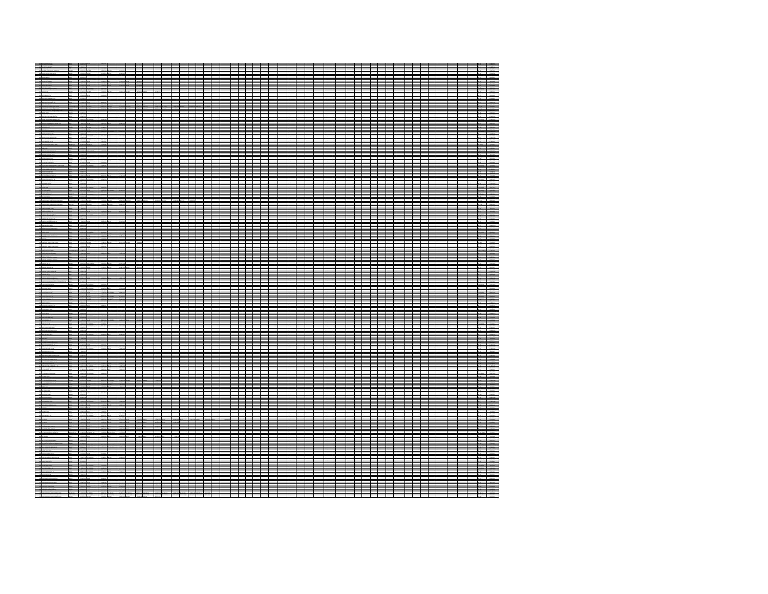|  | $\equiv$ |    |  |  |  |  |  |  |  |  |  |  |
|--|----------|----|--|--|--|--|--|--|--|--|--|--|
|  |          | J, |  |  |  |  |  |  |  |  |  |  |
|  |          |    |  |  |  |  |  |  |  |  |  |  |
|  |          |    |  |  |  |  |  |  |  |  |  |  |
|  |          |    |  |  |  |  |  |  |  |  |  |  |
|  |          |    |  |  |  |  |  |  |  |  |  |  |
|  |          |    |  |  |  |  |  |  |  |  |  |  |
|  |          |    |  |  |  |  |  |  |  |  |  |  |
|  |          |    |  |  |  |  |  |  |  |  |  |  |
|  |          |    |  |  |  |  |  |  |  |  |  |  |
|  |          |    |  |  |  |  |  |  |  |  |  |  |
|  |          |    |  |  |  |  |  |  |  |  |  |  |
|  |          |    |  |  |  |  |  |  |  |  |  |  |
|  |          |    |  |  |  |  |  |  |  |  |  |  |
|  |          |    |  |  |  |  |  |  |  |  |  |  |
|  |          |    |  |  |  |  |  |  |  |  |  |  |
|  |          |    |  |  |  |  |  |  |  |  |  |  |
|  |          |    |  |  |  |  |  |  |  |  |  |  |
|  |          |    |  |  |  |  |  |  |  |  |  |  |
|  |          |    |  |  |  |  |  |  |  |  |  |  |
|  |          |    |  |  |  |  |  |  |  |  |  |  |
|  |          |    |  |  |  |  |  |  |  |  |  |  |
|  |          |    |  |  |  |  |  |  |  |  |  |  |
|  |          |    |  |  |  |  |  |  |  |  |  |  |
|  |          |    |  |  |  |  |  |  |  |  |  |  |
|  |          |    |  |  |  |  |  |  |  |  |  |  |
|  |          |    |  |  |  |  |  |  |  |  |  |  |
|  |          |    |  |  |  |  |  |  |  |  |  |  |
|  |          |    |  |  |  |  |  |  |  |  |  |  |
|  |          |    |  |  |  |  |  |  |  |  |  |  |
|  |          |    |  |  |  |  |  |  |  |  |  |  |
|  |          |    |  |  |  |  |  |  |  |  |  |  |
|  |          |    |  |  |  |  |  |  |  |  |  |  |
|  | 靈        |    |  |  |  |  |  |  |  |  |  |  |
|  |          |    |  |  |  |  |  |  |  |  |  |  |
|  |          |    |  |  |  |  |  |  |  |  |  |  |
|  |          |    |  |  |  |  |  |  |  |  |  |  |
|  |          |    |  |  |  |  |  |  |  |  |  |  |
|  |          |    |  |  |  |  |  |  |  |  |  |  |
|  |          |    |  |  |  |  |  |  |  |  |  |  |
|  |          |    |  |  |  |  |  |  |  |  |  |  |
|  |          |    |  |  |  |  |  |  |  |  |  |  |
|  |          |    |  |  |  |  |  |  |  |  |  |  |
|  |          |    |  |  |  |  |  |  |  |  |  |  |
|  |          |    |  |  |  |  |  |  |  |  |  |  |
|  |          |    |  |  |  |  |  |  |  |  |  |  |
|  |          |    |  |  |  |  |  |  |  |  |  |  |
|  |          |    |  |  |  |  |  |  |  |  |  |  |
|  |          |    |  |  |  |  |  |  |  |  |  |  |
|  |          |    |  |  |  |  |  |  |  |  |  |  |
|  |          |    |  |  |  |  |  |  |  |  |  |  |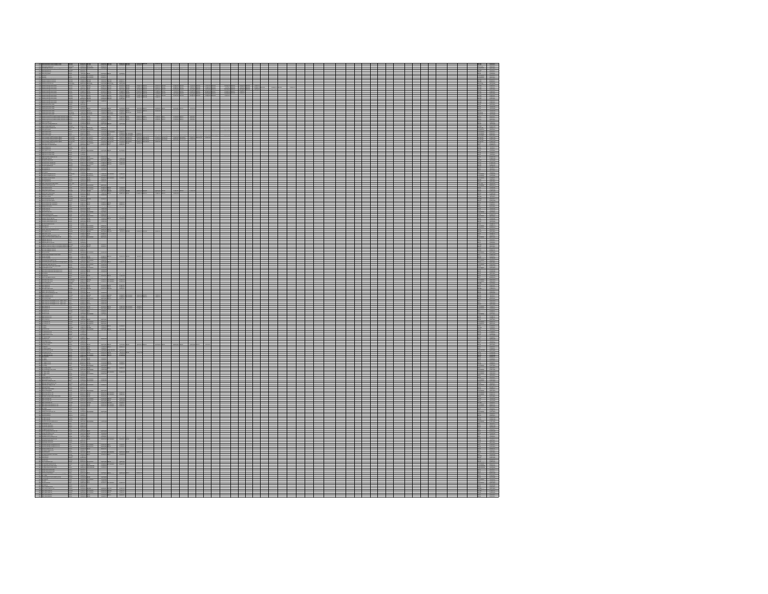|  |  | $\equiv$ |  | and an |  |  |  |  |  |  |  |  |  |  |  |
|--|--|----------|--|--------|--|--|--|--|--|--|--|--|--|--|--|
|  |  |          |  |        |  |  |  |  |  |  |  |  |  |  |  |
|  |  |          |  |        |  |  |  |  |  |  |  |  |  |  |  |
|  |  |          |  |        |  |  |  |  |  |  |  |  |  |  |  |
|  |  |          |  |        |  |  |  |  |  |  |  |  |  |  |  |
|  |  |          |  |        |  |  |  |  |  |  |  |  |  |  |  |
|  |  |          |  |        |  |  |  |  |  |  |  |  |  |  |  |
|  |  |          |  |        |  |  |  |  |  |  |  |  |  |  |  |
|  |  |          |  |        |  |  |  |  |  |  |  |  |  |  |  |
|  |  |          |  |        |  |  |  |  |  |  |  |  |  |  |  |
|  |  |          |  |        |  |  |  |  |  |  |  |  |  |  |  |
|  |  |          |  |        |  |  |  |  |  |  |  |  |  |  |  |
|  |  |          |  |        |  |  |  |  |  |  |  |  |  |  |  |
|  |  |          |  |        |  |  |  |  |  |  |  |  |  |  |  |
|  |  |          |  |        |  |  |  |  |  |  |  |  |  |  |  |
|  |  |          |  |        |  |  |  |  |  |  |  |  |  |  |  |
|  |  |          |  |        |  |  |  |  |  |  |  |  |  |  |  |
|  |  |          |  |        |  |  |  |  |  |  |  |  |  |  |  |
|  |  |          |  |        |  |  |  |  |  |  |  |  |  |  |  |
|  |  |          |  |        |  |  |  |  |  |  |  |  |  |  |  |
|  |  |          |  |        |  |  |  |  |  |  |  |  |  |  |  |
|  |  |          |  |        |  |  |  |  |  |  |  |  |  |  |  |
|  |  |          |  |        |  |  |  |  |  |  |  |  |  |  |  |
|  |  |          |  |        |  |  |  |  |  |  |  |  |  |  |  |
|  |  |          |  |        |  |  |  |  |  |  |  |  |  |  |  |
|  |  |          |  |        |  |  |  |  |  |  |  |  |  |  |  |
|  |  |          |  |        |  |  |  |  |  |  |  |  |  |  |  |
|  |  |          |  |        |  |  |  |  |  |  |  |  |  |  |  |
|  |  |          |  |        |  |  |  |  |  |  |  |  |  |  |  |
|  |  |          |  |        |  |  |  |  |  |  |  |  |  |  |  |
|  |  |          |  |        |  |  |  |  |  |  |  |  |  |  |  |
|  |  |          |  |        |  |  |  |  |  |  |  |  |  |  |  |
|  |  |          |  |        |  |  |  |  |  |  |  |  |  |  |  |
|  |  |          |  |        |  |  |  |  |  |  |  |  |  |  |  |
|  |  |          |  |        |  |  |  |  |  |  |  |  |  |  |  |
|  |  |          |  |        |  |  |  |  |  |  |  |  |  |  |  |
|  |  |          |  |        |  |  |  |  |  |  |  |  |  |  |  |
|  |  |          |  |        |  |  |  |  |  |  |  |  |  |  |  |
|  |  |          |  |        |  |  |  |  |  |  |  |  |  |  |  |
|  |  |          |  |        |  |  |  |  |  |  |  |  |  |  |  |
|  |  |          |  |        |  |  |  |  |  |  |  |  |  |  |  |
|  |  |          |  |        |  |  |  |  |  |  |  |  |  |  |  |
|  |  |          |  |        |  |  |  |  |  |  |  |  |  |  |  |
|  |  |          |  |        |  |  |  |  |  |  |  |  |  |  |  |
|  |  |          |  |        |  |  |  |  |  |  |  |  |  |  |  |
|  |  |          |  |        |  |  |  |  |  |  |  |  |  |  |  |
|  |  |          |  |        |  |  |  |  |  |  |  |  |  |  |  |
|  |  |          |  |        |  |  |  |  |  |  |  |  |  |  |  |
|  |  |          |  |        |  |  |  |  |  |  |  |  |  |  |  |
|  |  |          |  |        |  |  |  |  |  |  |  |  |  |  |  |
|  |  |          |  |        |  |  |  |  |  |  |  |  |  |  |  |
|  |  |          |  |        |  |  |  |  |  |  |  |  |  |  |  |
|  |  |          |  |        |  |  |  |  |  |  |  |  |  |  |  |
|  |  |          |  |        |  |  |  |  |  |  |  |  |  |  |  |
|  |  |          |  |        |  |  |  |  |  |  |  |  |  |  |  |
|  |  |          |  |        |  |  |  |  |  |  |  |  |  |  |  |
|  |  |          |  |        |  |  |  |  |  |  |  |  |  |  |  |
|  |  |          |  |        |  |  |  |  |  |  |  |  |  |  |  |
|  |  |          |  |        |  |  |  |  |  |  |  |  |  |  |  |
|  |  |          |  |        |  |  |  |  |  |  |  |  |  |  |  |
|  |  |          |  |        |  |  |  |  |  |  |  |  |  |  |  |
|  |  |          |  |        |  |  |  |  |  |  |  |  |  |  |  |
|  |  |          |  |        |  |  |  |  |  |  |  |  |  |  |  |
|  |  |          |  |        |  |  |  |  |  |  |  |  |  |  |  |
|  |  |          |  |        |  |  |  |  |  |  |  |  |  |  |  |
|  |  |          |  |        |  |  |  |  |  |  |  |  |  |  |  |
|  |  |          |  |        |  |  |  |  |  |  |  |  |  |  |  |
|  |  |          |  |        |  |  |  |  |  |  |  |  |  |  |  |
|  |  |          |  |        |  |  |  |  |  |  |  |  |  |  |  |
|  |  |          |  |        |  |  |  |  |  |  |  |  |  |  |  |
|  |  |          |  |        |  |  |  |  |  |  |  |  |  |  |  |
|  |  |          |  |        |  |  |  |  |  |  |  |  |  |  |  |
|  |  |          |  |        |  |  |  |  |  |  |  |  |  |  |  |
|  |  |          |  |        |  |  |  |  |  |  |  |  |  |  |  |
|  |  |          |  |        |  |  |  |  |  |  |  |  |  |  |  |
|  |  |          |  |        |  |  |  |  |  |  |  |  |  |  |  |
|  |  |          |  |        |  |  |  |  |  |  |  |  |  |  |  |
|  |  |          |  |        |  |  |  |  |  |  |  |  |  |  |  |
|  |  |          |  |        |  |  |  |  |  |  |  |  |  |  |  |
|  |  |          |  |        |  |  |  |  |  |  |  |  |  |  |  |
|  |  |          |  |        |  |  |  |  |  |  |  |  |  |  |  |
|  |  |          |  |        |  |  |  |  |  |  |  |  |  |  |  |
|  |  |          |  |        |  |  |  |  |  |  |  |  |  |  |  |
|  |  |          |  |        |  |  |  |  |  |  |  |  |  |  |  |
|  |  |          |  |        |  |  |  |  |  |  |  |  |  |  |  |
|  |  |          |  |        |  |  |  |  |  |  |  |  |  |  |  |
|  |  |          |  |        |  |  |  |  |  |  |  |  |  |  |  |
|  |  |          |  |        |  |  |  |  |  |  |  |  |  |  |  |
|  |  |          |  |        |  |  |  |  |  |  |  |  |  |  |  |
|  |  |          |  |        |  |  |  |  |  |  |  |  |  |  |  |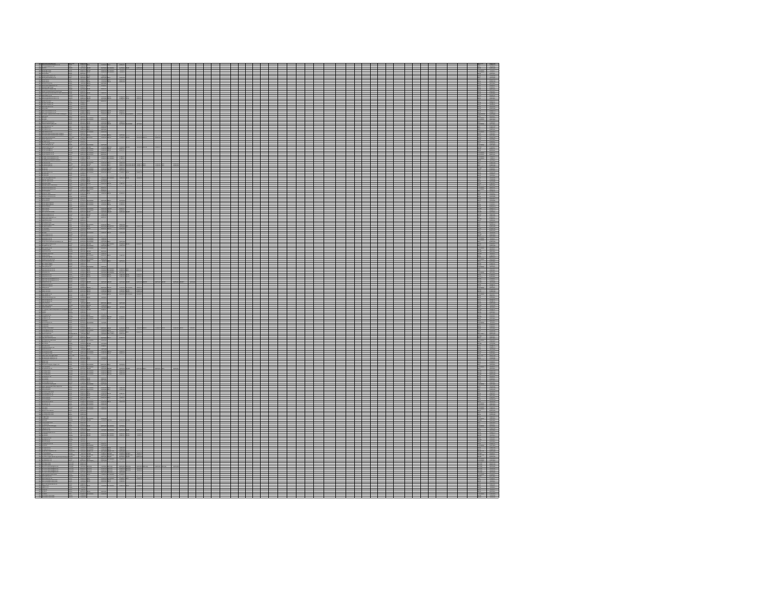|               | <b>Stage</b>  |  |  |  |   |  |  |  |  |  |  |  |
|---------------|---------------|--|--|--|---|--|--|--|--|--|--|--|
|               |               |  |  |  |   |  |  |  |  |  |  |  |
|               |               |  |  |  |   |  |  |  |  |  |  |  |
|               |               |  |  |  |   |  |  |  |  |  |  |  |
|               |               |  |  |  |   |  |  |  |  |  |  |  |
|               |               |  |  |  |   |  |  |  |  |  |  |  |
|               |               |  |  |  |   |  |  |  |  |  |  |  |
|               | <b>COLOR</b>  |  |  |  |   |  |  |  |  |  |  |  |
|               |               |  |  |  |   |  |  |  |  |  |  |  |
|               |               |  |  |  |   |  |  |  |  |  |  |  |
|               |               |  |  |  |   |  |  |  |  |  |  |  |
|               |               |  |  |  |   |  |  |  |  |  |  |  |
|               |               |  |  |  |   |  |  |  |  |  |  |  |
|               |               |  |  |  |   |  |  |  |  |  |  |  |
|               |               |  |  |  |   |  |  |  |  |  |  |  |
|               |               |  |  |  |   |  |  |  |  |  |  |  |
|               |               |  |  |  |   |  |  |  |  |  |  |  |
|               |               |  |  |  |   |  |  |  |  |  |  |  |
|               |               |  |  |  |   |  |  |  |  |  |  |  |
|               |               |  |  |  |   |  |  |  |  |  |  |  |
|               |               |  |  |  |   |  |  |  |  |  |  |  |
|               |               |  |  |  |   |  |  |  |  |  |  |  |
|               |               |  |  |  |   |  |  |  |  |  |  |  |
|               |               |  |  |  |   |  |  |  |  |  |  |  |
|               | $\equiv$      |  |  |  | Ξ |  |  |  |  |  |  |  |
|               |               |  |  |  |   |  |  |  |  |  |  |  |
|               |               |  |  |  |   |  |  |  |  |  |  |  |
|               |               |  |  |  |   |  |  |  |  |  |  |  |
|               |               |  |  |  |   |  |  |  |  |  |  |  |
|               |               |  |  |  |   |  |  |  |  |  |  |  |
|               |               |  |  |  |   |  |  |  |  |  |  |  |
| $\frac{1}{2}$ |               |  |  |  |   |  |  |  |  |  |  |  |
|               |               |  |  |  |   |  |  |  |  |  |  |  |
| ł             | $\frac{1}{2}$ |  |  |  |   |  |  |  |  |  |  |  |
|               |               |  |  |  |   |  |  |  |  |  |  |  |
|               | 闘             |  |  |  |   |  |  |  |  |  |  |  |
|               |               |  |  |  |   |  |  |  |  |  |  |  |
|               |               |  |  |  |   |  |  |  |  |  |  |  |
|               |               |  |  |  |   |  |  |  |  |  |  |  |
|               |               |  |  |  |   |  |  |  |  |  |  |  |
|               |               |  |  |  |   |  |  |  |  |  |  |  |
|               |               |  |  |  |   |  |  |  |  |  |  |  |
| $100 - 100$   | æ             |  |  |  |   |  |  |  |  |  |  |  |
|               |               |  |  |  |   |  |  |  |  |  |  |  |
|               |               |  |  |  |   |  |  |  |  |  |  |  |
|               |               |  |  |  |   |  |  |  |  |  |  |  |
|               |               |  |  |  |   |  |  |  |  |  |  |  |
|               |               |  |  |  |   |  |  |  |  |  |  |  |
|               |               |  |  |  |   |  |  |  |  |  |  |  |
|               |               |  |  |  |   |  |  |  |  |  |  |  |
|               |               |  |  |  |   |  |  |  |  |  |  |  |
|               |               |  |  |  |   |  |  |  |  |  |  |  |
|               |               |  |  |  |   |  |  |  |  |  |  |  |
|               |               |  |  |  |   |  |  |  |  |  |  |  |
|               |               |  |  |  |   |  |  |  |  |  |  |  |
|               |               |  |  |  |   |  |  |  |  |  |  |  |
|               |               |  |  |  |   |  |  |  |  |  |  |  |
|               |               |  |  |  |   |  |  |  |  |  |  |  |
|               |               |  |  |  |   |  |  |  |  |  |  |  |
|               |               |  |  |  |   |  |  |  |  |  |  |  |
|               |               |  |  |  |   |  |  |  |  |  |  |  |
|               |               |  |  |  |   |  |  |  |  |  |  |  |
|               |               |  |  |  |   |  |  |  |  |  |  |  |
|               |               |  |  |  |   |  |  |  |  |  |  |  |
|               |               |  |  |  |   |  |  |  |  |  |  |  |
|               |               |  |  |  |   |  |  |  |  |  |  |  |
|               |               |  |  |  |   |  |  |  |  |  |  |  |
|               |               |  |  |  |   |  |  |  |  |  |  |  |
|               |               |  |  |  |   |  |  |  |  |  |  |  |
|               |               |  |  |  |   |  |  |  |  |  |  |  |
|               |               |  |  |  |   |  |  |  |  |  |  |  |
|               |               |  |  |  |   |  |  |  |  |  |  |  |
|               |               |  |  |  |   |  |  |  |  |  |  |  |
|               |               |  |  |  |   |  |  |  |  |  |  |  |
|               |               |  |  |  |   |  |  |  |  |  |  |  |
|               |               |  |  |  |   |  |  |  |  |  |  |  |
|               |               |  |  |  |   |  |  |  |  |  |  |  |
|               |               |  |  |  |   |  |  |  |  |  |  |  |
|               |               |  |  |  |   |  |  |  |  |  |  |  |
|               |               |  |  |  |   |  |  |  |  |  |  |  |
|               |               |  |  |  |   |  |  |  |  |  |  |  |
|               |               |  |  |  |   |  |  |  |  |  |  |  |
|               |               |  |  |  |   |  |  |  |  |  |  |  |
|               |               |  |  |  |   |  |  |  |  |  |  |  |
|               |               |  |  |  |   |  |  |  |  |  |  |  |
| 雛雛            | 33/20         |  |  |  |   |  |  |  |  |  |  |  |
|               |               |  |  |  |   |  |  |  |  |  |  |  |
|               |               |  |  |  |   |  |  |  |  |  |  |  |
|               |               |  |  |  |   |  |  |  |  |  |  |  |
|               |               |  |  |  |   |  |  |  |  |  |  |  |
|               |               |  |  |  |   |  |  |  |  |  |  |  |
|               |               |  |  |  |   |  |  |  |  |  |  |  |
|               |               |  |  |  |   |  |  |  |  |  |  |  |
|               |               |  |  |  |   |  |  |  |  |  |  |  |
|               |               |  |  |  |   |  |  |  |  |  |  |  |
|               |               |  |  |  |   |  |  |  |  |  |  |  |
|               |               |  |  |  |   |  |  |  |  |  |  |  |
|               |               |  |  |  |   |  |  |  |  |  |  |  |
|               |               |  |  |  |   |  |  |  |  |  |  |  |
|               |               |  |  |  |   |  |  |  |  |  |  |  |
|               |               |  |  |  |   |  |  |  |  |  |  |  |
|               |               |  |  |  |   |  |  |  |  |  |  |  |
|               |               |  |  |  |   |  |  |  |  |  |  |  |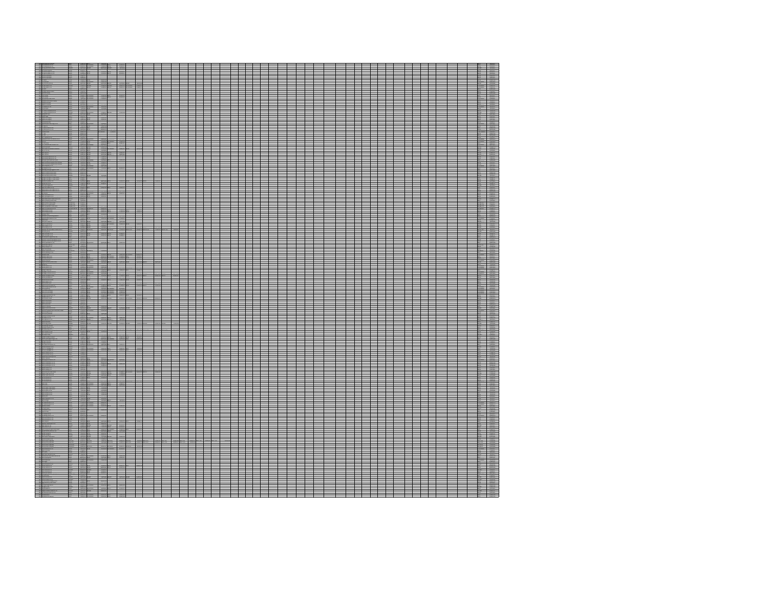|              | —           | __ |  |  | –    |  |  |  |  |  |  |  |
|--------------|-------------|----|--|--|------|--|--|--|--|--|--|--|
|              |             |    |  |  |      |  |  |  |  |  |  |  |
|              |             |    |  |  |      |  |  |  |  |  |  |  |
|              |             |    |  |  |      |  |  |  |  |  |  |  |
|              |             |    |  |  |      |  |  |  |  |  |  |  |
|              |             |    |  |  |      |  |  |  |  |  |  |  |
|              |             |    |  |  |      |  |  |  |  |  |  |  |
|              |             |    |  |  |      |  |  |  |  |  |  |  |
|              |             |    |  |  |      |  |  |  |  |  |  |  |
| 篇            |             |    |  |  | 33 S |  |  |  |  |  |  |  |
|              |             |    |  |  |      |  |  |  |  |  |  |  |
|              |             |    |  |  |      |  |  |  |  |  |  |  |
|              |             |    |  |  |      |  |  |  |  |  |  |  |
|              |             |    |  |  |      |  |  |  |  |  |  |  |
|              |             |    |  |  |      |  |  |  |  |  |  |  |
|              | $rac{1}{1}$ |    |  |  |      |  |  |  |  |  |  |  |
|              |             |    |  |  |      |  |  |  |  |  |  |  |
|              |             |    |  |  |      |  |  |  |  |  |  |  |
|              |             |    |  |  |      |  |  |  |  |  |  |  |
|              |             |    |  |  |      |  |  |  |  |  |  |  |
|              |             |    |  |  |      |  |  |  |  |  |  |  |
|              |             |    |  |  |      |  |  |  |  |  |  |  |
|              |             |    |  |  |      |  |  |  |  |  |  |  |
|              |             |    |  |  |      |  |  |  |  |  |  |  |
|              |             |    |  |  |      |  |  |  |  |  |  |  |
|              |             |    |  |  |      |  |  |  |  |  |  |  |
|              |             |    |  |  |      |  |  |  |  |  |  |  |
|              |             |    |  |  |      |  |  |  |  |  |  |  |
|              |             |    |  |  |      |  |  |  |  |  |  |  |
|              |             |    |  |  |      |  |  |  |  |  |  |  |
|              |             |    |  |  |      |  |  |  |  |  |  |  |
|              |             |    |  |  |      |  |  |  |  |  |  |  |
|              |             |    |  |  |      |  |  |  |  |  |  |  |
|              |             |    |  |  |      |  |  |  |  |  |  |  |
|              |             |    |  |  |      |  |  |  |  |  |  |  |
|              |             |    |  |  |      |  |  |  |  |  |  |  |
|              |             |    |  |  |      |  |  |  |  |  |  |  |
|              |             |    |  |  |      |  |  |  |  |  |  |  |
| <b>ANGEL</b> | ᆕ           |    |  |  |      |  |  |  |  |  |  |  |
|              |             |    |  |  |      |  |  |  |  |  |  |  |
|              |             |    |  |  |      |  |  |  |  |  |  |  |
|              |             |    |  |  |      |  |  |  |  |  |  |  |
|              |             |    |  |  |      |  |  |  |  |  |  |  |
|              |             |    |  |  |      |  |  |  |  |  |  |  |
|              |             |    |  |  |      |  |  |  |  |  |  |  |
|              |             |    |  |  |      |  |  |  |  |  |  |  |
|              | ÷<br>÷      |    |  |  |      |  |  |  |  |  |  |  |
|              |             |    |  |  |      |  |  |  |  |  |  |  |
|              |             |    |  |  |      |  |  |  |  |  |  |  |
|              |             |    |  |  |      |  |  |  |  |  |  |  |
|              |             |    |  |  |      |  |  |  |  |  |  |  |
|              |             |    |  |  |      |  |  |  |  |  |  |  |
|              |             |    |  |  |      |  |  |  |  |  |  |  |
|              |             |    |  |  |      |  |  |  |  |  |  |  |
|              |             |    |  |  |      |  |  |  |  |  |  |  |
|              |             |    |  |  |      |  |  |  |  |  |  |  |
|              |             |    |  |  |      |  |  |  |  |  |  |  |
|              |             |    |  |  |      |  |  |  |  |  |  |  |
|              |             |    |  |  |      |  |  |  |  |  |  |  |
|              |             |    |  |  |      |  |  |  |  |  |  |  |
|              |             |    |  |  |      |  |  |  |  |  |  |  |
|              |             |    |  |  |      |  |  |  |  |  |  |  |
|              |             |    |  |  |      |  |  |  |  |  |  |  |
|              |             |    |  |  |      |  |  |  |  |  |  |  |
|              |             |    |  |  |      |  |  |  |  |  |  |  |
|              |             |    |  |  |      |  |  |  |  |  |  |  |
|              |             |    |  |  |      |  |  |  |  |  |  |  |
|              |             |    |  |  |      |  |  |  |  |  |  |  |
| <b>Show</b>  | 1500        |    |  |  |      |  |  |  |  |  |  |  |
|              |             |    |  |  |      |  |  |  |  |  |  |  |
|              |             |    |  |  |      |  |  |  |  |  |  |  |
|              |             |    |  |  |      |  |  |  |  |  |  |  |
|              |             |    |  |  |      |  |  |  |  |  |  |  |
|              |             |    |  |  |      |  |  |  |  |  |  |  |
|              |             |    |  |  |      |  |  |  |  |  |  |  |
|              |             |    |  |  |      |  |  |  |  |  |  |  |
| ł            |             |    |  |  |      |  |  |  |  |  |  |  |
|              |             |    |  |  |      |  |  |  |  |  |  |  |
|              |             |    |  |  |      |  |  |  |  |  |  |  |
|              |             |    |  |  |      |  |  |  |  |  |  |  |
|              |             |    |  |  |      |  |  |  |  |  |  |  |
|              |             |    |  |  |      |  |  |  |  |  |  |  |
|              |             |    |  |  |      |  |  |  |  |  |  |  |
|              |             |    |  |  |      |  |  |  |  |  |  |  |
|              |             |    |  |  |      |  |  |  |  |  |  |  |
|              |             |    |  |  |      |  |  |  |  |  |  |  |
|              |             |    |  |  |      |  |  |  |  |  |  |  |
|              |             |    |  |  |      |  |  |  |  |  |  |  |
|              |             |    |  |  |      |  |  |  |  |  |  |  |
|              |             |    |  |  |      |  |  |  |  |  |  |  |
|              |             |    |  |  |      |  |  |  |  |  |  |  |
|              |             |    |  |  |      |  |  |  |  |  |  |  |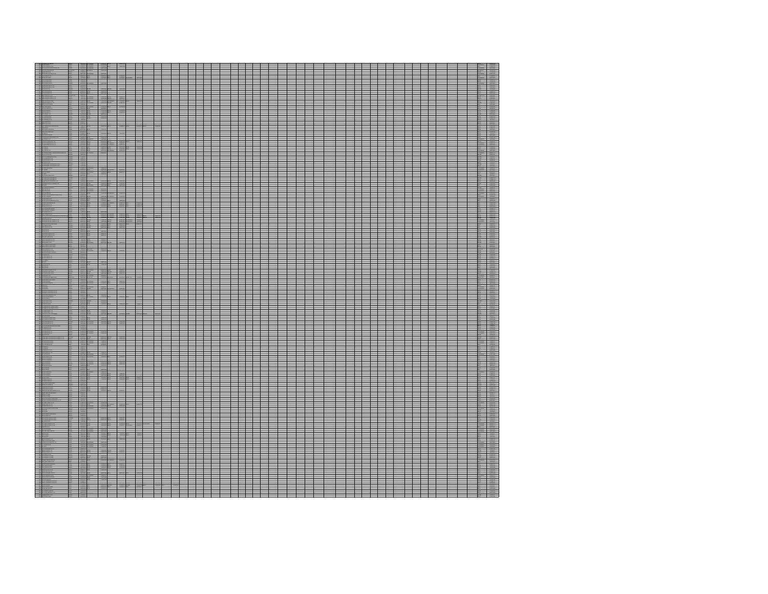|    |                                                                                                                                                                                     |          | ━                        |  |  |  |  |  |  |  |  |  |  |  |
|----|-------------------------------------------------------------------------------------------------------------------------------------------------------------------------------------|----------|--------------------------|--|--|--|--|--|--|--|--|--|--|--|
|    |                                                                                                                                                                                     |          |                          |  |  |  |  |  |  |  |  |  |  |  |
| W  |                                                                                                                                                                                     |          |                          |  |  |  |  |  |  |  |  |  |  |  |
|    |                                                                                                                                                                                     |          |                          |  |  |  |  |  |  |  |  |  |  |  |
|    |                                                                                                                                                                                     |          |                          |  |  |  |  |  |  |  |  |  |  |  |
|    |                                                                                                                                                                                     |          |                          |  |  |  |  |  |  |  |  |  |  |  |
|    |                                                                                                                                                                                     |          |                          |  |  |  |  |  |  |  |  |  |  |  |
|    |                                                                                                                                                                                     |          |                          |  |  |  |  |  |  |  |  |  |  |  |
|    |                                                                                                                                                                                     |          |                          |  |  |  |  |  |  |  |  |  |  |  |
|    |                                                                                                                                                                                     | $\equiv$ |                          |  |  |  |  |  |  |  |  |  |  |  |
|    | $\begin{tabular}{ c c } \hline A B B C B \\ \hline \hline 1500 & 0.0000 \\ \hline 0.0000 & 0.0000 \\ \hline 0.0000 & 0.0000 \\ \hline 0.0000 & 0.0000 \\ \hline \end{tabular}$<br>÷ |          |                          |  |  |  |  |  |  |  |  |  |  |  |
|    |                                                                                                                                                                                     | Ħ        | $\overline{\phantom{0}}$ |  |  |  |  |  |  |  |  |  |  |  |
|    |                                                                                                                                                                                     |          |                          |  |  |  |  |  |  |  |  |  |  |  |
|    |                                                                                                                                                                                     |          |                          |  |  |  |  |  |  |  |  |  |  |  |
|    |                                                                                                                                                                                     |          |                          |  |  |  |  |  |  |  |  |  |  |  |
|    |                                                                                                                                                                                     |          |                          |  |  |  |  |  |  |  |  |  |  |  |
|    |                                                                                                                                                                                     |          |                          |  |  |  |  |  |  |  |  |  |  |  |
|    |                                                                                                                                                                                     |          |                          |  |  |  |  |  |  |  |  |  |  |  |
|    |                                                                                                                                                                                     |          |                          |  |  |  |  |  |  |  |  |  |  |  |
|    |                                                                                                                                                                                     |          |                          |  |  |  |  |  |  |  |  |  |  |  |
| ≣  |                                                                                                                                                                                     |          |                          |  |  |  |  |  |  |  |  |  |  |  |
|    | $\frac{1}{2}$                                                                                                                                                                       |          |                          |  |  |  |  |  |  |  |  |  |  |  |
|    |                                                                                                                                                                                     |          |                          |  |  |  |  |  |  |  |  |  |  |  |
|    |                                                                                                                                                                                     |          |                          |  |  |  |  |  |  |  |  |  |  |  |
|    |                                                                                                                                                                                     |          |                          |  |  |  |  |  |  |  |  |  |  |  |
|    |                                                                                                                                                                                     |          |                          |  |  |  |  |  |  |  |  |  |  |  |
|    |                                                                                                                                                                                     |          |                          |  |  |  |  |  |  |  |  |  |  |  |
|    |                                                                                                                                                                                     |          |                          |  |  |  |  |  |  |  |  |  |  |  |
|    |                                                                                                                                                                                     |          |                          |  |  |  |  |  |  |  |  |  |  |  |
|    |                                                                                                                                                                                     |          |                          |  |  |  |  |  |  |  |  |  |  |  |
|    |                                                                                                                                                                                     | $\equiv$ | $\equiv$                 |  |  |  |  |  |  |  |  |  |  |  |
|    |                                                                                                                                                                                     |          |                          |  |  |  |  |  |  |  |  |  |  |  |
|    |                                                                                                                                                                                     |          |                          |  |  |  |  |  |  |  |  |  |  |  |
|    |                                                                                                                                                                                     |          |                          |  |  |  |  |  |  |  |  |  |  |  |
|    |                                                                                                                                                                                     |          |                          |  |  |  |  |  |  |  |  |  |  |  |
|    |                                                                                                                                                                                     |          |                          |  |  |  |  |  |  |  |  |  |  |  |
|    |                                                                                                                                                                                     |          |                          |  |  |  |  |  |  |  |  |  |  |  |
| m. |                                                                                                                                                                                     |          |                          |  |  |  |  |  |  |  |  |  |  |  |
|    |                                                                                                                                                                                     |          |                          |  |  |  |  |  |  |  |  |  |  |  |
|    |                                                                                                                                                                                     | ▊        |                          |  |  |  |  |  |  |  |  |  |  |  |
|    |                                                                                                                                                                                     |          |                          |  |  |  |  |  |  |  |  |  |  |  |
|    |                                                                                                                                                                                     |          |                          |  |  |  |  |  |  |  |  |  |  |  |
|    |                                                                                                                                                                                     |          |                          |  |  |  |  |  |  |  |  |  |  |  |
|    |                                                                                                                                                                                     |          |                          |  |  |  |  |  |  |  |  |  |  |  |
|    |                                                                                                                                                                                     |          |                          |  |  |  |  |  |  |  |  |  |  |  |
|    |                                                                                                                                                                                     |          |                          |  |  |  |  |  |  |  |  |  |  |  |
|    |                                                                                                                                                                                     |          |                          |  |  |  |  |  |  |  |  |  |  |  |
|    |                                                                                                                                                                                     |          |                          |  |  |  |  |  |  |  |  |  |  |  |
|    |                                                                                                                                                                                     |          |                          |  |  |  |  |  |  |  |  |  |  |  |
|    |                                                                                                                                                                                     |          |                          |  |  |  |  |  |  |  |  |  |  |  |
|    |                                                                                                                                                                                     |          |                          |  |  |  |  |  |  |  |  |  |  |  |
|    |                                                                                                                                                                                     |          |                          |  |  |  |  |  |  |  |  |  |  |  |
|    |                                                                                                                                                                                     |          |                          |  |  |  |  |  |  |  |  |  |  |  |
|    |                                                                                                                                                                                     |          |                          |  |  |  |  |  |  |  |  |  |  |  |
|    |                                                                                                                                                                                     |          |                          |  |  |  |  |  |  |  |  |  |  |  |
|    |                                                                                                                                                                                     |          |                          |  |  |  |  |  |  |  |  |  |  |  |
|    |                                                                                                                                                                                     |          |                          |  |  |  |  |  |  |  |  |  |  |  |
|    |                                                                                                                                                                                     |          |                          |  |  |  |  |  |  |  |  |  |  |  |
|    |                                                                                                                                                                                     |          |                          |  |  |  |  |  |  |  |  |  |  |  |
|    |                                                                                                                                                                                     |          |                          |  |  |  |  |  |  |  |  |  |  |  |
|    |                                                                                                                                                                                     |          |                          |  |  |  |  |  |  |  |  |  |  |  |
|    |                                                                                                                                                                                     |          |                          |  |  |  |  |  |  |  |  |  |  |  |
|    |                                                                                                                                                                                     |          |                          |  |  |  |  |  |  |  |  |  |  |  |
|    |                                                                                                                                                                                     |          |                          |  |  |  |  |  |  |  |  |  |  |  |
|    |                                                                                                                                                                                     |          |                          |  |  |  |  |  |  |  |  |  |  |  |
|    |                                                                                                                                                                                     |          |                          |  |  |  |  |  |  |  |  |  |  |  |
|    |                                                                                                                                                                                     |          |                          |  |  |  |  |  |  |  |  |  |  |  |
|    |                                                                                                                                                                                     |          |                          |  |  |  |  |  |  |  |  |  |  |  |
|    |                                                                                                                                                                                     |          |                          |  |  |  |  |  |  |  |  |  |  |  |
|    |                                                                                                                                                                                     |          |                          |  |  |  |  |  |  |  |  |  |  |  |
|    |                                                                                                                                                                                     |          |                          |  |  |  |  |  |  |  |  |  |  |  |
|    |                                                                                                                                                                                     |          |                          |  |  |  |  |  |  |  |  |  |  |  |
|    |                                                                                                                                                                                     |          |                          |  |  |  |  |  |  |  |  |  |  |  |
|    |                                                                                                                                                                                     |          |                          |  |  |  |  |  |  |  |  |  |  |  |
|    |                                                                                                                                                                                     |          |                          |  |  |  |  |  |  |  |  |  |  |  |
|    |                                                                                                                                                                                     |          |                          |  |  |  |  |  |  |  |  |  |  |  |
|    |                                                                                                                                                                                     |          |                          |  |  |  |  |  |  |  |  |  |  |  |
|    |                                                                                                                                                                                     |          |                          |  |  |  |  |  |  |  |  |  |  |  |
|    |                                                                                                                                                                                     |          |                          |  |  |  |  |  |  |  |  |  |  |  |
|    |                                                                                                                                                                                     |          |                          |  |  |  |  |  |  |  |  |  |  |  |
|    |                                                                                                                                                                                     |          |                          |  |  |  |  |  |  |  |  |  |  |  |
|    |                                                                                                                                                                                     |          |                          |  |  |  |  |  |  |  |  |  |  |  |
|    |                                                                                                                                                                                     |          |                          |  |  |  |  |  |  |  |  |  |  |  |
|    |                                                                                                                                                                                     |          |                          |  |  |  |  |  |  |  |  |  |  |  |
|    |                                                                                                                                                                                     |          |                          |  |  |  |  |  |  |  |  |  |  |  |
|    |                                                                                                                                                                                     |          |                          |  |  |  |  |  |  |  |  |  |  |  |
|    |                                                                                                                                                                                     |          |                          |  |  |  |  |  |  |  |  |  |  |  |
|    |                                                                                                                                                                                     |          |                          |  |  |  |  |  |  |  |  |  |  |  |
|    |                                                                                                                                                                                     |          |                          |  |  |  |  |  |  |  |  |  |  |  |
|    |                                                                                                                                                                                     |          |                          |  |  |  |  |  |  |  |  |  |  |  |
|    |                                                                                                                                                                                     |          |                          |  |  |  |  |  |  |  |  |  |  |  |
|    |                                                                                                                                                                                     |          |                          |  |  |  |  |  |  |  |  |  |  |  |
|    |                                                                                                                                                                                     |          |                          |  |  |  |  |  |  |  |  |  |  |  |
|    |                                                                                                                                                                                     |          |                          |  |  |  |  |  |  |  |  |  |  |  |
|    |                                                                                                                                                                                     |          |                          |  |  |  |  |  |  |  |  |  |  |  |
|    |                                                                                                                                                                                     |          |                          |  |  |  |  |  |  |  |  |  |  |  |
|    |                                                                                                                                                                                     |          |                          |  |  |  |  |  |  |  |  |  |  |  |
|    |                                                                                                                                                                                     |          |                          |  |  |  |  |  |  |  |  |  |  |  |
|    |                                                                                                                                                                                     |          |                          |  |  |  |  |  |  |  |  |  |  |  |
|    |                                                                                                                                                                                     |          |                          |  |  |  |  |  |  |  |  |  |  |  |
|    |                                                                                                                                                                                     |          |                          |  |  |  |  |  |  |  |  |  |  |  |
|    |                                                                                                                                                                                     |          |                          |  |  |  |  |  |  |  |  |  |  |  |
|    |                                                                                                                                                                                     |          |                          |  |  |  |  |  |  |  |  |  |  |  |
|    |                                                                                                                                                                                     |          |                          |  |  |  |  |  |  |  |  |  |  |  |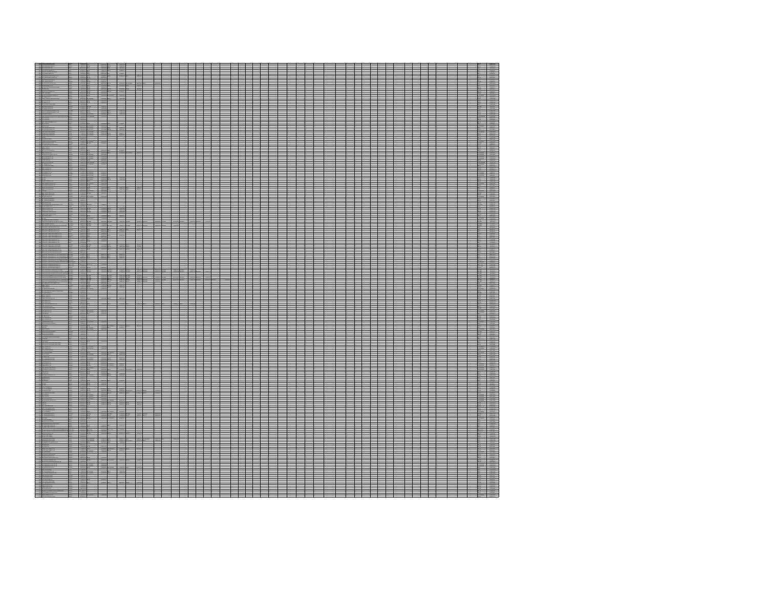|  |  |  | == |  |  |  |  |  |  |  |  |
|--|--|--|----|--|--|--|--|--|--|--|--|
|  |  |  |    |  |  |  |  |  |  |  |  |
|  |  |  |    |  |  |  |  |  |  |  |  |
|  |  |  |    |  |  |  |  |  |  |  |  |
|  |  |  |    |  |  |  |  |  |  |  |  |
|  |  |  |    |  |  |  |  |  |  |  |  |
|  |  |  |    |  |  |  |  |  |  |  |  |
|  |  |  |    |  |  |  |  |  |  |  |  |
|  |  |  |    |  |  |  |  |  |  |  |  |
|  |  |  |    |  |  |  |  |  |  |  |  |
|  |  |  |    |  |  |  |  |  |  |  |  |
|  |  |  |    |  |  |  |  |  |  |  |  |
|  |  |  |    |  |  |  |  |  |  |  |  |
|  |  |  |    |  |  |  |  |  |  |  |  |
|  |  |  |    |  |  |  |  |  |  |  |  |
|  |  |  |    |  |  |  |  |  |  |  |  |
|  |  |  |    |  |  |  |  |  |  |  |  |
|  |  |  |    |  |  |  |  |  |  |  |  |
|  |  |  |    |  |  |  |  |  |  |  |  |
|  |  |  |    |  |  |  |  |  |  |  |  |
|  |  |  |    |  |  |  |  |  |  |  |  |
|  |  |  |    |  |  |  |  |  |  |  |  |
|  |  |  |    |  |  |  |  |  |  |  |  |
|  |  |  |    |  |  |  |  |  |  |  |  |
|  |  |  |    |  |  |  |  |  |  |  |  |
|  |  |  |    |  |  |  |  |  |  |  |  |
|  |  |  |    |  |  |  |  |  |  |  |  |
|  |  |  |    |  |  |  |  |  |  |  |  |
|  |  |  |    |  |  |  |  |  |  |  |  |
|  |  |  |    |  |  |  |  |  |  |  |  |
|  |  |  |    |  |  |  |  |  |  |  |  |
|  |  |  |    |  |  |  |  |  |  |  |  |
|  |  |  |    |  |  |  |  |  |  |  |  |
|  |  |  |    |  |  |  |  |  |  |  |  |
|  |  |  |    |  |  |  |  |  |  |  |  |
|  |  |  |    |  |  |  |  |  |  |  |  |
|  |  |  |    |  |  |  |  |  |  |  |  |
|  |  |  |    |  |  |  |  |  |  |  |  |
|  |  |  |    |  |  |  |  |  |  |  |  |
|  |  |  |    |  |  |  |  |  |  |  |  |
|  |  |  |    |  |  |  |  |  |  |  |  |
|  |  |  |    |  |  |  |  |  |  |  |  |
|  |  |  |    |  |  |  |  |  |  |  |  |
|  |  |  |    |  |  |  |  |  |  |  |  |
|  |  |  |    |  |  |  |  |  |  |  |  |
|  |  |  |    |  |  |  |  |  |  |  |  |
|  |  |  |    |  |  |  |  |  |  |  |  |
|  |  |  |    |  |  |  |  |  |  |  |  |
|  |  |  |    |  |  |  |  |  |  |  |  |
|  |  |  |    |  |  |  |  |  |  |  |  |
|  |  |  |    |  |  |  |  |  |  |  |  |
|  |  |  |    |  |  |  |  |  |  |  |  |
|  |  |  |    |  |  |  |  |  |  |  |  |
|  |  |  |    |  |  |  |  |  |  |  |  |
|  |  |  |    |  |  |  |  |  |  |  |  |
|  |  |  |    |  |  |  |  |  |  |  |  |
|  |  |  |    |  |  |  |  |  |  |  |  |
|  |  |  |    |  |  |  |  |  |  |  |  |
|  |  |  |    |  |  |  |  |  |  |  |  |
|  |  |  |    |  |  |  |  |  |  |  |  |
|  |  |  |    |  |  |  |  |  |  |  |  |
|  |  |  |    |  |  |  |  |  |  |  |  |
|  |  |  |    |  |  |  |  |  |  |  |  |
|  |  |  |    |  |  |  |  |  |  |  |  |
|  |  |  |    |  |  |  |  |  |  |  |  |
|  |  |  |    |  |  |  |  |  |  |  |  |
|  |  |  |    |  |  |  |  |  |  |  |  |
|  |  |  |    |  |  |  |  |  |  |  |  |
|  |  |  |    |  |  |  |  |  |  |  |  |
|  |  |  |    |  |  |  |  |  |  |  |  |
|  |  |  |    |  |  |  |  |  |  |  |  |
|  |  |  |    |  |  |  |  |  |  |  |  |
|  |  |  |    |  |  |  |  |  |  |  |  |
|  |  |  |    |  |  |  |  |  |  |  |  |
|  |  |  |    |  |  |  |  |  |  |  |  |
|  |  |  |    |  |  |  |  |  |  |  |  |
|  |  |  |    |  |  |  |  |  |  |  |  |
|  |  |  |    |  |  |  |  |  |  |  |  |
|  |  |  |    |  |  |  |  |  |  |  |  |
|  |  |  |    |  |  |  |  |  |  |  |  |
|  |  |  |    |  |  |  |  |  |  |  |  |
|  |  |  |    |  |  |  |  |  |  |  |  |
|  |  |  |    |  |  |  |  |  |  |  |  |
|  |  |  |    |  |  |  |  |  |  |  |  |
|  |  |  |    |  |  |  |  |  |  |  |  |
|  |  |  |    |  |  |  |  |  |  |  |  |
|  |  |  |    |  |  |  |  |  |  |  |  |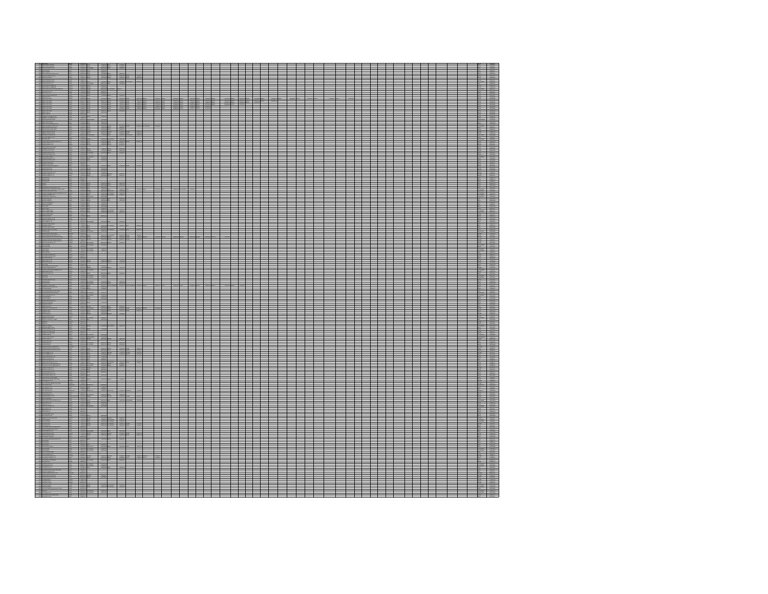|  | $^{480}$ |  |  |  |  |  |  |  |  |  |  |  |  |  |
|--|----------|--|--|--|--|--|--|--|--|--|--|--|--|--|
|  |          |  |  |  |  |  |  |  |  |  |  |  |  |  |
|  |          |  |  |  |  |  |  |  |  |  |  |  |  |  |
|  |          |  |  |  |  |  |  |  |  |  |  |  |  |  |
|  |          |  |  |  |  |  |  |  |  |  |  |  |  |  |
|  |          |  |  |  |  |  |  |  |  |  |  |  |  |  |
|  |          |  |  |  |  |  |  |  |  |  |  |  |  |  |
|  |          |  |  |  |  |  |  |  |  |  |  |  |  |  |
|  |          |  |  |  |  |  |  |  |  |  |  |  |  |  |
|  |          |  |  |  |  |  |  |  |  |  |  |  |  |  |
|  |          |  |  |  |  |  |  |  |  |  |  |  |  |  |
|  |          |  |  |  |  |  |  |  |  |  |  |  |  |  |
|  |          |  |  |  |  |  |  |  |  |  |  |  |  |  |
|  |          |  |  |  |  |  |  |  |  |  |  |  |  |  |
|  |          |  |  |  |  |  |  |  |  |  |  |  |  |  |
|  |          |  |  |  |  |  |  |  |  |  |  |  |  |  |
|  |          |  |  |  |  |  |  |  |  |  |  |  |  |  |
|  |          |  |  |  |  |  |  |  |  |  |  |  |  |  |
|  |          |  |  |  |  |  |  |  |  |  |  |  |  |  |
|  |          |  |  |  |  |  |  |  |  |  |  |  |  |  |
|  |          |  |  |  |  |  |  |  |  |  |  |  |  |  |
|  |          |  |  |  |  |  |  |  |  |  |  |  |  |  |
|  |          |  |  |  |  |  |  |  |  |  |  |  |  |  |
|  |          |  |  |  |  |  |  |  |  |  |  |  |  |  |
|  |          |  |  |  |  |  |  |  |  |  |  |  |  |  |
|  |          |  |  |  |  |  |  |  |  |  |  |  |  |  |
|  |          |  |  |  |  |  |  |  |  |  |  |  |  |  |
|  |          |  |  |  |  |  |  |  |  |  |  |  |  |  |
|  |          |  |  |  |  |  |  |  |  |  |  |  |  |  |
|  |          |  |  |  |  |  |  |  |  |  |  |  |  |  |
|  |          |  |  |  |  |  |  |  |  |  |  |  |  |  |
|  |          |  |  |  |  |  |  |  |  |  |  |  |  |  |
|  |          |  |  |  |  |  |  |  |  |  |  |  |  |  |
|  |          |  |  |  |  |  |  |  |  |  |  |  |  |  |
|  |          |  |  |  |  |  |  |  |  |  |  |  |  |  |
|  |          |  |  |  |  |  |  |  |  |  |  |  |  |  |
|  |          |  |  |  |  |  |  |  |  |  |  |  |  |  |
|  |          |  |  |  |  |  |  |  |  |  |  |  |  |  |
|  |          |  |  |  |  |  |  |  |  |  |  |  |  |  |
|  |          |  |  |  |  |  |  |  |  |  |  |  |  |  |
|  |          |  |  |  |  |  |  |  |  |  |  |  |  |  |
|  |          |  |  |  |  |  |  |  |  |  |  |  |  |  |
|  |          |  |  |  |  |  |  |  |  |  |  |  |  |  |
|  |          |  |  |  |  |  |  |  |  |  |  |  |  |  |
|  |          |  |  |  |  |  |  |  |  |  |  |  |  |  |
|  |          |  |  |  |  |  |  |  |  |  |  |  |  |  |
|  |          |  |  |  |  |  |  |  |  |  |  |  |  |  |
|  |          |  |  |  |  |  |  |  |  |  |  |  |  |  |
|  |          |  |  |  |  |  |  |  |  |  |  |  |  |  |
|  |          |  |  |  |  |  |  |  |  |  |  |  |  |  |
|  |          |  |  |  |  |  |  |  |  |  |  |  |  |  |
|  |          |  |  |  |  |  |  |  |  |  |  |  |  |  |
|  |          |  |  |  |  |  |  |  |  |  |  |  |  |  |
|  |          |  |  |  |  |  |  |  |  |  |  |  |  |  |
|  |          |  |  |  |  |  |  |  |  |  |  |  |  |  |
|  |          |  |  |  |  |  |  |  |  |  |  |  |  |  |
|  |          |  |  |  |  |  |  |  |  |  |  |  |  |  |
|  |          |  |  |  |  |  |  |  |  |  |  |  |  |  |
|  |          |  |  |  |  |  |  |  |  |  |  |  |  |  |
|  |          |  |  |  |  |  |  |  |  |  |  |  |  |  |
|  |          |  |  |  |  |  |  |  |  |  |  |  |  |  |
|  |          |  |  |  |  |  |  |  |  |  |  |  |  |  |
|  |          |  |  |  |  |  |  |  |  |  |  |  |  |  |
|  |          |  |  |  |  |  |  |  |  |  |  |  |  |  |
|  |          |  |  |  |  |  |  |  |  |  |  |  |  |  |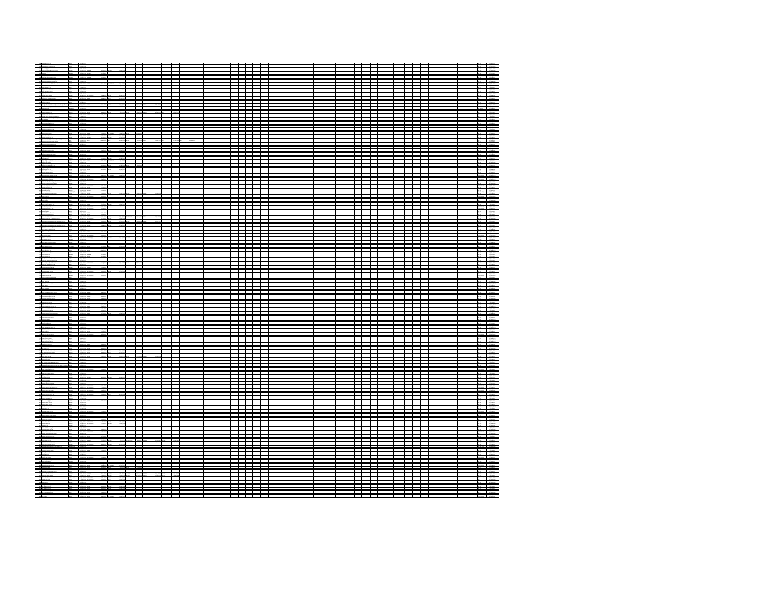| ≕ |   |  |  |  |  |  |  |  |
|---|---|--|--|--|--|--|--|--|
|   |   |  |  |  |  |  |  |  |
|   |   |  |  |  |  |  |  |  |
|   |   |  |  |  |  |  |  |  |
|   |   |  |  |  |  |  |  |  |
|   |   |  |  |  |  |  |  |  |
|   |   |  |  |  |  |  |  |  |
|   |   |  |  |  |  |  |  |  |
|   |   |  |  |  |  |  |  |  |
|   |   |  |  |  |  |  |  |  |
|   | ═ |  |  |  |  |  |  |  |
|   |   |  |  |  |  |  |  |  |
|   |   |  |  |  |  |  |  |  |
|   |   |  |  |  |  |  |  |  |
|   |   |  |  |  |  |  |  |  |
|   |   |  |  |  |  |  |  |  |
|   |   |  |  |  |  |  |  |  |
|   |   |  |  |  |  |  |  |  |
|   |   |  |  |  |  |  |  |  |
| 義 |   |  |  |  |  |  |  |  |
|   |   |  |  |  |  |  |  |  |
|   |   |  |  |  |  |  |  |  |
|   |   |  |  |  |  |  |  |  |
|   |   |  |  |  |  |  |  |  |
|   |   |  |  |  |  |  |  |  |
|   |   |  |  |  |  |  |  |  |
|   |   |  |  |  |  |  |  |  |
|   |   |  |  |  |  |  |  |  |
|   |   |  |  |  |  |  |  |  |
|   |   |  |  |  |  |  |  |  |
|   |   |  |  |  |  |  |  |  |
|   |   |  |  |  |  |  |  |  |
|   |   |  |  |  |  |  |  |  |
|   |   |  |  |  |  |  |  |  |
|   |   |  |  |  |  |  |  |  |
|   |   |  |  |  |  |  |  |  |
|   |   |  |  |  |  |  |  |  |
|   |   |  |  |  |  |  |  |  |
|   |   |  |  |  |  |  |  |  |
|   |   |  |  |  |  |  |  |  |
|   |   |  |  |  |  |  |  |  |
|   |   |  |  |  |  |  |  |  |
|   |   |  |  |  |  |  |  |  |
|   |   |  |  |  |  |  |  |  |
|   |   |  |  |  |  |  |  |  |
|   |   |  |  |  |  |  |  |  |
|   |   |  |  |  |  |  |  |  |
|   |   |  |  |  |  |  |  |  |
|   |   |  |  |  |  |  |  |  |
|   |   |  |  |  |  |  |  |  |
|   |   |  |  |  |  |  |  |  |
|   |   |  |  |  |  |  |  |  |
|   |   |  |  |  |  |  |  |  |
|   |   |  |  |  |  |  |  |  |
|   |   |  |  |  |  |  |  |  |
|   |   |  |  |  |  |  |  |  |
|   |   |  |  |  |  |  |  |  |
|   |   |  |  |  |  |  |  |  |
|   |   |  |  |  |  |  |  |  |
|   |   |  |  |  |  |  |  |  |
|   |   |  |  |  |  |  |  |  |
|   |   |  |  |  |  |  |  |  |
|   |   |  |  |  |  |  |  |  |
|   |   |  |  |  |  |  |  |  |
|   |   |  |  |  |  |  |  |  |
|   |   |  |  |  |  |  |  |  |
|   |   |  |  |  |  |  |  |  |
|   |   |  |  |  |  |  |  |  |
|   |   |  |  |  |  |  |  |  |
|   |   |  |  |  |  |  |  |  |
|   |   |  |  |  |  |  |  |  |
|   |   |  |  |  |  |  |  |  |
|   |   |  |  |  |  |  |  |  |
|   |   |  |  |  |  |  |  |  |
|   |   |  |  |  |  |  |  |  |
|   |   |  |  |  |  |  |  |  |
|   |   |  |  |  |  |  |  |  |
|   |   |  |  |  |  |  |  |  |
|   |   |  |  |  |  |  |  |  |
|   |   |  |  |  |  |  |  |  |
|   |   |  |  |  |  |  |  |  |
|   |   |  |  |  |  |  |  |  |
|   |   |  |  |  |  |  |  |  |
|   |   |  |  |  |  |  |  |  |
|   |   |  |  |  |  |  |  |  |
|   |   |  |  |  |  |  |  |  |
|   |   |  |  |  |  |  |  |  |
|   |   |  |  |  |  |  |  |  |
|   |   |  |  |  |  |  |  |  |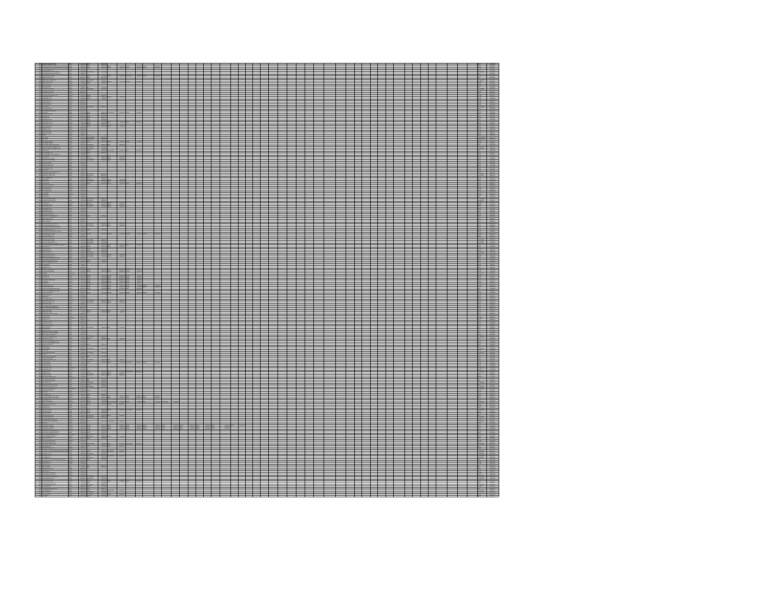|   | ▆<br>ľ        | ═<br>I<br>═ | ═<br>Ξ<br>═╪                  | ┓<br>╕<br>▀                                     | Π<br>▀<br>═ | Ш<br>$\equiv$<br>L<br>Ш | Ξ |
|---|---------------|-------------|-------------------------------|-------------------------------------------------|-------------|-------------------------|---|
|   |               |             | Ш                             | ═                                               |             |                         |   |
|   |               |             |                               |                                                 |             |                         |   |
|   |               |             |                               |                                                 |             |                         |   |
|   |               |             |                               |                                                 |             |                         |   |
|   |               |             |                               |                                                 |             |                         |   |
|   |               |             |                               |                                                 |             |                         |   |
|   |               |             |                               |                                                 |             |                         |   |
|   |               | J,          | ▆<br>$\overline{\phantom{0}}$ | $\overline{\phantom{0}}$<br>$\blacksquare$<br>╛ | ÷.          |                         |   |
|   |               |             |                               |                                                 |             |                         |   |
|   |               |             |                               |                                                 |             |                         |   |
|   |               |             |                               |                                                 |             |                         |   |
|   |               |             |                               |                                                 |             |                         |   |
|   |               |             |                               |                                                 |             |                         |   |
|   |               |             |                               |                                                 |             |                         |   |
|   |               |             | $\overline{\phantom{0}}$      | $\overline{\phantom{0}}$<br>$\equiv$<br>▊       |             |                         |   |
|   |               |             |                               |                                                 |             |                         |   |
|   |               |             |                               |                                                 |             |                         |   |
|   |               |             |                               |                                                 |             |                         |   |
|   |               |             |                               |                                                 |             |                         |   |
| ÷ |               |             |                               |                                                 |             |                         |   |
|   |               |             |                               |                                                 |             |                         |   |
|   |               |             |                               |                                                 |             |                         |   |
|   |               |             |                               |                                                 |             |                         |   |
|   |               |             |                               |                                                 |             |                         |   |
|   |               |             |                               |                                                 |             |                         |   |
|   |               |             |                               |                                                 |             |                         |   |
|   |               |             |                               |                                                 |             |                         |   |
|   |               |             |                               |                                                 |             |                         |   |
|   | $\frac{1}{2}$ |             |                               |                                                 |             |                         |   |
|   |               |             |                               |                                                 |             |                         |   |
|   |               |             |                               |                                                 |             |                         |   |
|   |               |             |                               |                                                 |             |                         |   |
|   |               |             |                               |                                                 |             |                         |   |
|   |               |             |                               |                                                 |             |                         |   |
|   |               |             |                               |                                                 |             |                         |   |
|   |               |             |                               |                                                 |             |                         |   |
|   |               |             |                               |                                                 |             |                         |   |
|   |               |             |                               |                                                 |             |                         |   |
|   |               |             |                               |                                                 |             |                         |   |
|   |               |             |                               |                                                 |             |                         |   |
|   |               |             |                               |                                                 |             |                         |   |
|   |               |             |                               |                                                 |             |                         |   |
|   |               |             |                               |                                                 |             |                         |   |
|   |               |             |                               |                                                 |             |                         |   |
|   |               |             |                               |                                                 |             |                         |   |
|   |               |             |                               |                                                 |             |                         |   |
|   |               |             |                               |                                                 |             |                         |   |
|   |               |             |                               |                                                 |             |                         |   |
|   |               |             |                               |                                                 |             |                         |   |
|   |               |             |                               |                                                 |             |                         |   |
|   |               |             |                               |                                                 |             |                         |   |
|   |               |             |                               |                                                 |             |                         |   |
|   |               |             |                               |                                                 |             |                         |   |
|   |               |             |                               |                                                 |             |                         |   |
|   |               |             |                               |                                                 |             |                         |   |
|   |               |             |                               |                                                 |             |                         |   |
|   |               |             |                               |                                                 |             |                         |   |
|   |               |             |                               |                                                 |             |                         |   |
|   |               |             |                               |                                                 |             |                         |   |
|   |               |             |                               |                                                 |             |                         |   |
|   |               |             |                               |                                                 |             |                         |   |
|   |               |             |                               |                                                 |             |                         |   |
|   |               |             |                               |                                                 |             |                         |   |
|   |               |             |                               |                                                 |             |                         |   |
|   |               |             |                               |                                                 |             |                         |   |
|   |               |             |                               |                                                 |             |                         |   |
|   |               |             |                               |                                                 |             |                         |   |
|   |               |             |                               |                                                 |             |                         |   |
|   |               |             |                               |                                                 |             |                         |   |
|   |               |             |                               |                                                 |             |                         |   |
|   |               |             |                               |                                                 |             |                         |   |
|   |               |             |                               |                                                 |             |                         |   |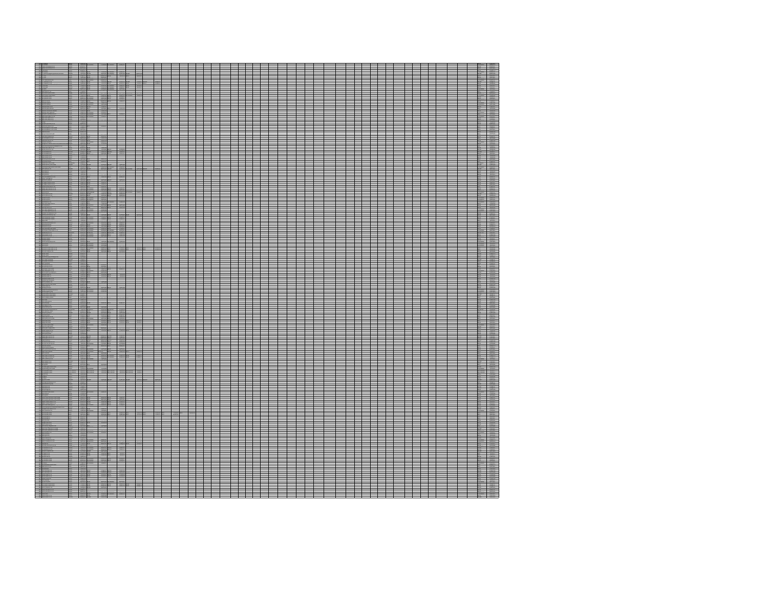|  |    | ÷,            |  |  |  |  |  |  |  |  |
|--|----|---------------|--|--|--|--|--|--|--|--|
|  |    |               |  |  |  |  |  |  |  |  |
|  |    |               |  |  |  |  |  |  |  |  |
|  |    |               |  |  |  |  |  |  |  |  |
|  |    |               |  |  |  |  |  |  |  |  |
|  |    |               |  |  |  |  |  |  |  |  |
|  |    |               |  |  |  |  |  |  |  |  |
|  |    |               |  |  |  |  |  |  |  |  |
|  |    |               |  |  |  |  |  |  |  |  |
|  |    |               |  |  |  |  |  |  |  |  |
|  |    |               |  |  |  |  |  |  |  |  |
|  |    |               |  |  |  |  |  |  |  |  |
|  | ÷  |               |  |  |  |  |  |  |  |  |
|  |    |               |  |  |  |  |  |  |  |  |
|  |    |               |  |  |  |  |  |  |  |  |
|  |    |               |  |  |  |  |  |  |  |  |
|  |    |               |  |  |  |  |  |  |  |  |
|  |    |               |  |  |  |  |  |  |  |  |
|  |    |               |  |  |  |  |  |  |  |  |
|  |    |               |  |  |  |  |  |  |  |  |
|  |    |               |  |  |  |  |  |  |  |  |
|  | 農  | $\frac{1}{2}$ |  |  |  |  |  |  |  |  |
|  |    |               |  |  |  |  |  |  |  |  |
|  |    |               |  |  |  |  |  |  |  |  |
|  |    |               |  |  |  |  |  |  |  |  |
|  |    |               |  |  |  |  |  |  |  |  |
|  |    |               |  |  |  |  |  |  |  |  |
|  |    |               |  |  |  |  |  |  |  |  |
|  |    |               |  |  |  |  |  |  |  |  |
|  |    | 解開            |  |  |  |  |  |  |  |  |
|  |    |               |  |  |  |  |  |  |  |  |
|  |    |               |  |  |  |  |  |  |  |  |
|  |    |               |  |  |  |  |  |  |  |  |
|  |    |               |  |  |  |  |  |  |  |  |
|  |    |               |  |  |  |  |  |  |  |  |
|  |    |               |  |  |  |  |  |  |  |  |
|  |    |               |  |  |  |  |  |  |  |  |
|  |    |               |  |  |  |  |  |  |  |  |
|  | 块壳 |               |  |  |  |  |  |  |  |  |
|  |    |               |  |  |  |  |  |  |  |  |
|  |    |               |  |  |  |  |  |  |  |  |
|  |    |               |  |  |  |  |  |  |  |  |
|  |    |               |  |  |  |  |  |  |  |  |
|  |    |               |  |  |  |  |  |  |  |  |
|  |    |               |  |  |  |  |  |  |  |  |
|  |    |               |  |  |  |  |  |  |  |  |
|  |    |               |  |  |  |  |  |  |  |  |
|  |    |               |  |  |  |  |  |  |  |  |
|  |    |               |  |  |  |  |  |  |  |  |
|  |    |               |  |  |  |  |  |  |  |  |
|  |    |               |  |  |  |  |  |  |  |  |
|  |    |               |  |  |  |  |  |  |  |  |
|  |    |               |  |  |  |  |  |  |  |  |
|  |    |               |  |  |  |  |  |  |  |  |
|  |    |               |  |  |  |  |  |  |  |  |
|  |    |               |  |  |  |  |  |  |  |  |
|  |    |               |  |  |  |  |  |  |  |  |
|  |    |               |  |  |  |  |  |  |  |  |
|  |    |               |  |  |  |  |  |  |  |  |
|  |    |               |  |  |  |  |  |  |  |  |
|  |    |               |  |  |  |  |  |  |  |  |
|  |    |               |  |  |  |  |  |  |  |  |
|  |    |               |  |  |  |  |  |  |  |  |
|  |    |               |  |  |  |  |  |  |  |  |
|  |    |               |  |  |  |  |  |  |  |  |
|  |    |               |  |  |  |  |  |  |  |  |
|  |    |               |  |  |  |  |  |  |  |  |
|  |    |               |  |  |  |  |  |  |  |  |
|  |    |               |  |  |  |  |  |  |  |  |
|  |    |               |  |  |  |  |  |  |  |  |
|  |    |               |  |  |  |  |  |  |  |  |
|  |    |               |  |  |  |  |  |  |  |  |
|  |    |               |  |  |  |  |  |  |  |  |
|  |    |               |  |  |  |  |  |  |  |  |
|  |    |               |  |  |  |  |  |  |  |  |
|  |    |               |  |  |  |  |  |  |  |  |
|  |    |               |  |  |  |  |  |  |  |  |
|  |    |               |  |  |  |  |  |  |  |  |
|  |    |               |  |  |  |  |  |  |  |  |
|  |    |               |  |  |  |  |  |  |  |  |
|  |    |               |  |  |  |  |  |  |  |  |
|  |    | Ĩ             |  |  |  |  |  |  |  |  |
|  |    |               |  |  |  |  |  |  |  |  |
|  | I  |               |  |  |  |  |  |  |  |  |
|  |    |               |  |  |  |  |  |  |  |  |
|  |    |               |  |  |  |  |  |  |  |  |
|  |    |               |  |  |  |  |  |  |  |  |
|  |    |               |  |  |  |  |  |  |  |  |
|  |    |               |  |  |  |  |  |  |  |  |
|  |    |               |  |  |  |  |  |  |  |  |
|  |    |               |  |  |  |  |  |  |  |  |
|  |    |               |  |  |  |  |  |  |  |  |
|  |    |               |  |  |  |  |  |  |  |  |
|  |    |               |  |  |  |  |  |  |  |  |
|  |    |               |  |  |  |  |  |  |  |  |
|  |    |               |  |  |  |  |  |  |  |  |
|  |    |               |  |  |  |  |  |  |  |  |
|  |    |               |  |  |  |  |  |  |  |  |
|  |    |               |  |  |  |  |  |  |  |  |
|  |    |               |  |  |  |  |  |  |  |  |
|  |    |               |  |  |  |  |  |  |  |  |
|  |    |               |  |  |  |  |  |  |  |  |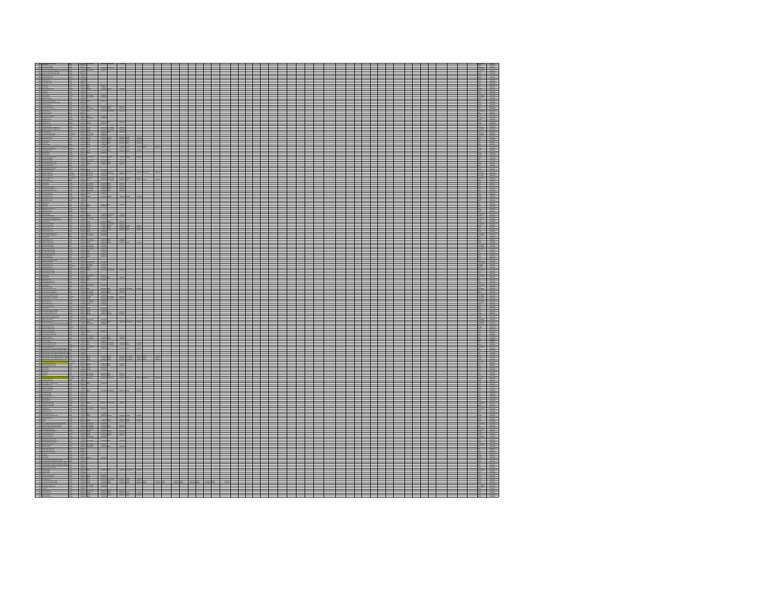| H        | —             | ═                        | ═        |  |  |  |  |  |  |  |  |  |  |  |
|----------|---------------|--------------------------|----------|--|--|--|--|--|--|--|--|--|--|--|
|          |               |                          |          |  |  |  |  |  |  |  |  |  |  |  |
| W        |               |                          |          |  |  |  |  |  |  |  |  |  |  |  |
|          |               |                          |          |  |  |  |  |  |  |  |  |  |  |  |
|          |               |                          |          |  |  |  |  |  |  |  |  |  |  |  |
|          |               |                          |          |  |  |  |  |  |  |  |  |  |  |  |
|          |               |                          |          |  |  |  |  |  |  |  |  |  |  |  |
|          |               |                          |          |  |  |  |  |  |  |  |  |  |  |  |
| ="       | $\frac{1}{2}$ |                          |          |  |  |  |  |  |  |  |  |  |  |  |
|          |               |                          |          |  |  |  |  |  |  |  |  |  |  |  |
| ł        |               |                          |          |  |  |  |  |  |  |  |  |  |  |  |
|          |               |                          |          |  |  |  |  |  |  |  |  |  |  |  |
|          |               |                          |          |  |  |  |  |  |  |  |  |  |  |  |
|          |               |                          |          |  |  |  |  |  |  |  |  |  |  |  |
|          |               |                          |          |  |  |  |  |  |  |  |  |  |  |  |
|          |               | 10000                    | $\equiv$ |  |  |  |  |  |  |  |  |  |  |  |
| ≕        |               |                          |          |  |  |  |  |  |  |  |  |  |  |  |
|          |               |                          |          |  |  |  |  |  |  |  |  |  |  |  |
| $\equiv$ | $\frac{1}{2}$ | $\overline{\phantom{0}}$ |          |  |  |  |  |  |  |  |  |  |  |  |
|          |               |                          |          |  |  |  |  |  |  |  |  |  |  |  |
|          |               |                          |          |  |  |  |  |  |  |  |  |  |  |  |
|          |               |                          |          |  |  |  |  |  |  |  |  |  |  |  |
|          |               |                          |          |  |  |  |  |  |  |  |  |  |  |  |
|          |               |                          |          |  |  |  |  |  |  |  |  |  |  |  |
|          |               |                          |          |  |  |  |  |  |  |  |  |  |  |  |
|          |               |                          |          |  |  |  |  |  |  |  |  |  |  |  |
|          |               |                          |          |  |  |  |  |  |  |  |  |  |  |  |
|          |               |                          |          |  |  |  |  |  |  |  |  |  |  |  |
|          |               |                          |          |  |  |  |  |  |  |  |  |  |  |  |
|          |               |                          |          |  |  |  |  |  |  |  |  |  |  |  |
|          |               |                          |          |  |  |  |  |  |  |  |  |  |  |  |
|          |               |                          |          |  |  |  |  |  |  |  |  |  |  |  |
|          |               |                          |          |  |  |  |  |  |  |  |  |  |  |  |
|          |               |                          |          |  |  |  |  |  |  |  |  |  |  |  |
|          |               |                          |          |  |  |  |  |  |  |  |  |  |  |  |
|          |               |                          |          |  |  |  |  |  |  |  |  |  |  |  |
|          |               |                          |          |  |  |  |  |  |  |  |  |  |  |  |
|          |               |                          |          |  |  |  |  |  |  |  |  |  |  |  |
|          |               |                          |          |  |  |  |  |  |  |  |  |  |  |  |
|          |               |                          |          |  |  |  |  |  |  |  |  |  |  |  |
|          |               |                          |          |  |  |  |  |  |  |  |  |  |  |  |
|          |               |                          |          |  |  |  |  |  |  |  |  |  |  |  |
|          |               |                          |          |  |  |  |  |  |  |  |  |  |  |  |
|          |               |                          |          |  |  |  |  |  |  |  |  |  |  |  |
|          |               |                          |          |  |  |  |  |  |  |  |  |  |  |  |
|          |               |                          |          |  |  |  |  |  |  |  |  |  |  |  |
|          |               |                          |          |  |  |  |  |  |  |  |  |  |  |  |
|          |               |                          |          |  |  |  |  |  |  |  |  |  |  |  |
| ═        |               |                          |          |  |  |  |  |  |  |  |  |  |  |  |
|          |               |                          |          |  |  |  |  |  |  |  |  |  |  |  |
|          |               |                          |          |  |  |  |  |  |  |  |  |  |  |  |
|          |               |                          |          |  |  |  |  |  |  |  |  |  |  |  |
|          |               |                          |          |  |  |  |  |  |  |  |  |  |  |  |
|          |               |                          |          |  |  |  |  |  |  |  |  |  |  |  |
|          |               |                          |          |  |  |  |  |  |  |  |  |  |  |  |
|          |               |                          |          |  |  |  |  |  |  |  |  |  |  |  |
|          |               |                          |          |  |  |  |  |  |  |  |  |  |  |  |
|          |               |                          |          |  |  |  |  |  |  |  |  |  |  |  |
|          |               |                          |          |  |  |  |  |  |  |  |  |  |  |  |
|          |               |                          |          |  |  |  |  |  |  |  |  |  |  |  |
|          |               |                          |          |  |  |  |  |  |  |  |  |  |  |  |
|          |               |                          |          |  |  |  |  |  |  |  |  |  |  |  |
|          |               |                          |          |  |  |  |  |  |  |  |  |  |  |  |
|          |               |                          |          |  |  |  |  |  |  |  |  |  |  |  |
|          |               |                          |          |  |  |  |  |  |  |  |  |  |  |  |
|          |               |                          |          |  |  |  |  |  |  |  |  |  |  |  |
|          |               | $\equiv$                 | E        |  |  |  |  |  |  |  |  |  |  |  |
|          |               |                          |          |  |  |  |  |  |  |  |  |  |  |  |
|          |               |                          |          |  |  |  |  |  |  |  |  |  |  |  |
|          |               |                          |          |  |  |  |  |  |  |  |  |  |  |  |
|          |               |                          |          |  |  |  |  |  |  |  |  |  |  |  |
|          |               |                          |          |  |  |  |  |  |  |  |  |  |  |  |
|          |               |                          |          |  |  |  |  |  |  |  |  |  |  |  |
|          |               |                          |          |  |  |  |  |  |  |  |  |  |  |  |
|          |               |                          |          |  |  |  |  |  |  |  |  |  |  |  |
|          |               |                          |          |  |  |  |  |  |  |  |  |  |  |  |
|          |               |                          |          |  |  |  |  |  |  |  |  |  |  |  |
|          |               |                          |          |  |  |  |  |  |  |  |  |  |  |  |
|          |               |                          |          |  |  |  |  |  |  |  |  |  |  |  |
|          |               |                          |          |  |  |  |  |  |  |  |  |  |  |  |
|          |               |                          |          |  |  |  |  |  |  |  |  |  |  |  |
|          |               |                          |          |  |  |  |  |  |  |  |  |  |  |  |
|          |               |                          |          |  |  |  |  |  |  |  |  |  |  |  |
|          |               |                          |          |  |  |  |  |  |  |  |  |  |  |  |
|          |               |                          |          |  |  |  |  |  |  |  |  |  |  |  |
|          |               |                          |          |  |  |  |  |  |  |  |  |  |  |  |
|          |               |                          |          |  |  |  |  |  |  |  |  |  |  |  |
|          |               |                          |          |  |  |  |  |  |  |  |  |  |  |  |
|          |               |                          |          |  |  |  |  |  |  |  |  |  |  |  |
|          |               |                          |          |  |  |  |  |  |  |  |  |  |  |  |
|          |               |                          |          |  |  |  |  |  |  |  |  |  |  |  |
|          |               |                          |          |  |  |  |  |  |  |  |  |  |  |  |
|          |               |                          |          |  |  |  |  |  |  |  |  |  |  |  |
|          |               |                          |          |  |  |  |  |  |  |  |  |  |  |  |
|          |               |                          |          |  |  |  |  |  |  |  |  |  |  |  |
|          |               |                          |          |  |  |  |  |  |  |  |  |  |  |  |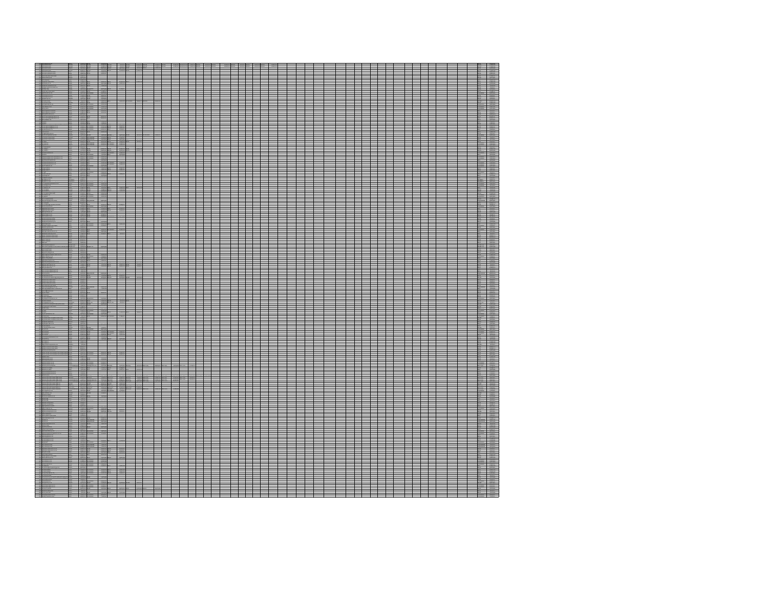|  |  |  | ▆ |  |  |  |  |  |  |  |  |  |  |
|--|--|--|---|--|--|--|--|--|--|--|--|--|--|
|  |  |  |   |  |  |  |  |  |  |  |  |  |  |
|  |  |  |   |  |  |  |  |  |  |  |  |  |  |
|  |  |  |   |  |  |  |  |  |  |  |  |  |  |
|  |  |  |   |  |  |  |  |  |  |  |  |  |  |
|  |  |  |   |  |  |  |  |  |  |  |  |  |  |
|  |  |  |   |  |  |  |  |  |  |  |  |  |  |
|  |  |  |   |  |  |  |  |  |  |  |  |  |  |
|  |  |  |   |  |  |  |  |  |  |  |  |  |  |
|  |  |  |   |  |  |  |  |  |  |  |  |  |  |
|  |  |  |   |  |  |  |  |  |  |  |  |  |  |
|  |  |  |   |  |  |  |  |  |  |  |  |  |  |
|  |  |  |   |  |  |  |  |  |  |  |  |  |  |
|  |  |  |   |  |  |  |  |  |  |  |  |  |  |
|  |  |  |   |  |  |  |  |  |  |  |  |  |  |
|  |  |  |   |  |  |  |  |  |  |  |  |  |  |
|  |  |  |   |  |  |  |  |  |  |  |  |  |  |
|  |  |  |   |  |  |  |  |  |  |  |  |  |  |
|  |  |  |   |  |  |  |  |  |  |  |  |  |  |
|  |  |  |   |  |  |  |  |  |  |  |  |  |  |
|  |  |  |   |  |  |  |  |  |  |  |  |  |  |
|  |  |  |   |  |  |  |  |  |  |  |  |  |  |
|  |  |  |   |  |  |  |  |  |  |  |  |  |  |
|  |  |  |   |  |  |  |  |  |  |  |  |  |  |
|  |  |  |   |  |  |  |  |  |  |  |  |  |  |
|  |  |  |   |  |  |  |  |  |  |  |  |  |  |
|  |  |  |   |  |  |  |  |  |  |  |  |  |  |
|  |  |  |   |  |  |  |  |  |  |  |  |  |  |
|  |  |  |   |  |  |  |  |  |  |  |  |  |  |
|  |  |  |   |  |  |  |  |  |  |  |  |  |  |
|  |  |  |   |  |  |  |  |  |  |  |  |  |  |
|  |  |  |   |  |  |  |  |  |  |  |  |  |  |
|  |  |  |   |  |  |  |  |  |  |  |  |  |  |
|  |  |  |   |  |  |  |  |  |  |  |  |  |  |
|  |  |  |   |  |  |  |  |  |  |  |  |  |  |
|  |  |  |   |  |  |  |  |  |  |  |  |  |  |
|  |  |  |   |  |  |  |  |  |  |  |  |  |  |
|  |  |  |   |  |  |  |  |  |  |  |  |  |  |
|  |  |  |   |  |  |  |  |  |  |  |  |  |  |
|  |  |  |   |  |  |  |  |  |  |  |  |  |  |
|  |  |  |   |  |  |  |  |  |  |  |  |  |  |
|  |  |  |   |  |  |  |  |  |  |  |  |  |  |
|  |  |  |   |  |  |  |  |  |  |  |  |  |  |
|  |  |  |   |  |  |  |  |  |  |  |  |  |  |
|  |  |  |   |  |  |  |  |  |  |  |  |  |  |
|  |  |  |   |  |  |  |  |  |  |  |  |  |  |
|  |  |  |   |  |  |  |  |  |  |  |  |  |  |
|  |  |  |   |  |  |  |  |  |  |  |  |  |  |
|  |  |  |   |  |  |  |  |  |  |  |  |  |  |
|  |  |  |   |  |  |  |  |  |  |  |  |  |  |
|  |  |  |   |  |  |  |  |  |  |  |  |  |  |
|  |  |  |   |  |  |  |  |  |  |  |  |  |  |
|  |  |  |   |  |  |  |  |  |  |  |  |  |  |
|  |  |  |   |  |  |  |  |  |  |  |  |  |  |
|  |  |  |   |  |  |  |  |  |  |  |  |  |  |
|  |  |  |   |  |  |  |  |  |  |  |  |  |  |
|  |  |  |   |  |  |  |  |  |  |  |  |  |  |
|  |  |  |   |  |  |  |  |  |  |  |  |  |  |
|  |  |  |   |  |  |  |  |  |  |  |  |  |  |
|  |  |  |   |  |  |  |  |  |  |  |  |  |  |
|  |  |  |   |  |  |  |  |  |  |  |  |  |  |
|  |  |  |   |  |  |  |  |  |  |  |  |  |  |
|  |  |  |   |  |  |  |  |  |  |  |  |  |  |
|  |  |  |   |  |  |  |  |  |  |  |  |  |  |
|  |  |  |   |  |  |  |  |  |  |  |  |  |  |
|  |  |  |   |  |  |  |  |  |  |  |  |  |  |
|  |  |  |   |  |  |  |  |  |  |  |  |  |  |
|  |  |  |   |  |  |  |  |  |  |  |  |  |  |
|  |  |  |   |  |  |  |  |  |  |  |  |  |  |
|  |  |  |   |  |  |  |  |  |  |  |  |  |  |
|  |  |  |   |  |  |  |  |  |  |  |  |  |  |
|  |  |  |   |  |  |  |  |  |  |  |  |  |  |
|  |  |  |   |  |  |  |  |  |  |  |  |  |  |
|  |  |  |   |  |  |  |  |  |  |  |  |  |  |
|  |  |  |   |  |  |  |  |  |  |  |  |  |  |
|  |  |  |   |  |  |  |  |  |  |  |  |  |  |
|  |  |  |   |  |  |  |  |  |  |  |  |  |  |
|  |  |  |   |  |  |  |  |  |  |  |  |  |  |
|  |  |  |   |  |  |  |  |  |  |  |  |  |  |
|  |  |  |   |  |  |  |  |  |  |  |  |  |  |
|  |  |  |   |  |  |  |  |  |  |  |  |  |  |
|  |  |  |   |  |  |  |  |  |  |  |  |  |  |
|  |  |  |   |  |  |  |  |  |  |  |  |  |  |
|  |  |  |   |  |  |  |  |  |  |  |  |  |  |
|  |  |  |   |  |  |  |  |  |  |  |  |  |  |
|  |  |  |   |  |  |  |  |  |  |  |  |  |  |
|  |  |  |   |  |  |  |  |  |  |  |  |  |  |
|  |  |  |   |  |  |  |  |  |  |  |  |  |  |
|  |  |  |   |  |  |  |  |  |  |  |  |  |  |
|  |  |  |   |  |  |  |  |  |  |  |  |  |  |
|  |  |  |   |  |  |  |  |  |  |  |  |  |  |
|  |  |  |   |  |  |  |  |  |  |  |  |  |  |
|  |  |  |   |  |  |  |  |  |  |  |  |  |  |
|  |  |  |   |  |  |  |  |  |  |  |  |  |  |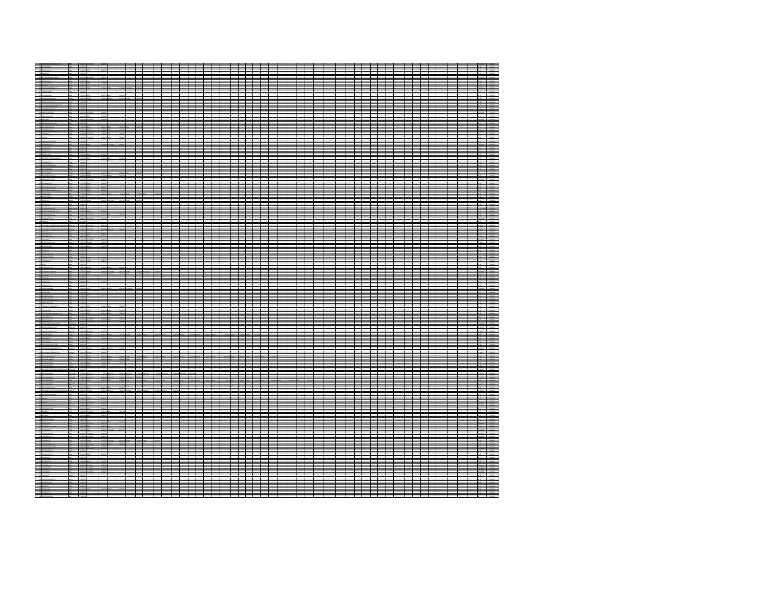|  |  |    |  | $\overline{\phantom{0}}$ |  |  |  |  |  |  |  |  |  |  |  |
|--|--|----|--|--------------------------|--|--|--|--|--|--|--|--|--|--|--|
|  |  |    |  |                          |  |  |  |  |  |  |  |  |  |  |  |
|  |  |    |  |                          |  |  |  |  |  |  |  |  |  |  |  |
|  |  |    |  |                          |  |  |  |  |  |  |  |  |  |  |  |
|  |  |    |  |                          |  |  |  |  |  |  |  |  |  |  |  |
|  |  |    |  |                          |  |  |  |  |  |  |  |  |  |  |  |
|  |  |    |  |                          |  |  |  |  |  |  |  |  |  |  |  |
|  |  |    |  |                          |  |  |  |  |  |  |  |  |  |  |  |
|  |  |    |  |                          |  |  |  |  |  |  |  |  |  |  |  |
|  |  |    |  |                          |  |  |  |  |  |  |  |  |  |  |  |
|  |  |    |  |                          |  |  |  |  |  |  |  |  |  |  |  |
|  |  |    |  |                          |  |  |  |  |  |  |  |  |  |  |  |
|  |  |    |  |                          |  |  |  |  |  |  |  |  |  |  |  |
|  |  |    |  |                          |  |  |  |  |  |  |  |  |  |  |  |
|  |  |    |  |                          |  |  |  |  |  |  |  |  |  |  |  |
|  |  |    |  |                          |  |  |  |  |  |  |  |  |  |  |  |
|  |  |    |  |                          |  |  |  |  |  |  |  |  |  |  |  |
|  |  |    |  |                          |  |  |  |  |  |  |  |  |  |  |  |
|  |  |    |  |                          |  |  |  |  |  |  |  |  |  |  |  |
|  |  |    |  |                          |  |  |  |  |  |  |  |  |  |  |  |
|  |  |    |  |                          |  |  |  |  |  |  |  |  |  |  |  |
|  |  |    |  |                          |  |  |  |  |  |  |  |  |  |  |  |
|  |  |    |  |                          |  |  |  |  |  |  |  |  |  |  |  |
|  |  |    |  |                          |  |  |  |  |  |  |  |  |  |  |  |
|  |  |    |  |                          |  |  |  |  |  |  |  |  |  |  |  |
|  |  |    |  |                          |  |  |  |  |  |  |  |  |  |  |  |
|  |  |    |  |                          |  |  |  |  |  |  |  |  |  |  |  |
|  |  |    |  |                          |  |  |  |  |  |  |  |  |  |  |  |
|  |  |    |  |                          |  |  |  |  |  |  |  |  |  |  |  |
|  |  |    |  |                          |  |  |  |  |  |  |  |  |  |  |  |
|  |  |    |  |                          |  |  |  |  |  |  |  |  |  |  |  |
|  |  |    |  |                          |  |  |  |  |  |  |  |  |  |  |  |
|  |  |    |  |                          |  |  |  |  |  |  |  |  |  |  |  |
|  |  |    |  |                          |  |  |  |  |  |  |  |  |  |  |  |
|  |  |    |  |                          |  |  |  |  |  |  |  |  |  |  |  |
|  |  |    |  |                          |  |  |  |  |  |  |  |  |  |  |  |
|  |  |    |  |                          |  |  |  |  |  |  |  |  |  |  |  |
|  |  |    |  |                          |  |  |  |  |  |  |  |  |  |  |  |
|  |  |    |  |                          |  |  |  |  |  |  |  |  |  |  |  |
|  |  |    |  |                          |  |  |  |  |  |  |  |  |  |  |  |
|  |  |    |  |                          |  |  |  |  |  |  |  |  |  |  |  |
|  |  |    |  |                          |  |  |  |  |  |  |  |  |  |  |  |
|  |  |    |  |                          |  |  |  |  |  |  |  |  |  |  |  |
|  |  |    |  |                          |  |  |  |  |  |  |  |  |  |  |  |
|  |  |    |  |                          |  |  |  |  |  |  |  |  |  |  |  |
|  |  |    |  |                          |  |  |  |  |  |  |  |  |  |  |  |
|  |  |    |  |                          |  |  |  |  |  |  |  |  |  |  |  |
|  |  |    |  |                          |  |  |  |  |  |  |  |  |  |  |  |
|  |  |    |  |                          |  |  |  |  |  |  |  |  |  |  |  |
|  |  |    |  |                          |  |  |  |  |  |  |  |  |  |  |  |
|  |  |    |  |                          |  |  |  |  |  |  |  |  |  |  |  |
|  |  |    |  |                          |  |  |  |  |  |  |  |  |  |  |  |
|  |  |    |  |                          |  |  |  |  |  |  |  |  |  |  |  |
|  |  |    |  |                          |  |  |  |  |  |  |  |  |  |  |  |
|  |  |    |  |                          |  |  |  |  |  |  |  |  |  |  |  |
|  |  |    |  |                          |  |  |  |  |  |  |  |  |  |  |  |
|  |  |    |  |                          |  |  |  |  |  |  |  |  |  |  |  |
|  |  |    |  |                          |  |  |  |  |  |  |  |  |  |  |  |
|  |  | == |  |                          |  |  |  |  |  |  |  |  |  |  |  |
|  |  |    |  | ==                       |  |  |  |  |  |  |  |  |  |  |  |
|  |  |    |  |                          |  |  |  |  |  |  |  |  |  |  |  |
|  |  |    |  |                          |  |  |  |  |  |  |  |  |  |  |  |
|  |  |    |  |                          |  |  |  |  |  |  |  |  |  |  |  |
|  |  |    |  |                          |  |  |  |  |  |  |  |  |  |  |  |
|  |  |    |  |                          |  |  |  |  |  |  |  |  |  |  |  |
|  |  |    |  |                          |  |  |  |  |  |  |  |  |  |  |  |
|  |  |    |  |                          |  |  |  |  |  |  |  |  |  |  |  |
|  |  |    |  |                          |  |  |  |  |  |  |  |  |  |  |  |
|  |  |    |  |                          |  |  |  |  |  |  |  |  |  |  |  |
|  |  |    |  |                          |  |  |  |  |  |  |  |  |  |  |  |
|  |  |    |  |                          |  |  |  |  |  |  |  |  |  |  |  |
|  |  |    |  |                          |  |  |  |  |  |  |  |  |  |  |  |
|  |  |    |  |                          |  |  |  |  |  |  |  |  |  |  |  |
|  |  |    |  |                          |  |  |  |  |  |  |  |  |  |  |  |
|  |  |    |  |                          |  |  |  |  |  |  |  |  |  |  |  |
|  |  |    |  |                          |  |  |  |  |  |  |  |  |  |  |  |
|  |  |    |  |                          |  |  |  |  |  |  |  |  |  |  |  |
|  |  |    |  |                          |  |  |  |  |  |  |  |  |  |  |  |
|  |  |    |  |                          |  |  |  |  |  |  |  |  |  |  |  |
|  |  |    |  |                          |  |  |  |  |  |  |  |  |  |  |  |
|  |  |    |  |                          |  |  |  |  |  |  |  |  |  |  |  |
|  |  |    |  |                          |  |  |  |  |  |  |  |  |  |  |  |
|  |  |    |  |                          |  |  |  |  |  |  |  |  |  |  |  |
|  |  |    |  |                          |  |  |  |  |  |  |  |  |  |  |  |
|  |  |    |  |                          |  |  |  |  |  |  |  |  |  |  |  |
|  |  |    |  |                          |  |  |  |  |  |  |  |  |  |  |  |
|  |  |    |  |                          |  |  |  |  |  |  |  |  |  |  |  |
|  |  |    |  |                          |  |  |  |  |  |  |  |  |  |  |  |
|  |  |    |  |                          |  |  |  |  |  |  |  |  |  |  |  |
|  |  |    |  |                          |  |  |  |  |  |  |  |  |  |  |  |
|  |  |    |  |                          |  |  |  |  |  |  |  |  |  |  |  |
|  |  |    |  |                          |  |  |  |  |  |  |  |  |  |  |  |
|  |  |    |  |                          |  |  |  |  |  |  |  |  |  |  |  |
|  |  |    |  |                          |  |  |  |  |  |  |  |  |  |  |  |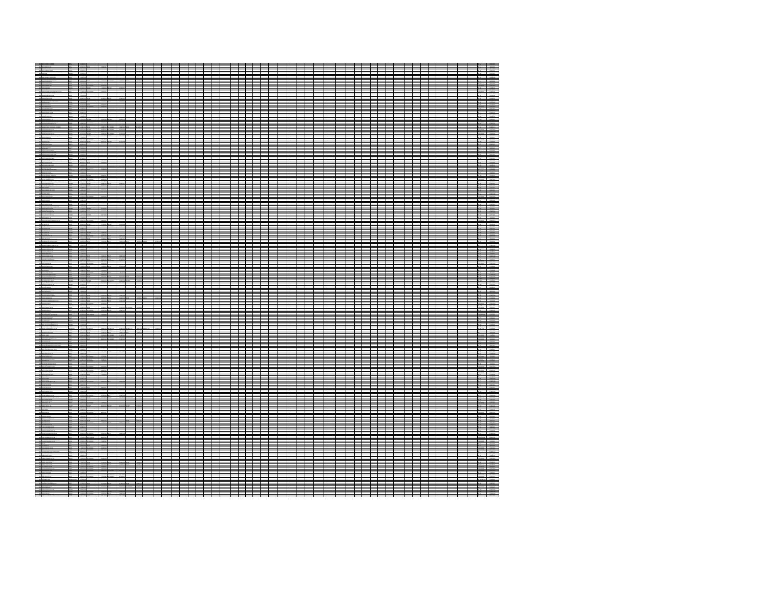|  | Abcom          |  |  | $\equiv$ | Ш |          | ÷. |  |  | Ш | Ξ |  |  |  |  |  |
|--|----------------|--|--|----------|---|----------|----|--|--|---|---|--|--|--|--|--|
|  |                |  |  |          |   |          |    |  |  |   |   |  |  |  |  |  |
|  |                |  |  |          |   |          |    |  |  |   |   |  |  |  |  |  |
|  |                |  |  |          |   |          |    |  |  |   |   |  |  |  |  |  |
|  |                |  |  |          |   |          |    |  |  |   |   |  |  |  |  |  |
|  |                |  |  |          |   |          |    |  |  |   |   |  |  |  |  |  |
|  |                |  |  |          |   |          |    |  |  |   |   |  |  |  |  |  |
|  | 靈              |  |  |          |   | $\equiv$ |    |  |  |   |   |  |  |  |  |  |
|  |                |  |  | ╛        |   |          |    |  |  | ╛ |   |  |  |  |  |  |
|  |                |  |  |          |   |          |    |  |  |   |   |  |  |  |  |  |
|  |                |  |  |          |   |          |    |  |  |   |   |  |  |  |  |  |
|  |                |  |  |          |   |          |    |  |  |   |   |  |  |  |  |  |
|  |                |  |  |          |   |          |    |  |  |   |   |  |  |  |  |  |
|  |                |  |  |          |   |          |    |  |  |   |   |  |  |  |  |  |
|  |                |  |  |          |   |          |    |  |  |   |   |  |  |  |  |  |
|  |                |  |  |          |   |          |    |  |  |   |   |  |  |  |  |  |
|  | $rac{1}{2}$    |  |  |          |   |          |    |  |  |   |   |  |  |  |  |  |
|  |                |  |  |          |   |          |    |  |  |   |   |  |  |  |  |  |
|  |                |  |  |          |   |          |    |  |  |   |   |  |  |  |  |  |
|  |                |  |  |          |   |          |    |  |  |   |   |  |  |  |  |  |
|  |                |  |  |          |   |          |    |  |  |   |   |  |  |  |  |  |
|  |                |  |  |          |   |          |    |  |  |   |   |  |  |  |  |  |
|  |                |  |  |          |   |          |    |  |  |   |   |  |  |  |  |  |
|  |                |  |  |          |   |          |    |  |  |   |   |  |  |  |  |  |
|  | $rac{1}{1000}$ |  |  |          |   |          |    |  |  |   |   |  |  |  |  |  |
|  |                |  |  |          |   |          |    |  |  |   |   |  |  |  |  |  |
|  |                |  |  |          |   |          |    |  |  |   |   |  |  |  |  |  |
|  |                |  |  |          |   |          |    |  |  |   |   |  |  |  |  |  |
|  |                |  |  |          |   |          |    |  |  |   |   |  |  |  |  |  |
|  |                |  |  |          |   |          |    |  |  |   |   |  |  |  |  |  |
|  |                |  |  |          |   |          |    |  |  |   |   |  |  |  |  |  |
|  |                |  |  |          |   |          |    |  |  |   |   |  |  |  |  |  |
|  |                |  |  |          |   |          |    |  |  |   |   |  |  |  |  |  |
|  |                |  |  |          |   |          |    |  |  |   |   |  |  |  |  |  |
|  |                |  |  |          |   |          |    |  |  |   |   |  |  |  |  |  |
|  |                |  |  |          |   |          |    |  |  |   |   |  |  |  |  |  |
|  |                |  |  |          |   |          |    |  |  |   |   |  |  |  |  |  |
|  |                |  |  |          |   |          |    |  |  |   |   |  |  |  |  |  |
|  |                |  |  |          |   |          |    |  |  |   |   |  |  |  |  |  |
|  |                |  |  |          |   |          |    |  |  |   |   |  |  |  |  |  |
|  |                |  |  |          |   |          |    |  |  |   |   |  |  |  |  |  |
|  |                |  |  |          |   |          |    |  |  |   |   |  |  |  |  |  |
|  |                |  |  |          |   |          |    |  |  |   |   |  |  |  |  |  |
|  |                |  |  |          |   |          |    |  |  |   |   |  |  |  |  |  |
|  |                |  |  |          |   |          |    |  |  |   |   |  |  |  |  |  |
|  |                |  |  |          |   |          |    |  |  |   |   |  |  |  |  |  |
|  |                |  |  |          |   |          |    |  |  |   |   |  |  |  |  |  |
|  |                |  |  |          |   |          |    |  |  |   |   |  |  |  |  |  |
|  |                |  |  |          |   |          |    |  |  |   |   |  |  |  |  |  |
|  |                |  |  |          |   |          |    |  |  |   |   |  |  |  |  |  |
|  |                |  |  |          |   |          |    |  |  |   |   |  |  |  |  |  |
|  |                |  |  |          |   |          |    |  |  |   |   |  |  |  |  |  |
|  |                |  |  |          |   |          |    |  |  |   |   |  |  |  |  |  |
|  |                |  |  |          |   |          |    |  |  |   |   |  |  |  |  |  |
|  |                |  |  |          |   |          |    |  |  |   |   |  |  |  |  |  |
|  |                |  |  |          |   |          |    |  |  |   |   |  |  |  |  |  |
|  |                |  |  |          |   |          |    |  |  |   |   |  |  |  |  |  |
|  |                |  |  |          |   |          |    |  |  |   |   |  |  |  |  |  |
|  |                |  |  |          |   |          |    |  |  |   |   |  |  |  |  |  |
|  |                |  |  |          |   |          |    |  |  |   |   |  |  |  |  |  |
|  |                |  |  |          |   |          |    |  |  |   |   |  |  |  |  |  |
|  |                |  |  |          |   |          |    |  |  |   |   |  |  |  |  |  |
|  |                |  |  |          |   |          |    |  |  |   |   |  |  |  |  |  |
|  |                |  |  |          |   |          |    |  |  |   |   |  |  |  |  |  |
|  |                |  |  |          |   |          |    |  |  |   |   |  |  |  |  |  |
|  |                |  |  |          |   |          |    |  |  |   |   |  |  |  |  |  |
|  |                |  |  |          |   |          |    |  |  |   |   |  |  |  |  |  |
|  |                |  |  |          |   |          |    |  |  |   |   |  |  |  |  |  |
|  |                |  |  |          |   |          |    |  |  |   |   |  |  |  |  |  |
|  |                |  |  |          |   |          |    |  |  |   |   |  |  |  |  |  |
|  |                |  |  |          |   |          |    |  |  |   |   |  |  |  |  |  |
|  |                |  |  |          |   |          |    |  |  |   |   |  |  |  |  |  |
|  |                |  |  |          |   |          |    |  |  |   |   |  |  |  |  |  |
|  |                |  |  |          |   |          |    |  |  |   |   |  |  |  |  |  |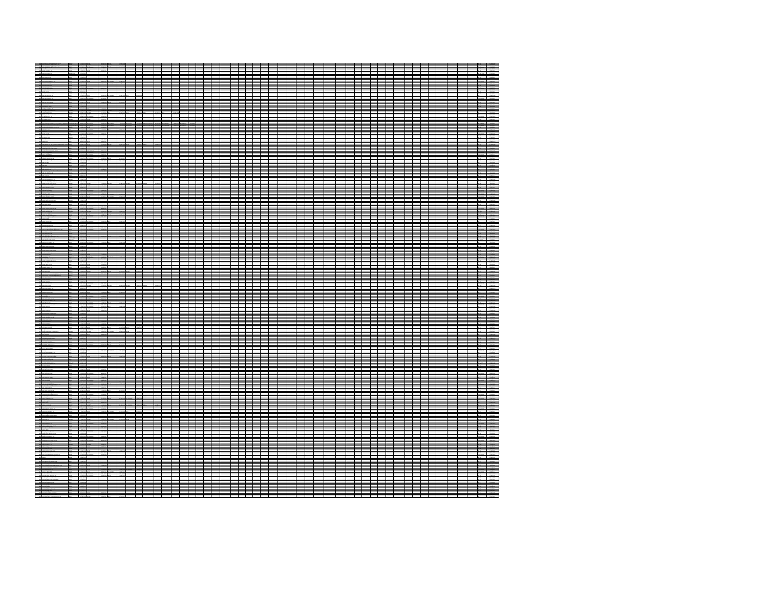|  |  |  | $\equiv$ |  |  |  |  |  |  |  |  |  |  |
|--|--|--|----------|--|--|--|--|--|--|--|--|--|--|
|  |  |  |          |  |  |  |  |  |  |  |  |  |  |
|  |  |  |          |  |  |  |  |  |  |  |  |  |  |
|  |  |  |          |  |  |  |  |  |  |  |  |  |  |
|  |  |  |          |  |  |  |  |  |  |  |  |  |  |
|  |  |  |          |  |  |  |  |  |  |  |  |  |  |
|  |  |  |          |  |  |  |  |  |  |  |  |  |  |
|  |  |  |          |  |  |  |  |  |  |  |  |  |  |
|  |  |  |          |  |  |  |  |  |  |  |  |  |  |
|  |  |  |          |  |  |  |  |  |  |  |  |  |  |
|  |  |  |          |  |  |  |  |  |  |  |  |  |  |
|  |  |  |          |  |  |  |  |  |  |  |  |  |  |
|  |  |  |          |  |  |  |  |  |  |  |  |  |  |
|  |  |  |          |  |  |  |  |  |  |  |  |  |  |
|  |  |  |          |  |  |  |  |  |  |  |  |  |  |
|  |  |  |          |  |  |  |  |  |  |  |  |  |  |
|  |  |  |          |  |  |  |  |  |  |  |  |  |  |
|  |  |  |          |  |  |  |  |  |  |  |  |  |  |
|  |  |  |          |  |  |  |  |  |  |  |  |  |  |
|  |  |  |          |  |  |  |  |  |  |  |  |  |  |
|  |  |  |          |  |  |  |  |  |  |  |  |  |  |
|  |  |  |          |  |  |  |  |  |  |  |  |  |  |
|  |  |  |          |  |  |  |  |  |  |  |  |  |  |
|  |  |  |          |  |  |  |  |  |  |  |  |  |  |
|  |  |  |          |  |  |  |  |  |  |  |  |  |  |
|  |  |  |          |  |  |  |  |  |  |  |  |  |  |
|  |  |  |          |  |  |  |  |  |  |  |  |  |  |
|  |  |  |          |  |  |  |  |  |  |  |  |  |  |
|  |  |  |          |  |  |  |  |  |  |  |  |  |  |
|  |  |  |          |  |  |  |  |  |  |  |  |  |  |
|  |  |  |          |  |  |  |  |  |  |  |  |  |  |
|  |  |  |          |  |  |  |  |  |  |  |  |  |  |
|  |  |  |          |  |  |  |  |  |  |  |  |  |  |
|  |  |  |          |  |  |  |  |  |  |  |  |  |  |
|  |  |  |          |  |  |  |  |  |  |  |  |  |  |
|  |  |  |          |  |  |  |  |  |  |  |  |  |  |
|  |  |  |          |  |  |  |  |  |  |  |  |  |  |
|  |  |  |          |  |  |  |  |  |  |  |  |  |  |
|  |  |  |          |  |  |  |  |  |  |  |  |  |  |
|  |  |  |          |  |  |  |  |  |  |  |  |  |  |
|  |  |  |          |  |  |  |  |  |  |  |  |  |  |
|  |  |  |          |  |  |  |  |  |  |  |  |  |  |
|  |  |  |          |  |  |  |  |  |  |  |  |  |  |
|  |  |  |          |  |  |  |  |  |  |  |  |  |  |
|  |  |  |          |  |  |  |  |  |  |  |  |  |  |
|  |  |  |          |  |  |  |  |  |  |  |  |  |  |
|  |  |  |          |  |  |  |  |  |  |  |  |  |  |
|  |  |  |          |  |  |  |  |  |  |  |  |  |  |
|  |  |  |          |  |  |  |  |  |  |  |  |  |  |
|  |  |  |          |  |  |  |  |  |  |  |  |  |  |
|  |  |  |          |  |  |  |  |  |  |  |  |  |  |
|  |  |  |          |  |  |  |  |  |  |  |  |  |  |
|  |  |  |          |  |  |  |  |  |  |  |  |  |  |
|  |  |  |          |  |  |  |  |  |  |  |  |  |  |
|  |  |  |          |  |  |  |  |  |  |  |  |  |  |
|  |  |  |          |  |  |  |  |  |  |  |  |  |  |
|  |  |  |          |  |  |  |  |  |  |  |  |  |  |
|  |  |  |          |  |  |  |  |  |  |  |  |  |  |
|  |  |  |          |  |  |  |  |  |  |  |  |  |  |
|  |  |  |          |  |  |  |  |  |  |  |  |  |  |
|  |  |  |          |  |  |  |  |  |  |  |  |  |  |
|  |  |  |          |  |  |  |  |  |  |  |  |  |  |
|  |  |  |          |  |  |  |  |  |  |  |  |  |  |
|  |  |  |          |  |  |  |  |  |  |  |  |  |  |
|  |  |  |          |  |  |  |  |  |  |  |  |  |  |
|  |  |  |          |  |  |  |  |  |  |  |  |  |  |
|  |  |  |          |  |  |  |  |  |  |  |  |  |  |
|  |  |  |          |  |  |  |  |  |  |  |  |  |  |
|  |  |  |          |  |  |  |  |  |  |  |  |  |  |
|  |  |  |          |  |  |  |  |  |  |  |  |  |  |
|  |  |  |          |  |  |  |  |  |  |  |  |  |  |
|  |  |  |          |  |  |  |  |  |  |  |  |  |  |
|  |  |  |          |  |  |  |  |  |  |  |  |  |  |
|  |  |  |          |  |  |  |  |  |  |  |  |  |  |
|  |  |  |          |  |  |  |  |  |  |  |  |  |  |
|  |  |  |          |  |  |  |  |  |  |  |  |  |  |
|  |  |  |          |  |  |  |  |  |  |  |  |  |  |
|  |  |  |          |  |  |  |  |  |  |  |  |  |  |
|  |  |  |          |  |  |  |  |  |  |  |  |  |  |
|  |  |  |          |  |  |  |  |  |  |  |  |  |  |
|  |  |  |          |  |  |  |  |  |  |  |  |  |  |
|  |  |  |          |  |  |  |  |  |  |  |  |  |  |
|  |  |  |          |  |  |  |  |  |  |  |  |  |  |
|  |  |  |          |  |  |  |  |  |  |  |  |  |  |
|  |  |  |          |  |  |  |  |  |  |  |  |  |  |
|  |  |  |          |  |  |  |  |  |  |  |  |  |  |
|  |  |  |          |  |  |  |  |  |  |  |  |  |  |
|  |  |  |          |  |  |  |  |  |  |  |  |  |  |
|  |  |  |          |  |  |  |  |  |  |  |  |  |  |
|  |  |  |          |  |  |  |  |  |  |  |  |  |  |
|  |  |  |          |  |  |  |  |  |  |  |  |  |  |
|  |  |  |          |  |  |  |  |  |  |  |  |  |  |
|  |  |  |          |  |  |  |  |  |  |  |  |  |  |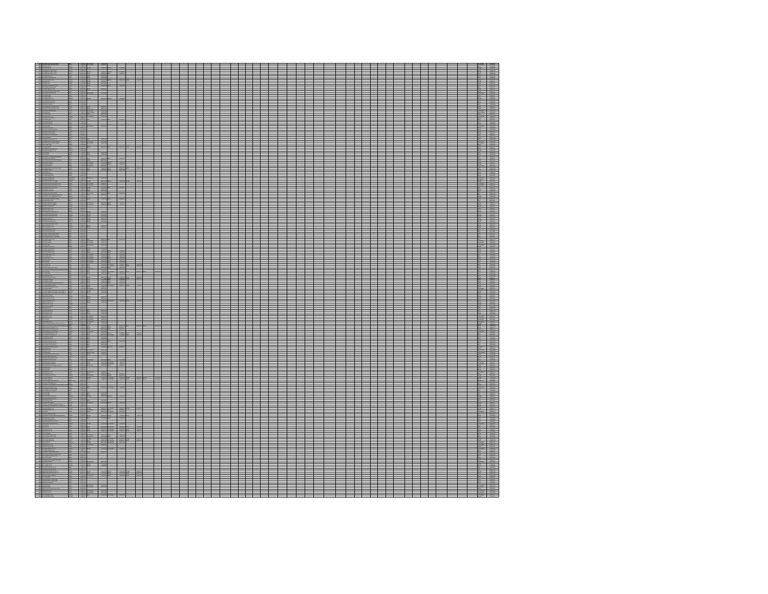|   | <b>Book</b> |          |  |  |  |  |  |  |  |  |  |  |  |
|---|-------------|----------|--|--|--|--|--|--|--|--|--|--|--|
|   |             |          |  |  |  |  |  |  |  |  |  |  |  |
|   |             |          |  |  |  |  |  |  |  |  |  |  |  |
|   |             |          |  |  |  |  |  |  |  |  |  |  |  |
|   |             |          |  |  |  |  |  |  |  |  |  |  |  |
|   |             |          |  |  |  |  |  |  |  |  |  |  |  |
|   |             |          |  |  |  |  |  |  |  |  |  |  |  |
|   |             |          |  |  |  |  |  |  |  |  |  |  |  |
|   |             |          |  |  |  |  |  |  |  |  |  |  |  |
|   |             |          |  |  |  |  |  |  |  |  |  |  |  |
|   |             |          |  |  |  |  |  |  |  |  |  |  |  |
|   |             |          |  |  |  |  |  |  |  |  |  |  |  |
|   | ł           |          |  |  |  |  |  |  |  |  |  |  |  |
| I |             |          |  |  |  |  |  |  |  |  |  |  |  |
|   |             |          |  |  |  |  |  |  |  |  |  |  |  |
|   |             |          |  |  |  |  |  |  |  |  |  |  |  |
|   |             |          |  |  |  |  |  |  |  |  |  |  |  |
|   |             |          |  |  |  |  |  |  |  |  |  |  |  |
|   |             |          |  |  |  |  |  |  |  |  |  |  |  |
|   |             | $\equiv$ |  |  |  |  |  |  |  |  |  |  |  |
|   |             |          |  |  |  |  |  |  |  |  |  |  |  |
|   |             |          |  |  |  |  |  |  |  |  |  |  |  |
|   |             |          |  |  |  |  |  |  |  |  |  |  |  |
|   |             |          |  |  |  |  |  |  |  |  |  |  |  |
|   |             |          |  |  |  |  |  |  |  |  |  |  |  |
|   |             |          |  |  |  |  |  |  |  |  |  |  |  |
|   |             |          |  |  |  |  |  |  |  |  |  |  |  |
|   |             |          |  |  |  |  |  |  |  |  |  |  |  |
|   |             |          |  |  |  |  |  |  |  |  |  |  |  |
|   |             |          |  |  |  |  |  |  |  |  |  |  |  |
|   |             |          |  |  |  |  |  |  |  |  |  |  |  |
|   |             |          |  |  |  |  |  |  |  |  |  |  |  |
|   |             |          |  |  |  |  |  |  |  |  |  |  |  |
|   |             |          |  |  |  |  |  |  |  |  |  |  |  |
|   |             |          |  |  |  |  |  |  |  |  |  |  |  |
|   |             |          |  |  |  |  |  |  |  |  |  |  |  |
|   |             |          |  |  |  |  |  |  |  |  |  |  |  |
|   |             |          |  |  |  |  |  |  |  |  |  |  |  |
|   |             |          |  |  |  |  |  |  |  |  |  |  |  |
|   |             |          |  |  |  |  |  |  |  |  |  |  |  |
|   |             |          |  |  |  |  |  |  |  |  |  |  |  |
|   |             |          |  |  |  |  |  |  |  |  |  |  |  |
|   |             |          |  |  |  |  |  |  |  |  |  |  |  |
|   |             |          |  |  |  |  |  |  |  |  |  |  |  |
|   |             |          |  |  |  |  |  |  |  |  |  |  |  |
|   |             |          |  |  |  |  |  |  |  |  |  |  |  |
|   |             |          |  |  |  |  |  |  |  |  |  |  |  |
|   |             |          |  |  |  |  |  |  |  |  |  |  |  |
|   |             |          |  |  |  |  |  |  |  |  |  |  |  |
|   |             |          |  |  |  |  |  |  |  |  |  |  |  |
|   |             |          |  |  |  |  |  |  |  |  |  |  |  |
|   |             |          |  |  |  |  |  |  |  |  |  |  |  |
|   |             |          |  |  |  |  |  |  |  |  |  |  |  |
|   |             |          |  |  |  |  |  |  |  |  |  |  |  |
|   |             |          |  |  |  |  |  |  |  |  |  |  |  |
|   |             |          |  |  |  |  |  |  |  |  |  |  |  |
|   |             |          |  |  |  |  |  |  |  |  |  |  |  |
|   |             |          |  |  |  |  |  |  |  |  |  |  |  |
|   |             |          |  |  |  |  |  |  |  |  |  |  |  |
|   |             |          |  |  |  |  |  |  |  |  |  |  |  |
|   |             |          |  |  |  |  |  |  |  |  |  |  |  |
|   |             |          |  |  |  |  |  |  |  |  |  |  |  |
|   |             |          |  |  |  |  |  |  |  |  |  |  |  |
|   |             |          |  |  |  |  |  |  |  |  |  |  |  |
|   |             |          |  |  |  |  |  |  |  |  |  |  |  |
|   |             |          |  |  |  |  |  |  |  |  |  |  |  |
|   |             |          |  |  |  |  |  |  |  |  |  |  |  |
|   |             |          |  |  |  |  |  |  |  |  |  |  |  |
|   |             |          |  |  |  |  |  |  |  |  |  |  |  |
|   |             |          |  |  |  |  |  |  |  |  |  |  |  |
|   |             |          |  |  |  |  |  |  |  |  |  |  |  |
|   |             |          |  |  |  |  |  |  |  |  |  |  |  |
|   |             |          |  |  |  |  |  |  |  |  |  |  |  |
|   |             |          |  |  |  |  |  |  |  |  |  |  |  |
|   |             |          |  |  |  |  |  |  |  |  |  |  |  |
|   |             |          |  |  |  |  |  |  |  |  |  |  |  |
|   |             |          |  |  |  |  |  |  |  |  |  |  |  |
|   |             |          |  |  |  |  |  |  |  |  |  |  |  |
|   |             |          |  |  |  |  |  |  |  |  |  |  |  |
|   |             |          |  |  |  |  |  |  |  |  |  |  |  |
|   |             |          |  |  |  |  |  |  |  |  |  |  |  |
|   |             |          |  |  |  |  |  |  |  |  |  |  |  |
|   |             |          |  |  |  |  |  |  |  |  |  |  |  |
|   |             |          |  |  |  |  |  |  |  |  |  |  |  |
|   |             |          |  |  |  |  |  |  |  |  |  |  |  |
|   |             |          |  |  |  |  |  |  |  |  |  |  |  |
|   |             |          |  |  |  |  |  |  |  |  |  |  |  |
|   |             |          |  |  |  |  |  |  |  |  |  |  |  |
|   |             |          |  |  |  |  |  |  |  |  |  |  |  |
|   |             |          |  |  |  |  |  |  |  |  |  |  |  |
|   |             |          |  |  |  |  |  |  |  |  |  |  |  |
|   |             |          |  |  |  |  |  |  |  |  |  |  |  |
|   |             |          |  |  |  |  |  |  |  |  |  |  |  |
|   |             |          |  |  |  |  |  |  |  |  |  |  |  |
|   |             |          |  |  |  |  |  |  |  |  |  |  |  |
|   |             |          |  |  |  |  |  |  |  |  |  |  |  |
|   |             |          |  |  |  |  |  |  |  |  |  |  |  |
|   |             |          |  |  |  |  |  |  |  |  |  |  |  |
|   |             |          |  |  |  |  |  |  |  |  |  |  |  |
|   |             |          |  |  |  |  |  |  |  |  |  |  |  |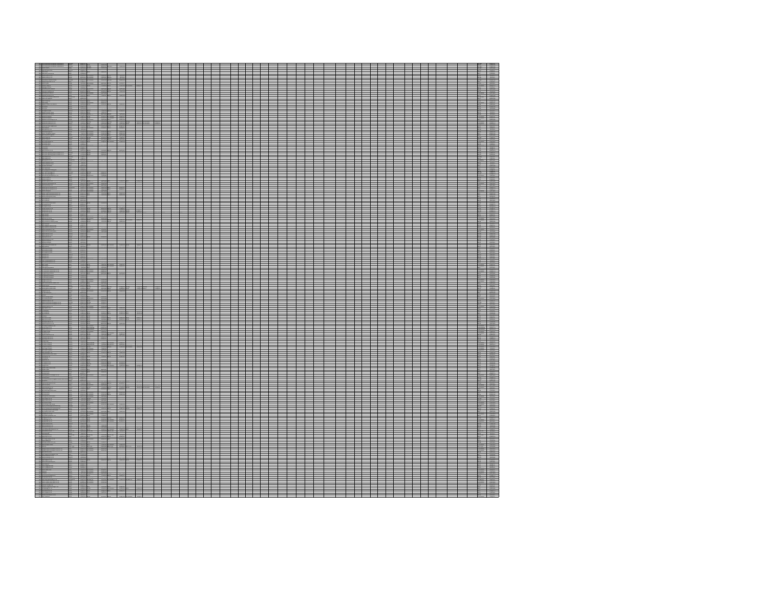| ▊                        |  |  |  |
|--------------------------|--|--|--|
|                          |  |  |  |
|                          |  |  |  |
|                          |  |  |  |
|                          |  |  |  |
|                          |  |  |  |
|                          |  |  |  |
| $\frac{1500}{1500}$<br>▋ |  |  |  |
|                          |  |  |  |
|                          |  |  |  |
|                          |  |  |  |
|                          |  |  |  |
|                          |  |  |  |
|                          |  |  |  |
|                          |  |  |  |
| ilian da                 |  |  |  |
|                          |  |  |  |
|                          |  |  |  |
|                          |  |  |  |
|                          |  |  |  |
|                          |  |  |  |
| æ                        |  |  |  |
|                          |  |  |  |
| ▄                        |  |  |  |
|                          |  |  |  |
|                          |  |  |  |
|                          |  |  |  |
|                          |  |  |  |
|                          |  |  |  |
| H                        |  |  |  |
|                          |  |  |  |
|                          |  |  |  |
|                          |  |  |  |
|                          |  |  |  |
|                          |  |  |  |
|                          |  |  |  |
|                          |  |  |  |
|                          |  |  |  |
|                          |  |  |  |
|                          |  |  |  |
|                          |  |  |  |
|                          |  |  |  |
| <b>Home</b>              |  |  |  |
| ÷                        |  |  |  |
|                          |  |  |  |
|                          |  |  |  |
|                          |  |  |  |
|                          |  |  |  |
|                          |  |  |  |
|                          |  |  |  |
| m                        |  |  |  |
| E                        |  |  |  |
|                          |  |  |  |
| R                        |  |  |  |
|                          |  |  |  |
|                          |  |  |  |
|                          |  |  |  |
| <b>DOM</b>               |  |  |  |
| E                        |  |  |  |
|                          |  |  |  |
|                          |  |  |  |
|                          |  |  |  |
|                          |  |  |  |
|                          |  |  |  |
|                          |  |  |  |
|                          |  |  |  |
|                          |  |  |  |
|                          |  |  |  |
|                          |  |  |  |
|                          |  |  |  |
|                          |  |  |  |
|                          |  |  |  |
|                          |  |  |  |
|                          |  |  |  |
|                          |  |  |  |
|                          |  |  |  |
|                          |  |  |  |
|                          |  |  |  |
|                          |  |  |  |
|                          |  |  |  |
|                          |  |  |  |
|                          |  |  |  |
|                          |  |  |  |
|                          |  |  |  |
|                          |  |  |  |
|                          |  |  |  |
|                          |  |  |  |
|                          |  |  |  |
|                          |  |  |  |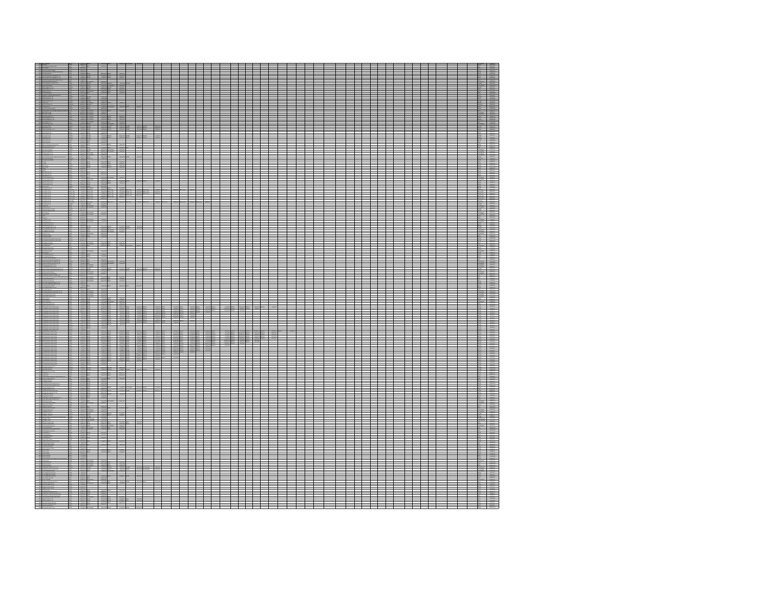|   |  |  |  |  |  |  |  |  |  |  |  |  |  |  |  | 1000年1月<br>1000年1月<br>1000年1月<br>1000年1月<br>1000年1月<br>1000年1月<br>1000年1月 |
|---|--|--|--|--|--|--|--|--|--|--|--|--|--|--|--|---------------------------------------------------------------------------|
|   |  |  |  |  |  |  |  |  |  |  |  |  |  |  |  |                                                                           |
| l |  |  |  |  |  |  |  |  |  |  |  |  |  |  |  |                                                                           |
|   |  |  |  |  |  |  |  |  |  |  |  |  |  |  |  |                                                                           |
|   |  |  |  |  |  |  |  |  |  |  |  |  |  |  |  |                                                                           |
|   |  |  |  |  |  |  |  |  |  |  |  |  |  |  |  |                                                                           |
|   |  |  |  |  |  |  |  |  |  |  |  |  |  |  |  |                                                                           |
|   |  |  |  |  |  |  |  |  |  |  |  |  |  |  |  |                                                                           |
|   |  |  |  |  |  |  |  |  |  |  |  |  |  |  |  |                                                                           |
|   |  |  |  |  |  |  |  |  |  |  |  |  |  |  |  |                                                                           |
|   |  |  |  |  |  |  |  |  |  |  |  |  |  |  |  |                                                                           |
|   |  |  |  |  |  |  |  |  |  |  |  |  |  |  |  |                                                                           |
|   |  |  |  |  |  |  |  |  |  |  |  |  |  |  |  |                                                                           |
|   |  |  |  |  |  |  |  |  |  |  |  |  |  |  |  |                                                                           |
|   |  |  |  |  |  |  |  |  |  |  |  |  |  |  |  |                                                                           |
|   |  |  |  |  |  |  |  |  |  |  |  |  |  |  |  |                                                                           |
|   |  |  |  |  |  |  |  |  |  |  |  |  |  |  |  |                                                                           |
|   |  |  |  |  |  |  |  |  |  |  |  |  |  |  |  |                                                                           |
|   |  |  |  |  |  |  |  |  |  |  |  |  |  |  |  |                                                                           |
|   |  |  |  |  |  |  |  |  |  |  |  |  |  |  |  |                                                                           |
|   |  |  |  |  |  |  |  |  |  |  |  |  |  |  |  |                                                                           |
|   |  |  |  |  |  |  |  |  |  |  |  |  |  |  |  |                                                                           |
|   |  |  |  |  |  |  |  |  |  |  |  |  |  |  |  |                                                                           |
|   |  |  |  |  |  |  |  |  |  |  |  |  |  |  |  |                                                                           |
|   |  |  |  |  |  |  |  |  |  |  |  |  |  |  |  |                                                                           |
|   |  |  |  |  |  |  |  |  |  |  |  |  |  |  |  |                                                                           |
|   |  |  |  |  |  |  |  |  |  |  |  |  |  |  |  |                                                                           |
|   |  |  |  |  |  |  |  |  |  |  |  |  |  |  |  |                                                                           |
|   |  |  |  |  |  |  |  |  |  |  |  |  |  |  |  |                                                                           |
|   |  |  |  |  |  |  |  |  |  |  |  |  |  |  |  |                                                                           |
|   |  |  |  |  |  |  |  |  |  |  |  |  |  |  |  |                                                                           |
|   |  |  |  |  |  |  |  |  |  |  |  |  |  |  |  |                                                                           |
|   |  |  |  |  |  |  |  |  |  |  |  |  |  |  |  |                                                                           |
|   |  |  |  |  |  |  |  |  |  |  |  |  |  |  |  |                                                                           |
|   |  |  |  |  |  |  |  |  |  |  |  |  |  |  |  |                                                                           |
|   |  |  |  |  |  |  |  |  |  |  |  |  |  |  |  |                                                                           |
|   |  |  |  |  |  |  |  |  |  |  |  |  |  |  |  |                                                                           |
|   |  |  |  |  |  |  |  |  |  |  |  |  |  |  |  |                                                                           |
|   |  |  |  |  |  |  |  |  |  |  |  |  |  |  |  |                                                                           |
|   |  |  |  |  |  |  |  |  |  |  |  |  |  |  |  |                                                                           |
|   |  |  |  |  |  |  |  |  |  |  |  |  |  |  |  |                                                                           |
|   |  |  |  |  |  |  |  |  |  |  |  |  |  |  |  |                                                                           |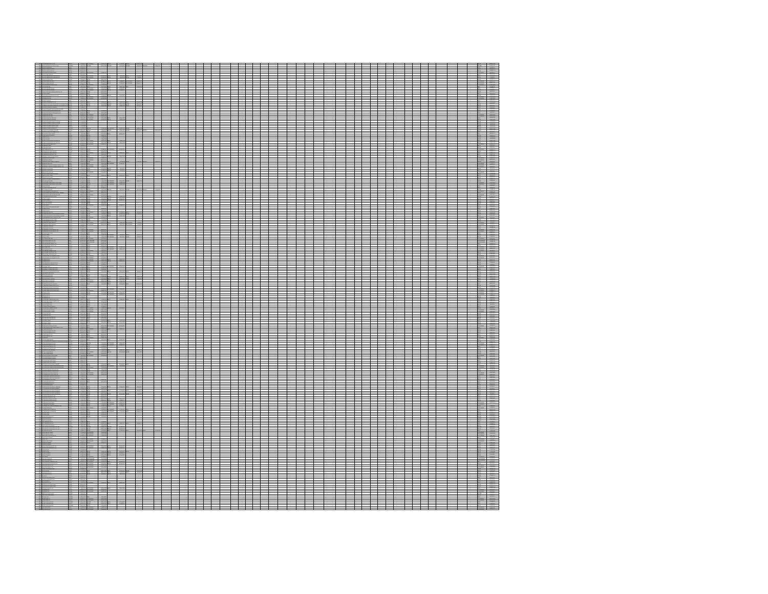|  |  |  |  |  |  |  |  |  |  |  |  |  |  | <b>ANGELES</b> |
|--|--|--|--|--|--|--|--|--|--|--|--|--|--|----------------|
|  |  |  |  |  |  |  |  |  |  |  |  |  |  |                |
|  |  |  |  |  |  |  |  |  |  |  |  |  |  |                |
|  |  |  |  |  |  |  |  |  |  |  |  |  |  |                |
|  |  |  |  |  |  |  |  |  |  |  |  |  |  |                |
|  |  |  |  |  |  |  |  |  |  |  |  |  |  |                |
|  |  |  |  |  |  |  |  |  |  |  |  |  |  |                |
|  |  |  |  |  |  |  |  |  |  |  |  |  |  |                |
|  |  |  |  |  |  |  |  |  |  |  |  |  |  |                |
|  |  |  |  |  |  |  |  |  |  |  |  |  |  |                |
|  |  |  |  |  |  |  |  |  |  |  |  |  |  |                |
|  |  |  |  |  |  |  |  |  |  |  |  |  |  |                |
|  |  |  |  |  |  |  |  |  |  |  |  |  |  |                |
|  |  |  |  |  |  |  |  |  |  |  |  |  |  |                |
|  |  |  |  |  |  |  |  |  |  |  |  |  |  |                |
|  |  |  |  |  |  |  |  |  |  |  |  |  |  |                |
|  |  |  |  |  |  |  |  |  |  |  |  |  |  |                |
|  |  |  |  |  |  |  |  |  |  |  |  |  |  |                |
|  |  |  |  |  |  |  |  |  |  |  |  |  |  |                |
|  |  |  |  |  |  |  |  |  |  |  |  |  |  |                |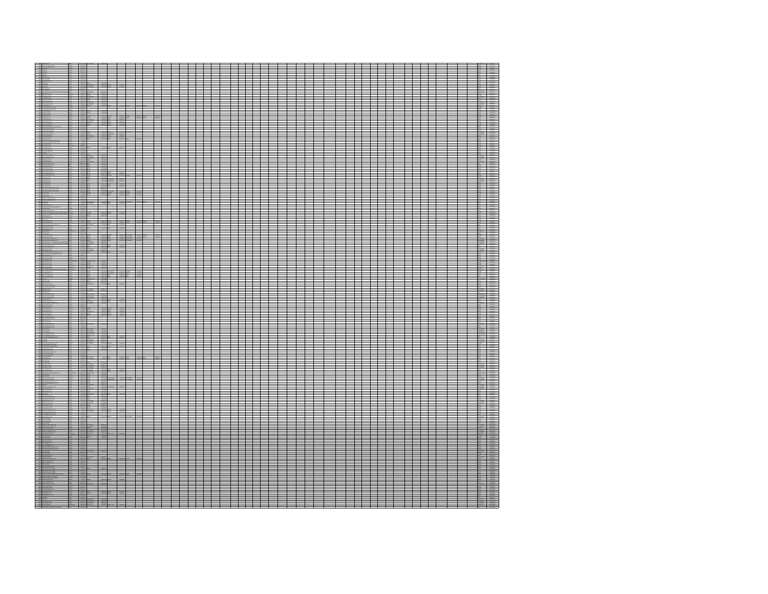|  |  |  |  |  |  |  |  |  |  |  |  |  |  |  | 1999年1月11日 - 1999年1月11日 - 1999年1月11日 - 1999年1月11日 - 1999年1月11日 - 1999年1月11日 - 1999年1月11日 - 1999年1月11日 - 1999年1<br>- 1999年1月11日 - 1999年1月11日 - 1999年1月11日 - 1999年1月11日 - 1999年1月11日 - 1999年1月11日 - 1999年1月11日 - 1999年1月11日 - 199 |
|--|--|--|--|--|--|--|--|--|--|--|--|--|--|--|---------------------------------------------------------------------------------------------------------------------------------------------------------------------------------------------------------------------------------|
|  |  |  |  |  |  |  |  |  |  |  |  |  |  |  |                                                                                                                                                                                                                                 |
|  |  |  |  |  |  |  |  |  |  |  |  |  |  |  |                                                                                                                                                                                                                                 |
|  |  |  |  |  |  |  |  |  |  |  |  |  |  |  |                                                                                                                                                                                                                                 |
|  |  |  |  |  |  |  |  |  |  |  |  |  |  |  |                                                                                                                                                                                                                                 |
|  |  |  |  |  |  |  |  |  |  |  |  |  |  |  |                                                                                                                                                                                                                                 |
|  |  |  |  |  |  |  |  |  |  |  |  |  |  |  |                                                                                                                                                                                                                                 |
|  |  |  |  |  |  |  |  |  |  |  |  |  |  |  |                                                                                                                                                                                                                                 |
|  |  |  |  |  |  |  |  |  |  |  |  |  |  |  |                                                                                                                                                                                                                                 |
|  |  |  |  |  |  |  |  |  |  |  |  |  |  |  |                                                                                                                                                                                                                                 |
|  |  |  |  |  |  |  |  |  |  |  |  |  |  |  |                                                                                                                                                                                                                                 |
|  |  |  |  |  |  |  |  |  |  |  |  |  |  |  |                                                                                                                                                                                                                                 |
|  |  |  |  |  |  |  |  |  |  |  |  |  |  |  |                                                                                                                                                                                                                                 |
|  |  |  |  |  |  |  |  |  |  |  |  |  |  |  |                                                                                                                                                                                                                                 |
|  |  |  |  |  |  |  |  |  |  |  |  |  |  |  |                                                                                                                                                                                                                                 |
|  |  |  |  |  |  |  |  |  |  |  |  |  |  |  |                                                                                                                                                                                                                                 |
|  |  |  |  |  |  |  |  |  |  |  |  |  |  |  |                                                                                                                                                                                                                                 |
|  |  |  |  |  |  |  |  |  |  |  |  |  |  |  |                                                                                                                                                                                                                                 |
|  |  |  |  |  |  |  |  |  |  |  |  |  |  |  |                                                                                                                                                                                                                                 |
|  |  |  |  |  |  |  |  |  |  |  |  |  |  |  |                                                                                                                                                                                                                                 |
|  |  |  |  |  |  |  |  |  |  |  |  |  |  |  |                                                                                                                                                                                                                                 |
|  |  |  |  |  |  |  |  |  |  |  |  |  |  |  |                                                                                                                                                                                                                                 |
|  |  |  |  |  |  |  |  |  |  |  |  |  |  |  |                                                                                                                                                                                                                                 |
|  |  |  |  |  |  |  |  |  |  |  |  |  |  |  |                                                                                                                                                                                                                                 |
|  |  |  |  |  |  |  |  |  |  |  |  |  |  |  |                                                                                                                                                                                                                                 |
|  |  |  |  |  |  |  |  |  |  |  |  |  |  |  |                                                                                                                                                                                                                                 |
|  |  |  |  |  |  |  |  |  |  |  |  |  |  |  |                                                                                                                                                                                                                                 |
|  |  |  |  |  |  |  |  |  |  |  |  |  |  |  |                                                                                                                                                                                                                                 |
|  |  |  |  |  |  |  |  |  |  |  |  |  |  |  |                                                                                                                                                                                                                                 |
|  |  |  |  |  |  |  |  |  |  |  |  |  |  |  |                                                                                                                                                                                                                                 |
|  |  |  |  |  |  |  |  |  |  |  |  |  |  |  |                                                                                                                                                                                                                                 |
|  |  |  |  |  |  |  |  |  |  |  |  |  |  |  |                                                                                                                                                                                                                                 |
|  |  |  |  |  |  |  |  |  |  |  |  |  |  |  |                                                                                                                                                                                                                                 |
|  |  |  |  |  |  |  |  |  |  |  |  |  |  |  |                                                                                                                                                                                                                                 |
|  |  |  |  |  |  |  |  |  |  |  |  |  |  |  |                                                                                                                                                                                                                                 |
|  |  |  |  |  |  |  |  |  |  |  |  |  |  |  |                                                                                                                                                                                                                                 |
|  |  |  |  |  |  |  |  |  |  |  |  |  |  |  |                                                                                                                                                                                                                                 |
|  |  |  |  |  |  |  |  |  |  |  |  |  |  |  |                                                                                                                                                                                                                                 |
|  |  |  |  |  |  |  |  |  |  |  |  |  |  |  |                                                                                                                                                                                                                                 |
|  |  |  |  |  |  |  |  |  |  |  |  |  |  |  |                                                                                                                                                                                                                                 |
|  |  |  |  |  |  |  |  |  |  |  |  |  |  |  |                                                                                                                                                                                                                                 |
|  |  |  |  |  |  |  |  |  |  |  |  |  |  |  |                                                                                                                                                                                                                                 |
|  |  |  |  |  |  |  |  |  |  |  |  |  |  |  |                                                                                                                                                                                                                                 |
|  |  |  |  |  |  |  |  |  |  |  |  |  |  |  |                                                                                                                                                                                                                                 |
|  |  |  |  |  |  |  |  |  |  |  |  |  |  |  |                                                                                                                                                                                                                                 |
|  |  |  |  |  |  |  |  |  |  |  |  |  |  |  |                                                                                                                                                                                                                                 |
|  |  |  |  |  |  |  |  |  |  |  |  |  |  |  |                                                                                                                                                                                                                                 |
|  |  |  |  |  |  |  |  |  |  |  |  |  |  |  |                                                                                                                                                                                                                                 |
|  |  |  |  |  |  |  |  |  |  |  |  |  |  |  |                                                                                                                                                                                                                                 |
|  |  |  |  |  |  |  |  |  |  |  |  |  |  |  |                                                                                                                                                                                                                                 |
|  |  |  |  |  |  |  |  |  |  |  |  |  |  |  |                                                                                                                                                                                                                                 |
|  |  |  |  |  |  |  |  |  |  |  |  |  |  |  |                                                                                                                                                                                                                                 |
|  |  |  |  |  |  |  |  |  |  |  |  |  |  |  | North Maria                                                                                                                                                                                                                     |
|  |  |  |  |  |  |  |  |  |  |  |  |  |  |  |                                                                                                                                                                                                                                 |
|  |  |  |  |  |  |  |  |  |  |  |  |  |  |  |                                                                                                                                                                                                                                 |
|  |  |  |  |  |  |  |  |  |  |  |  |  |  |  |                                                                                                                                                                                                                                 |
|  |  |  |  |  |  |  |  |  |  |  |  |  |  |  |                                                                                                                                                                                                                                 |
|  |  |  |  |  |  |  |  |  |  |  |  |  |  |  |                                                                                                                                                                                                                                 |
|  |  |  |  |  |  |  |  |  |  |  |  |  |  |  |                                                                                                                                                                                                                                 |
|  |  |  |  |  |  |  |  |  |  |  |  |  |  |  | Africana<br>Montes<br>Montes                                                                                                                                                                                                    |
|  |  |  |  |  |  |  |  |  |  |  |  |  |  |  |                                                                                                                                                                                                                                 |
|  |  |  |  |  |  |  |  |  |  |  |  |  |  |  |                                                                                                                                                                                                                                 |
|  |  |  |  |  |  |  |  |  |  |  |  |  |  |  |                                                                                                                                                                                                                                 |
|  |  |  |  |  |  |  |  |  |  |  |  |  |  |  |                                                                                                                                                                                                                                 |
|  |  |  |  |  |  |  |  |  |  |  |  |  |  |  |                                                                                                                                                                                                                                 |
|  |  |  |  |  |  |  |  |  |  |  |  |  |  |  |                                                                                                                                                                                                                                 |
|  |  |  |  |  |  |  |  |  |  |  |  |  |  |  |                                                                                                                                                                                                                                 |
|  |  |  |  |  |  |  |  |  |  |  |  |  |  |  |                                                                                                                                                                                                                                 |
|  |  |  |  |  |  |  |  |  |  |  |  |  |  |  |                                                                                                                                                                                                                                 |
|  |  |  |  |  |  |  |  |  |  |  |  |  |  |  |                                                                                                                                                                                                                                 |
|  |  |  |  |  |  |  |  |  |  |  |  |  |  |  |                                                                                                                                                                                                                                 |
|  |  |  |  |  |  |  |  |  |  |  |  |  |  |  |                                                                                                                                                                                                                                 |
|  |  |  |  |  |  |  |  |  |  |  |  |  |  |  |                                                                                                                                                                                                                                 |
|  |  |  |  |  |  |  |  |  |  |  |  |  |  |  |                                                                                                                                                                                                                                 |
|  |  |  |  |  |  |  |  |  |  |  |  |  |  |  |                                                                                                                                                                                                                                 |
|  |  |  |  |  |  |  |  |  |  |  |  |  |  |  |                                                                                                                                                                                                                                 |
|  |  |  |  |  |  |  |  |  |  |  |  |  |  |  |                                                                                                                                                                                                                                 |
|  |  |  |  |  |  |  |  |  |  |  |  |  |  |  |                                                                                                                                                                                                                                 |
|  |  |  |  |  |  |  |  |  |  |  |  |  |  |  |                                                                                                                                                                                                                                 |
|  |  |  |  |  |  |  |  |  |  |  |  |  |  |  |                                                                                                                                                                                                                                 |
|  |  |  |  |  |  |  |  |  |  |  |  |  |  |  |                                                                                                                                                                                                                                 |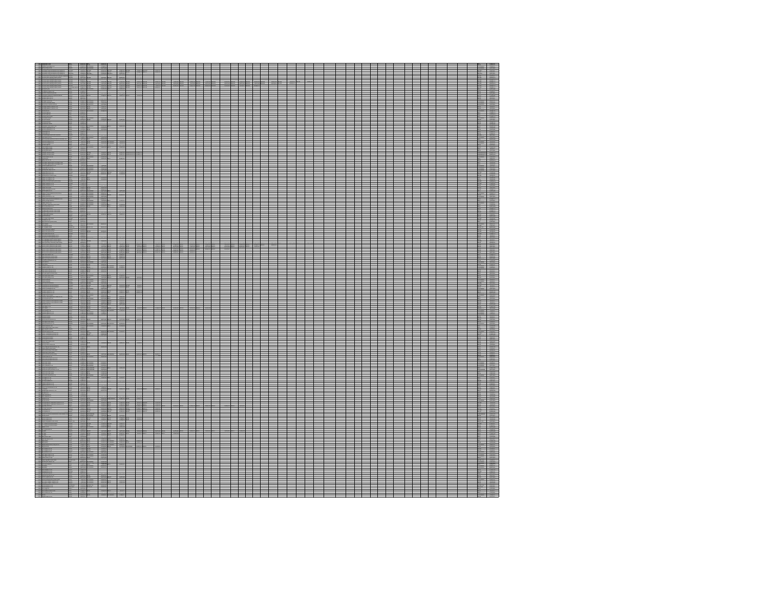|  | $\equiv$ |  |  |  |  |  |  |  |  |  |
|--|----------|--|--|--|--|--|--|--|--|--|
|  |          |  |  |  |  |  |  |  |  |  |
|  |          |  |  |  |  |  |  |  |  |  |
|  |          |  |  |  |  |  |  |  |  |  |
|  |          |  |  |  |  |  |  |  |  |  |
|  |          |  |  |  |  |  |  |  |  |  |
|  |          |  |  |  |  |  |  |  |  |  |
|  |          |  |  |  |  |  |  |  |  |  |
|  |          |  |  |  |  |  |  |  |  |  |
|  |          |  |  |  |  |  |  |  |  |  |
|  |          |  |  |  |  |  |  |  |  |  |
|  |          |  |  |  |  |  |  |  |  |  |
|  |          |  |  |  |  |  |  |  |  |  |
|  |          |  |  |  |  |  |  |  |  |  |
|  |          |  |  |  |  |  |  |  |  |  |
|  |          |  |  |  |  |  |  |  |  |  |
|  |          |  |  |  |  |  |  |  |  |  |
|  |          |  |  |  |  |  |  |  |  |  |
|  |          |  |  |  |  |  |  |  |  |  |
|  |          |  |  |  |  |  |  |  |  |  |
|  |          |  |  |  |  |  |  |  |  |  |
|  |          |  |  |  |  |  |  |  |  |  |
|  |          |  |  |  |  |  |  |  |  |  |
|  |          |  |  |  |  |  |  |  |  |  |
|  |          |  |  |  |  |  |  |  |  |  |
|  |          |  |  |  |  |  |  |  |  |  |
|  |          |  |  |  |  |  |  |  |  |  |
|  |          |  |  |  |  |  |  |  |  |  |
|  |          |  |  |  |  |  |  |  |  |  |
|  |          |  |  |  |  |  |  |  |  |  |
|  |          |  |  |  |  |  |  |  |  |  |
|  |          |  |  |  |  |  |  |  |  |  |
|  |          |  |  |  |  |  |  |  |  |  |
|  |          |  |  |  |  |  |  |  |  |  |
|  |          |  |  |  |  |  |  |  |  |  |
|  |          |  |  |  |  |  |  |  |  |  |
|  |          |  |  |  |  |  |  |  |  |  |
|  |          |  |  |  |  |  |  |  |  |  |
|  |          |  |  |  |  |  |  |  |  |  |
|  |          |  |  |  |  |  |  |  |  |  |
|  |          |  |  |  |  |  |  |  |  |  |
|  |          |  |  |  |  |  |  |  |  |  |
|  |          |  |  |  |  |  |  |  |  |  |
|  |          |  |  |  |  |  |  |  |  |  |
|  |          |  |  |  |  |  |  |  |  |  |
|  |          |  |  |  |  |  |  |  |  |  |
|  |          |  |  |  |  |  |  |  |  |  |
|  |          |  |  |  |  |  |  |  |  |  |
|  |          |  |  |  |  |  |  |  |  |  |
|  |          |  |  |  |  |  |  |  |  |  |
|  |          |  |  |  |  |  |  |  |  |  |
|  |          |  |  |  |  |  |  |  |  |  |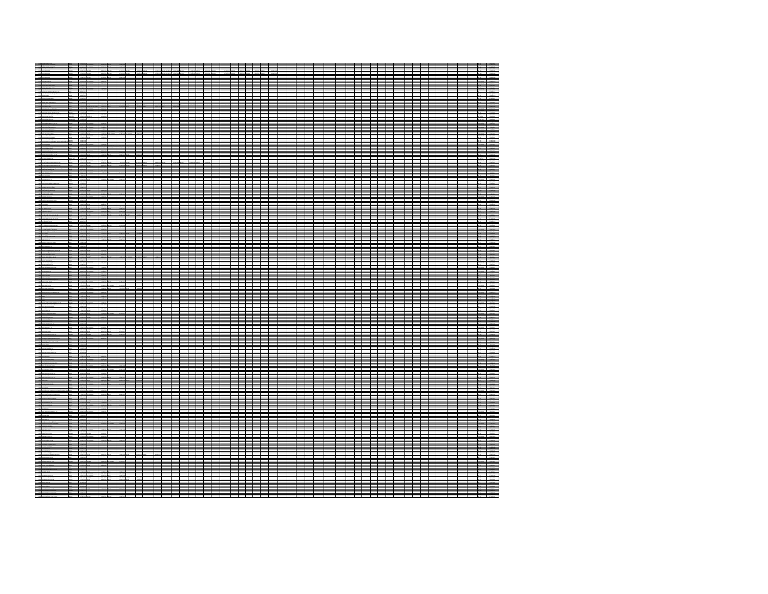|    |                 | – |  |  | –   |  |  |  |  |  |  |  |
|----|-----------------|---|--|--|-----|--|--|--|--|--|--|--|
|    |                 |   |  |  |     |  |  |  |  |  |  |  |
|    |                 |   |  |  |     |  |  |  |  |  |  |  |
|    |                 |   |  |  |     |  |  |  |  |  |  |  |
|    |                 |   |  |  |     |  |  |  |  |  |  |  |
|    |                 |   |  |  |     |  |  |  |  |  |  |  |
|    |                 |   |  |  |     |  |  |  |  |  |  |  |
|    |                 |   |  |  |     |  |  |  |  |  |  |  |
|    |                 |   |  |  |     |  |  |  |  |  |  |  |
|    | 置               |   |  |  |     |  |  |  |  |  |  |  |
|    |                 |   |  |  |     |  |  |  |  |  |  |  |
|    | $\frac{1}{1}$   |   |  |  | ▆▅▅ |  |  |  |  |  |  |  |
|    |                 |   |  |  |     |  |  |  |  |  |  |  |
|    |                 |   |  |  |     |  |  |  |  |  |  |  |
|    |                 |   |  |  |     |  |  |  |  |  |  |  |
|    |                 |   |  |  |     |  |  |  |  |  |  |  |
|    |                 |   |  |  |     |  |  |  |  |  |  |  |
|    |                 |   |  |  |     |  |  |  |  |  |  |  |
|    | m               |   |  |  |     |  |  |  |  |  |  |  |
|    | ♦               |   |  |  |     |  |  |  |  |  |  |  |
|    |                 |   |  |  |     |  |  |  |  |  |  |  |
|    |                 |   |  |  |     |  |  |  |  |  |  |  |
|    |                 |   |  |  |     |  |  |  |  |  |  |  |
|    |                 |   |  |  |     |  |  |  |  |  |  |  |
|    |                 |   |  |  |     |  |  |  |  |  |  |  |
|    |                 |   |  |  |     |  |  |  |  |  |  |  |
|    |                 |   |  |  |     |  |  |  |  |  |  |  |
|    |                 |   |  |  |     |  |  |  |  |  |  |  |
| 端  |                 |   |  |  |     |  |  |  |  |  |  |  |
|    |                 |   |  |  |     |  |  |  |  |  |  |  |
|    |                 |   |  |  |     |  |  |  |  |  |  |  |
|    |                 |   |  |  |     |  |  |  |  |  |  |  |
|    |                 |   |  |  |     |  |  |  |  |  |  |  |
|    |                 |   |  |  |     |  |  |  |  |  |  |  |
|    |                 |   |  |  |     |  |  |  |  |  |  |  |
|    |                 |   |  |  |     |  |  |  |  |  |  |  |
|    |                 |   |  |  |     |  |  |  |  |  |  |  |
|    |                 |   |  |  |     |  |  |  |  |  |  |  |
|    |                 |   |  |  |     |  |  |  |  |  |  |  |
|    |                 |   |  |  |     |  |  |  |  |  |  |  |
|    |                 |   |  |  |     |  |  |  |  |  |  |  |
|    |                 |   |  |  |     |  |  |  |  |  |  |  |
|    |                 |   |  |  |     |  |  |  |  |  |  |  |
|    |                 |   |  |  |     |  |  |  |  |  |  |  |
|    |                 |   |  |  |     |  |  |  |  |  |  |  |
|    |                 |   |  |  |     |  |  |  |  |  |  |  |
|    |                 |   |  |  |     |  |  |  |  |  |  |  |
| W  |                 |   |  |  |     |  |  |  |  |  |  |  |
|    |                 |   |  |  |     |  |  |  |  |  |  |  |
|    |                 |   |  |  |     |  |  |  |  |  |  |  |
|    |                 |   |  |  |     |  |  |  |  |  |  |  |
|    |                 |   |  |  |     |  |  |  |  |  |  |  |
|    |                 |   |  |  |     |  |  |  |  |  |  |  |
|    |                 |   |  |  |     |  |  |  |  |  |  |  |
|    |                 |   |  |  |     |  |  |  |  |  |  |  |
|    |                 |   |  |  |     |  |  |  |  |  |  |  |
| ÷  | =               |   |  |  |     |  |  |  |  |  |  |  |
|    |                 |   |  |  |     |  |  |  |  |  |  |  |
|    |                 |   |  |  |     |  |  |  |  |  |  |  |
|    |                 |   |  |  |     |  |  |  |  |  |  |  |
|    |                 |   |  |  |     |  |  |  |  |  |  |  |
|    |                 |   |  |  |     |  |  |  |  |  |  |  |
|    |                 |   |  |  |     |  |  |  |  |  |  |  |
|    |                 |   |  |  |     |  |  |  |  |  |  |  |
|    |                 |   |  |  |     |  |  |  |  |  |  |  |
|    |                 |   |  |  |     |  |  |  |  |  |  |  |
|    |                 |   |  |  |     |  |  |  |  |  |  |  |
|    |                 |   |  |  |     |  |  |  |  |  |  |  |
|    |                 |   |  |  |     |  |  |  |  |  |  |  |
|    |                 |   |  |  |     |  |  |  |  |  |  |  |
|    |                 |   |  |  |     |  |  |  |  |  |  |  |
|    |                 |   |  |  |     |  |  |  |  |  |  |  |
|    |                 |   |  |  |     |  |  |  |  |  |  |  |
| W  |                 |   |  |  |     |  |  |  |  |  |  |  |
|    |                 |   |  |  |     |  |  |  |  |  |  |  |
|    |                 |   |  |  |     |  |  |  |  |  |  |  |
| 篇章 | $\frac{1}{100}$ |   |  |  |     |  |  |  |  |  |  |  |
|    |                 |   |  |  |     |  |  |  |  |  |  |  |
|    |                 |   |  |  |     |  |  |  |  |  |  |  |
|    |                 |   |  |  |     |  |  |  |  |  |  |  |
|    |                 |   |  |  |     |  |  |  |  |  |  |  |
|    |                 |   |  |  |     |  |  |  |  |  |  |  |
|    |                 |   |  |  |     |  |  |  |  |  |  |  |
|    |                 |   |  |  |     |  |  |  |  |  |  |  |
|    |                 |   |  |  |     |  |  |  |  |  |  |  |
|    |                 |   |  |  |     |  |  |  |  |  |  |  |
|    |                 |   |  |  |     |  |  |  |  |  |  |  |
|    |                 |   |  |  |     |  |  |  |  |  |  |  |
|    |                 |   |  |  |     |  |  |  |  |  |  |  |
|    |                 |   |  |  |     |  |  |  |  |  |  |  |
|    |                 |   |  |  |     |  |  |  |  |  |  |  |
|    |                 |   |  |  |     |  |  |  |  |  |  |  |
|    |                 |   |  |  |     |  |  |  |  |  |  |  |
|    |                 |   |  |  |     |  |  |  |  |  |  |  |
|    |                 |   |  |  |     |  |  |  |  |  |  |  |
|    |                 |   |  |  |     |  |  |  |  |  |  |  |
|    |                 |   |  |  |     |  |  |  |  |  |  |  |
|    |                 |   |  |  |     |  |  |  |  |  |  |  |
|    |                 |   |  |  |     |  |  |  |  |  |  |  |
|    |                 |   |  |  |     |  |  |  |  |  |  |  |
|    |                 |   |  |  |     |  |  |  |  |  |  |  |
|    |                 |   |  |  |     |  |  |  |  |  |  |  |
|    |                 |   |  |  |     |  |  |  |  |  |  |  |
|    |                 |   |  |  |     |  |  |  |  |  |  |  |
|    |                 |   |  |  |     |  |  |  |  |  |  |  |
|    |                 |   |  |  |     |  |  |  |  |  |  |  |
|    |                 |   |  |  |     |  |  |  |  |  |  |  |
|    |                 |   |  |  |     |  |  |  |  |  |  |  |
|    |                 |   |  |  |     |  |  |  |  |  |  |  |
|    |                 |   |  |  |     |  |  |  |  |  |  |  |
|    |                 |   |  |  |     |  |  |  |  |  |  |  |